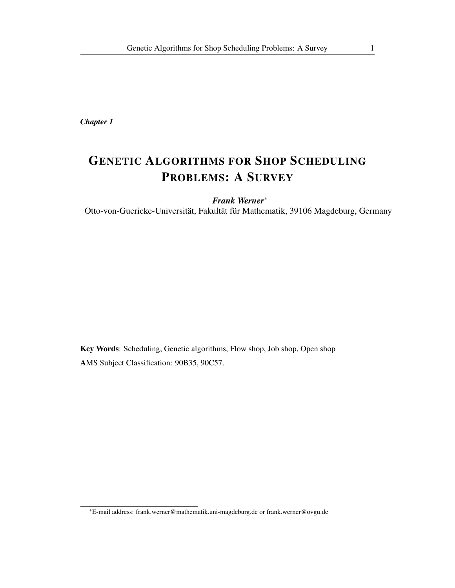*Chapter 1*

# GENETIC ALGORITHMS FOR SHOP SCHEDULING PROBLEMS: A SURVEY

*Frank Werner*<sup>∗</sup> Otto-von-Guericke-Universität, Fakultät für Mathematik, 39106 Magdeburg, Germany

Key Words: Scheduling, Genetic algorithms, Flow shop, Job shop, Open shop AMS Subject Classification: 90B35, 90C57.

<sup>∗</sup>E-mail address: frank.werner@mathematik.uni-magdeburg.de or frank.werner@ovgu.de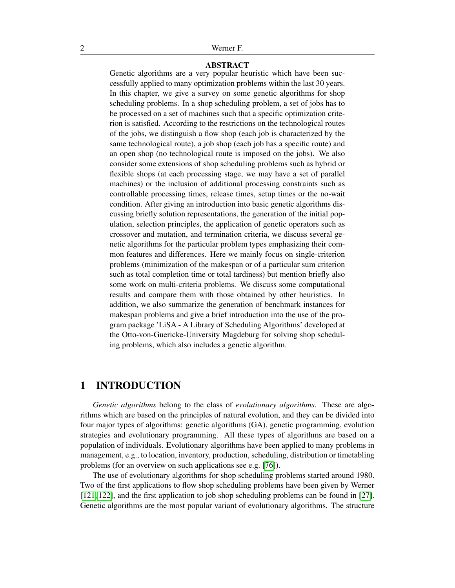### ABSTRACT

Genetic algorithms are a very popular heuristic which have been successfully applied to many optimization problems within the last 30 years. In this chapter, we give a survey on some genetic algorithms for shop scheduling problems. In a shop scheduling problem, a set of jobs has to be processed on a set of machines such that a specific optimization criterion is satisfied. According to the restrictions on the technological routes of the jobs, we distinguish a flow shop (each job is characterized by the same technological route), a job shop (each job has a specific route) and an open shop (no technological route is imposed on the jobs). We also consider some extensions of shop scheduling problems such as hybrid or flexible shops (at each processing stage, we may have a set of parallel machines) or the inclusion of additional processing constraints such as controllable processing times, release times, setup times or the no-wait condition. After giving an introduction into basic genetic algorithms discussing briefly solution representations, the generation of the initial population, selection principles, the application of genetic operators such as crossover and mutation, and termination criteria, we discuss several genetic algorithms for the particular problem types emphasizing their common features and differences. Here we mainly focus on single-criterion problems (minimization of the makespan or of a particular sum criterion such as total completion time or total tardiness) but mention briefly also some work on multi-criteria problems. We discuss some computational results and compare them with those obtained by other heuristics. In addition, we also summarize the generation of benchmark instances for makespan problems and give a brief introduction into the use of the program package 'LiSA - A Library of Scheduling Algorithms' developed at the Otto-von-Guericke-University Magdeburg for solving shop scheduling problems, which also includes a genetic algorithm.

## 1 INTRODUCTION

*Genetic algorithms* belong to the class of *evolutionary algorithms*. These are algorithms which are based on the principles of natural evolution, and they can be divided into four major types of algorithms: genetic algorithms (GA), genetic programming, evolution strategies and evolutionary programming. All these types of algorithms are based on a population of individuals. Evolutionary algorithms have been applied to many problems in management, e.g., to location, inventory, production, scheduling, distribution or timetabling problems (for an overview on such applications see e.g. [\[76\]](#page-61-0)).

The use of evolutionary algorithms for shop scheduling problems started around 1980. Two of the first applications to flow shop scheduling problems have been given by Werner [\[121,](#page-64-0) [122\]](#page-64-1), and the first application to job shop scheduling problems can be found in [\[27\]](#page-58-0). Genetic algorithms are the most popular variant of evolutionary algorithms. The structure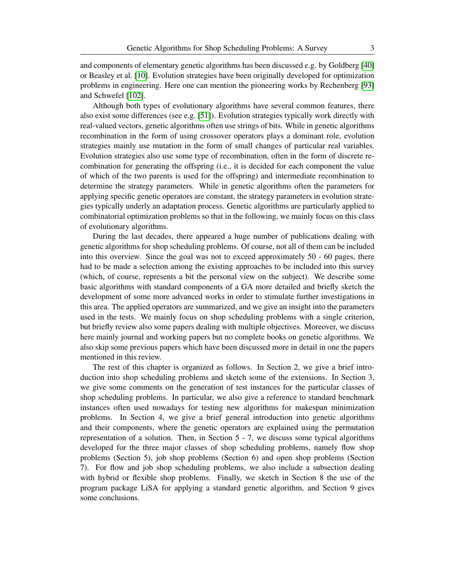and components of elementary genetic algorithms has been discussed e.g. by Goldberg [\[40\]](#page-58-1) or Beasley et al. [\[10\]](#page-56-0). Evolution strategies have been originally developed for optimization problems in engineering. Here one can mention the pioneering works by Rechenberg [\[93\]](#page-62-0) and Schwefel [\[102\]](#page-62-1).

Although both types of evolutionary algorithms have several common features, there also exist some differences (see e.g. [\[51\]](#page-59-0)). Evolution strategies typically work directly with real-valued vectors, genetic algorithms often use strings of bits. While in genetic algorithms recombination in the form of using crossover operators plays a dominant role, evolution strategies mainly use mutation in the form of small changes of particular real variables. Evolution strategies also use some type of recombination, often in the form of discrete recombination for generating the offspring (i.e., it is decided for each component the value of which of the two parents is used for the offspring) and intermediate recombination to determine the strategy parameters. While in genetic algorithms often the parameters for applying specific genetic operators are constant, the strategy parameters in evolution strategies typically underly an adaptation process. Genetic algorithms are particularly applied to combinatorial optimization problems so that in the following, we mainly focus on this class of evolutionary algorithms.

During the last decades, there appeared a huge number of publications dealing with genetic algorithms for shop scheduling problems. Of course, not all of them can be included into this overview. Since the goal was not to exceed approximately 50 - 60 pages, there had to be made a selection among the existing approaches to be included into this survey (which, of course, represents a bit the personal view on the subject). We describe some basic algorithms with standard components of a GA more detailed and briefly sketch the development of some more advanced works in order to stimulate further investigations in this area. The applied operators are summarized, and we give an insight into the parameters used in the tests. We mainly focus on shop scheduling problems with a single criterion, but briefly review also some papers dealing with multiple objectives. Moreover, we discuss here mainly journal and working papers but no complete books on genetic algorithms. We also skip some previous papers which have been discussed more in detail in one the papers mentioned in this review.

The rest of this chapter is organized as follows. In Section 2, we give a brief introduction into shop scheduling problems and sketch some of the extensions. In Section 3, we give some comments on the generation of test instances for the particular classes of shop scheduling problems. In particular, we also give a reference to standard benchmark instances often used nowadays for testing new algorithms for makespan minimization problems. In Section 4, we give a brief general introduction into genetic algorithms and their components, where the genetic operators are explained using the permutation representation of a solution. Then, in Section 5 - 7, we discuss some typical algorithms developed for the three major classes of shop scheduling problems, namely flow shop problems (Section 5), job shop problems (Section 6) and open shop problems (Section 7). For flow and job shop scheduling problems, we also include a subsection dealing with hybrid or flexible shop problems. Finally, we sketch in Section 8 the use of the program package LiSA for applying a standard genetic algorithm, and Section 9 gives some conclusions.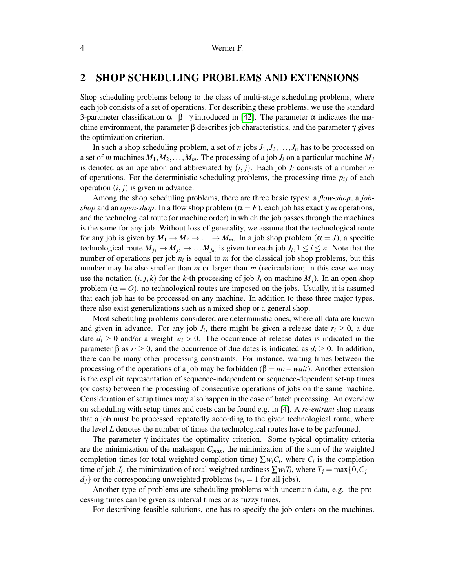## 2 SHOP SCHEDULING PROBLEMS AND EXTENSIONS

Shop scheduling problems belong to the class of multi-stage scheduling problems, where each job consists of a set of operations. For describing these problems, we use the standard 3-parameter classification  $\alpha \mid \beta \mid \gamma$  introduced in [\[42\]](#page-59-1). The parameter  $\alpha$  indicates the machine environment, the parameter  $\beta$  describes job characteristics, and the parameter  $\gamma$  gives the optimization criterion.

In such a shop scheduling problem, a set of *n* jobs  $J_1, J_2, \ldots, J_n$  has to be processed on a set of *m* machines  $M_1, M_2, \ldots, M_m$ . The processing of a job  $J_i$  on a particular machine  $M_j$ is denoted as an operation and abbreviated by  $(i, j)$ . Each job  $J_i$  consists of a number  $n_i$ of operations. For the deterministic scheduling problems, the processing time  $p_{ij}$  of each operation  $(i, j)$  is given in advance.

Among the shop scheduling problems, there are three basic types: a *flow-shop*, a *jobshop* and an *open-shop*. In a flow shop problem  $(\alpha = F)$ , each job has exactly *m* operations, and the technological route (or machine order) in which the job passes through the machines is the same for any job. Without loss of generality, we assume that the technological route for any job is given by  $M_1 \to M_2 \to \ldots \to M_m$ . In a job shop problem  $(\alpha = J)$ , a specific technological route  $M_{j_1} \to M_{j_2} \to \dots M_{j_{n_i}}$  is given for each job  $J_i, 1 \le i \le n$ . Note that the number of operations per job  $n_i$  is equal to  $m$  for the classical job shop problems, but this number may be also smaller than *m* or larger than *m* (recirculation; in this case we may use the notation  $(i, j, k)$  for the *k*-th processing of job  $J_i$  on machine  $M_i$ ). In an open shop problem  $(\alpha = 0)$ , no technological routes are imposed on the jobs. Usually, it is assumed that each job has to be processed on any machine. In addition to these three major types, there also exist generalizations such as a mixed shop or a general shop.

Most scheduling problems considered are deterministic ones, where all data are known and given in advance. For any job  $J_i$ , there might be given a release date  $r_i \geq 0$ , a due date  $d_i \geq 0$  and/or a weight  $w_i > 0$ . The occurrence of release dates is indicated in the parameter  $\beta$  as  $r_i \ge 0$ , and the occurrence of due dates is indicated as  $d_i \ge 0$ . In addition, there can be many other processing constraints. For instance, waiting times between the processing of the operations of a job may be forbidden ( $\beta = no - wait$ ). Another extension is the explicit representation of sequence-independent or sequence-dependent set-up times (or costs) between the processing of consecutive operations of jobs on the same machine. Consideration of setup times may also happen in the case of batch processing. An overview on scheduling with setup times and costs can be found e.g. in [\[4\]](#page-56-1). A *re-entrant* shop means that a job must be processed repeatedly according to the given technological route, where the level *L* denotes the number of times the technological routes have to be performed.

The parameter  $\gamma$  indicates the optimality criterion. Some typical optimality criteria are the minimization of the makespan *Cmax*, the minimization of the sum of the weighted completion times (or total weighted completion time)  $\sum w_i C_i$ , where  $C_i$  is the completion time of job *J<sub>i</sub>*, the minimization of total weighted tardiness  $\sum w_i T_i$ , where  $T_j = \max\{0, C_j - \ell\}$  $d_i$  or the corresponding unweighted problems ( $w_i = 1$  for all jobs).

Another type of problems are scheduling problems with uncertain data, e.g. the processing times can be given as interval times or as fuzzy times.

For describing feasible solutions, one has to specify the job orders on the machines.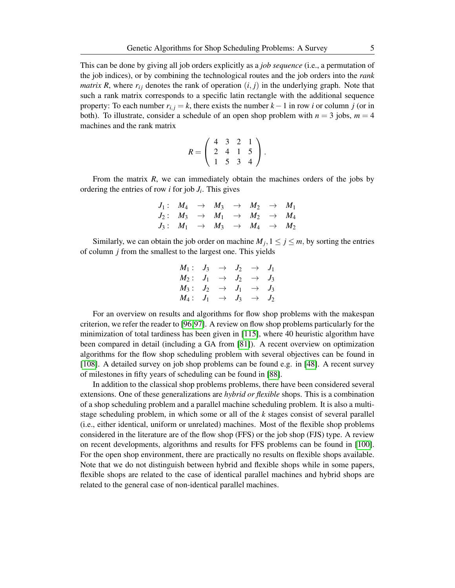This can be done by giving all job orders explicitly as a *job sequence* (i.e., a permutation of the job indices), or by combining the technological routes and the job orders into the *rank matrix R*, where  $r_{ij}$  denotes the rank of operation  $(i, j)$  in the underlying graph. Note that such a rank matrix corresponds to a specific latin rectangle with the additional sequence property: To each number  $r_{i,j} = k$ , there exists the number  $k-1$  in row *i* or column *j* (or in both). To illustrate, consider a schedule of an open shop problem with  $n = 3$  jobs,  $m = 4$ machines and the rank matrix

$$
R = \left(\begin{array}{rrr} 4 & 3 & 2 & 1 \\ 2 & 4 & 1 & 5 \\ 1 & 5 & 3 & 4 \end{array}\right).
$$

From the matrix *R*, we can immediately obtain the machines orders of the jobs by ordering the entries of row *i* for job *J<sup>i</sup>* . This gives

|  |  | $J_1: M_4 \rightarrow M_3 \rightarrow M_2 \rightarrow M_1$ |  |
|--|--|------------------------------------------------------------|--|
|  |  | $J_2: M_3 \rightarrow M_1 \rightarrow M_2 \rightarrow M_4$ |  |
|  |  | $J_3: M_1 \rightarrow M_3 \rightarrow M_4 \rightarrow M_2$ |  |

Similarly, we can obtain the job order on machine  $M_j$ ,  $1 \le j \le m$ , by sorting the entries of column *j* from the smallest to the largest one. This yields

$$
M_1: J_3 \rightarrow J_2 \rightarrow J_1
$$
  
\n
$$
M_2: J_1 \rightarrow J_2 \rightarrow J_3
$$
  
\n
$$
M_3: J_2 \rightarrow J_1 \rightarrow J_3
$$
  
\n
$$
M_4: J_1 \rightarrow J_3 \rightarrow J_2
$$

For an overview on results and algorithms for flow shop problems with the makespan criterion, we refer the reader to [\[96,](#page-62-2)[97\]](#page-62-3). A review on flow shop problems particularly for the minimization of total tardiness has been given in [\[115\]](#page-63-0), where 40 heuristic algorithm have been compared in detail (including a GA from [\[81\]](#page-61-1)). A recent overview on optimization algorithms for the flow shop scheduling problem with several objectives can be found in [\[108\]](#page-63-1). A detailed survey on job shop problems can be found e.g. in [\[48\]](#page-59-2). A recent survey of milestones in fifty years of scheduling can be found in [\[88\]](#page-62-4).

In addition to the classical shop problems problems, there have been considered several extensions. One of these generalizations are *hybrid or flexible* shops. This is a combination of a shop scheduling problem and a parallel machine scheduling problem. It is also a multistage scheduling problem, in which some or all of the *k* stages consist of several parallel (i.e., either identical, uniform or unrelated) machines. Most of the flexible shop problems considered in the literature are of the flow shop (FFS) or the job shop (FJS) type. A review on recent developments, algorithms and results for FFS problems can be found in [\[100\]](#page-62-5). For the open shop environment, there are practically no results on flexible shops available. Note that we do not distinguish between hybrid and flexible shops while in some papers, flexible shops are related to the case of identical parallel machines and hybrid shops are related to the general case of non-identical parallel machines.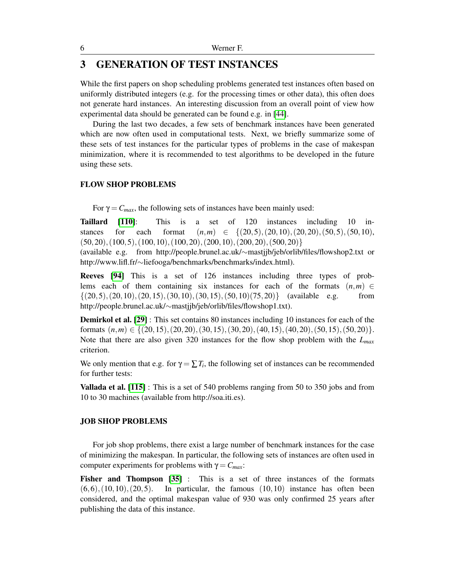## 3 GENERATION OF TEST INSTANCES

While the first papers on shop scheduling problems generated test instances often based on uniformly distributed integers (e.g. for the processing times or other data), this often does not generate hard instances. An interesting discussion from an overall point of view how experimental data should be generated can be found e.g. in [\[44\]](#page-59-3).

During the last two decades, a few sets of benchmark instances have been generated which are now often used in computational tests. Next, we briefly summarize some of these sets of test instances for the particular types of problems in the case of makespan minimization, where it is recommended to test algorithms to be developed in the future using these sets.

### FLOW SHOP PROBLEMS

For  $\gamma = C_{max}$ , the following sets of instances have been mainly used:

Taillard [\[110\]](#page-63-2): This is a set of 120 instances including 10 instances for each format  $(n,m) \in \{(20,5), (20,10), (20,20), (50,5), (50,10),\}$  $(50,20), (100,5), (100,10), (100,20), (200,10), (200,20), (500,20)\}$ 

(available e.g. from http://people.brunel.ac.uk/∼mastjjb/jeb/orlib/files/flowshop2.txt or http://www.lifl.fr/∼liefooga/benchmarks/benchmarks/index.html).

Reeves [\[94\]](#page-62-6) This is a set of 126 instances including three types of problems each of them containing six instances for each of the formats  $(n,m) \in$  $\{(20,5), (20,10), (20,15), (30,10), (30,15), (50,10), (75,20)\}$  (available e.g. from http://people.brunel.ac.uk/∼mastjjb/jeb/orlib/files/flowshop1.txt).

Demirkol et al. [\[29\]](#page-58-2) : This set contains 80 instances including 10 instances for each of the formats  $(n,m) \in \{(20,15), (20,20), (30,15), (30,20), (40,15), (40,20), (50,15), (50,20)\}.$ Note that there are also given 320 instances for the flow shop problem with the *Lmax* criterion.

We only mention that e.g. for  $\gamma = \sum T_i$ , the following set of instances can be recommended for further tests:

Vallada et al. [\[115\]](#page-63-0) : This is a set of 540 problems ranging from 50 to 350 jobs and from 10 to 30 machines (available from http://soa.iti.es).

### JOB SHOP PROBLEMS

For job shop problems, there exist a large number of benchmark instances for the case of minimizing the makespan. In particular, the following sets of instances are often used in computer experiments for problems with  $γ = C<sub>max</sub>$ .

Fisher and Thompson [\[35\]](#page-58-3) : This is a set of three instances of the formats  $(6,6), (10,10), (20,5)$ . In particular, the famous  $(10,10)$  instance has often been considered, and the optimal makespan value of 930 was only confirmed 25 years after publishing the data of this instance.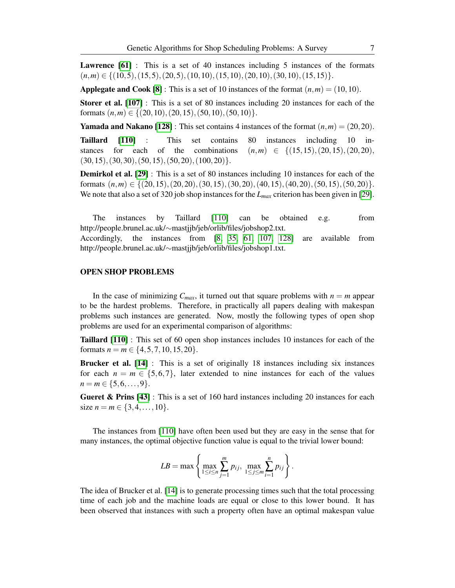Lawrence [\[61\]](#page-60-0) : This is a set of 40 instances including 5 instances of the formats  $(n,m) \in \{(10,5), (15,5), (20,5), (10,10), (15,10), (20,10), (30,10), (15,15)\}.$ 

**Applegate and Cook [\[8\]](#page-56-2):** This is a set of 10 instances of the format  $(n,m) = (10,10)$ .

Storer et al. [\[107\]](#page-63-3) : This is a set of 80 instances including 20 instances for each of the formats  $(n,m) \in \{(20,10), (20,15), (50,10), (50,10)\}.$ 

**Yamada and Nakano [\[128\]](#page-64-2)** : This set contains 4 instances of the format  $(n,m) = (20,20)$ .

Taillard [\[110\]](#page-63-2) : This set contains 80 instances including 10 instances for each of the combinations  $(n,m) \in \{(15,15), (20,15), (20,20),\}$  $(30,15), (30,30), (50,15), (50,20), (100,20)\}.$ 

Demirkol et al. [\[29\]](#page-58-2) : This is a set of 80 instances including 10 instances for each of the formats  $(n,m) \in \{(20,15), (20,20), (30,15), (30,20), (40,15), (40,20), (50,15), (50,20)\}.$ We note that also a set of 320 job shop instances for the *Lmax* criterion has been given in [\[29\]](#page-58-2).

The instances by Taillard [\[110\]](#page-63-2) can be obtained e.g. from http://people.brunel.ac.uk/∼mastjjb/jeb/orlib/files/jobshop2.txt.

Accordingly, the instances from [\[8,](#page-56-2) [35,](#page-58-3) [61,](#page-60-0) [107,](#page-63-3) [128\]](#page-64-2) are available from http://people.brunel.ac.uk/∼mastjjb/jeb/orlib/files/jobshop1.txt.

#### OPEN SHOP PROBLEMS

In the case of minimizing  $C_{max}$ , it turned out that square problems with  $n = m$  appear to be the hardest problems. Therefore, in practically all papers dealing with makespan problems such instances are generated. Now, mostly the following types of open shop problems are used for an experimental comparison of algorithms:

Taillard [\[110\]](#page-63-2) : This set of 60 open shop instances includes 10 instances for each of the formats  $n = m \in \{4, 5, 7, 10, 15, 20\}.$ 

Brucker et al. [\[14\]](#page-57-0) : This is a set of originally 18 instances including six instances for each  $n = m \in \{5, 6, 7\}$ , later extended to nine instances for each of the values  $n = m \in \{5, 6, \ldots, 9\}.$ 

Gueret & Prins [\[43\]](#page-59-4) : This is a set of 160 hard instances including 20 instances for each size  $n = m \in \{3, 4, \ldots, 10\}.$ 

The instances from [\[110\]](#page-63-2) have often been used but they are easy in the sense that for many instances, the optimal objective function value is equal to the trivial lower bound:

$$
LB = \max \left\{ \max_{1 \le i \le n} \sum_{j=1}^{m} p_{ij}, \max_{1 \le j \le m} \sum_{i=1}^{n} p_{ij} \right\}.
$$

The idea of Brucker et al. [\[14\]](#page-57-0) is to generate processing times such that the total processing time of each job and the machine loads are equal or close to this lower bound. It has been observed that instances with such a property often have an optimal makespan value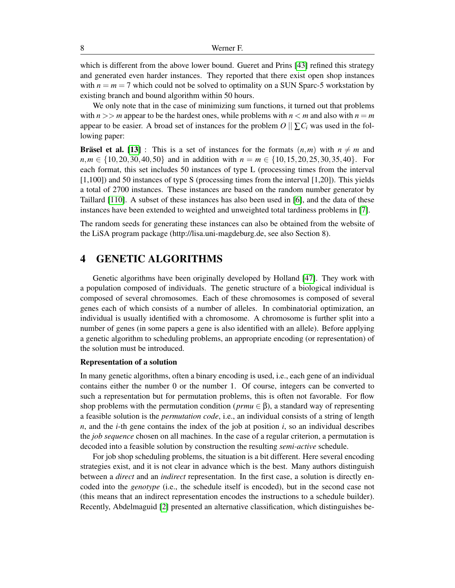which is different from the above lower bound. Gueret and Prins [\[43\]](#page-59-4) refined this strategy and generated even harder instances. They reported that there exist open shop instances with  $n = m = 7$  which could not be solved to optimality on a SUN Sparc-5 workstation by existing branch and bound algorithm within 50 hours.

We only note that in the case of minimizing sum functions, it turned out that problems with  $n \geq n$  appear to be the hardest ones, while problems with  $n \leq m$  and also with  $n = m$ appear to be easier. A broad set of instances for the problem  $O \|\sum_i C_i$  was used in the following paper:

**Bräsel et al.** [\[13\]](#page-57-1) : This is a set of instances for the formats  $(n,m)$  with  $n \neq m$  and  $n,m \in \{10,20,30,40,50\}$  and in addition with  $n = m \in \{10,15,20,25,30,35,40\}$ . For each format, this set includes 50 instances of type L (processing times from the interval [1,100]) and 50 instances of type S (processing times from the interval [1,20]). This yields a total of 2700 instances. These instances are based on the random number generator by Taillard [\[110\]](#page-63-2). A subset of these instances has also been used in [\[6\]](#page-56-3), and the data of these instances have been extended to weighted and unweighted total tardiness problems in [\[7\]](#page-56-4).

The random seeds for generating these instances can also be obtained from the website of the LiSA program package (http://lisa.uni-magdeburg.de, see also Section 8).

## 4 GENETIC ALGORITHMS

Genetic algorithms have been originally developed by Holland [\[47\]](#page-59-5). They work with a population composed of individuals. The genetic structure of a biological individual is composed of several chromosomes. Each of these chromosomes is composed of several genes each of which consists of a number of alleles. In combinatorial optimization, an individual is usually identified with a chromosome. A chromosome is further split into a number of genes (in some papers a gene is also identified with an allele). Before applying a genetic algorithm to scheduling problems, an appropriate encoding (or representation) of the solution must be introduced.

#### Representation of a solution

In many genetic algorithms, often a binary encoding is used, i.e., each gene of an individual contains either the number 0 or the number 1. Of course, integers can be converted to such a representation but for permutation problems, this is often not favorable. For flow shop problems with the permutation condition ( $prmu \in \beta$ ), a standard way of representing a feasible solution is the *permutation code*, i.e., an individual consists of a string of length *n*, and the *i*-th gene contains the index of the job at position *i*, so an individual describes the *job sequence* chosen on all machines. In the case of a regular criterion, a permutation is decoded into a feasible solution by construction the resulting *semi-active* schedule.

For job shop scheduling problems, the situation is a bit different. Here several encoding strategies exist, and it is not clear in advance which is the best. Many authors distinguish between a *direct* and an *indirect* representation. In the first case, a solution is directly encoded into the *genotype* (i.e., the schedule itself is encoded), but in the second case not (this means that an indirect representation encodes the instructions to a schedule builder). Recently, Abdelmaguid [\[2\]](#page-56-5) presented an alternative classification, which distinguishes be-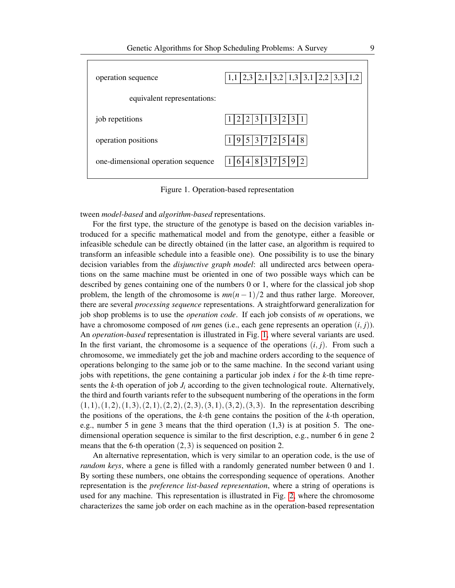

<span id="page-8-0"></span>Figure 1. Operation-based representation

tween *model-based* and *algorithm-based* representations.

For the first type, the structure of the genotype is based on the decision variables introduced for a specific mathematical model and from the genotype, either a feasible or infeasible schedule can be directly obtained (in the latter case, an algorithm is required to transform an infeasible schedule into a feasible one). One possibility is to use the binary decision variables from the *disjunctive graph model*: all undirected arcs between operations on the same machine must be oriented in one of two possible ways which can be described by genes containing one of the numbers 0 or 1, where for the classical job shop problem, the length of the chromosome is  $mn(n-1)/2$  and thus rather large. Moreover, there are several *processing sequence* representations. A straightforward generalization for job shop problems is to use the *operation code*. If each job consists of *m* operations, we have a chromosome composed of *nm* genes (i.e., each gene represents an operation (*i*, *j*)). An *operation-based* representation is illustrated in Fig. [1,](#page-8-0) where several variants are used. In the first variant, the chromosome is a sequence of the operations  $(i, j)$ . From such a chromosome, we immediately get the job and machine orders according to the sequence of operations belonging to the same job or to the same machine. In the second variant using jobs with repetitions, the gene containing a particular job index *i* for the *k*-th time represents the  $k$ -th operation of job  $J_i$  according to the given technological route. Alternatively, the third and fourth variants refer to the subsequent numbering of the operations in the form  $(1,1), (1,2), (1,3), (2,1), (2,2), (2,3), (3,1), (3,2), (3,3).$  In the representation describing the positions of the operations, the *k*-th gene contains the position of the *k*-th operation, e.g., number 5 in gene 3 means that the third operation (1,3) is at position 5. The onedimensional operation sequence is similar to the first description, e.g., number 6 in gene 2 means that the 6-th operation  $(2,3)$  is sequenced on position 2.

An alternative representation, which is very similar to an operation code, is the use of *random keys*, where a gene is filled with a randomly generated number between 0 and 1. By sorting these numbers, one obtains the corresponding sequence of operations. Another representation is the *preference list-based representation*, where a string of operations is used for any machine. This representation is illustrated in Fig. [2,](#page-9-0) where the chromosome characterizes the same job order on each machine as in the operation-based representation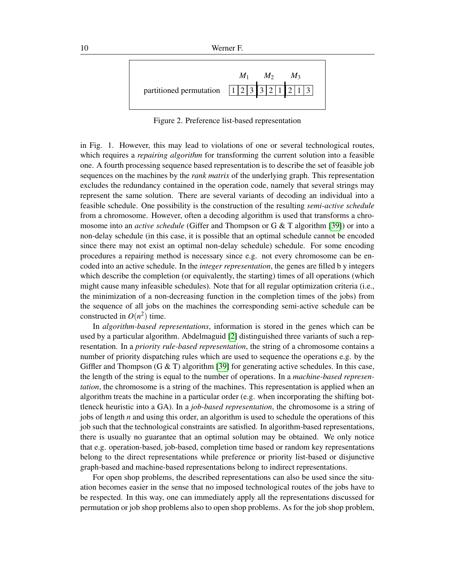

<span id="page-9-0"></span>Figure 2. Preference list-based representation

in Fig. 1. However, this may lead to violations of one or several technological routes, which requires a *repairing algorithm* for transforming the current solution into a feasible one. A fourth processing sequence based representation is to describe the set of feasible job sequences on the machines by the *rank matrix* of the underlying graph. This representation excludes the redundancy contained in the operation code, namely that several strings may represent the same solution. There are several variants of decoding an individual into a feasible schedule. One possibility is the construction of the resulting *semi-active schedule* from a chromosome. However, often a decoding algorithm is used that transforms a chromosome into an *active schedule* (Giffer and Thompson or G & T algorithm [\[39\]](#page-58-4)) or into a non-delay schedule (in this case, it is possible that an optimal schedule cannot be encoded since there may not exist an optimal non-delay schedule) schedule. For some encoding procedures a repairing method is necessary since e.g. not every chromosome can be encoded into an active schedule. In the *integer representation*, the genes are filled b y integers which describe the completion (or equivalently, the starting) times of all operations (which might cause many infeasible schedules). Note that for all regular optimization criteria (i.e., the minimization of a non-decreasing function in the completion times of the jobs) from the sequence of all jobs on the machines the corresponding semi-active schedule can be constructed in  $O(n^2)$  time.

In *algorithm-based representations*, information is stored in the genes which can be used by a particular algorithm. Abdelmaguid [\[2\]](#page-56-5) distinguished three variants of such a representation. In a *priority rule-based representation*, the string of a chromosome contains a number of priority dispatching rules which are used to sequence the operations e.g. by the Giffler and Thompson  $(G & T)$  algorithm [\[39\]](#page-58-4) for generating active schedules. In this case, the length of the string is equal to the number of operations. In a *machine-based representation*, the chromosome is a string of the machines. This representation is applied when an algorithm treats the machine in a particular order (e.g. when incorporating the shifting bottleneck heuristic into a GA). In a *job-based representation*, the chromosome is a string of jobs of length *n* and using this order, an algorithm is used to schedule the operations of this job such that the technological constraints are satisfied. In algorithm-based representations, there is usually no guarantee that an optimal solution may be obtained. We only notice that e.g. operation-based, job-based, completion time based or random key representations belong to the direct representations while preference or priority list-based or disjunctive graph-based and machine-based representations belong to indirect representations.

For open shop problems, the described representations can also be used since the situation becomes easier in the sense that no imposed technological routes of the jobs have to be respected. In this way, one can immediately apply all the representations discussed for permutation or job shop problems also to open shop problems. As for the job shop problem,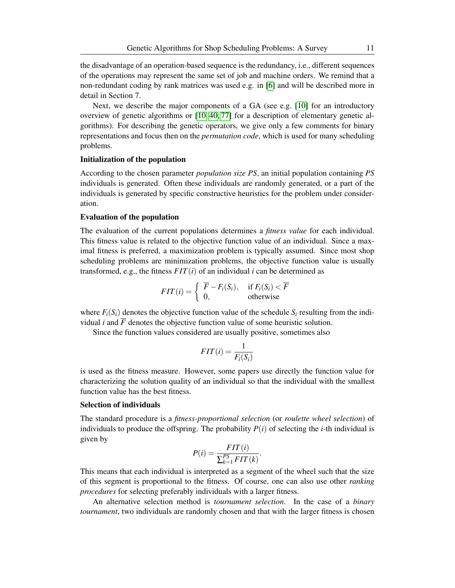the disadvantage of an operation-based sequence is the redundancy, i.e., different sequences of the operations may represent the same set of job and machine orders. We remind that a non-redundant coding by rank matrices was used e.g. in [\[6\]](#page-56-3) and will be described more in detail in Section 7.

Next, we describe the major components of a GA (see e.g.  $[10]$  for an introductory overview of genetic algorithms or [\[10,](#page-56-0) [40,](#page-58-1) [77\]](#page-61-2) for a description of elementary genetic algorithms). For describing the genetic operators, we give only a few comments for binary representations and focus then on the *permutation code*, which is used for many scheduling problems.

### Initialization of the population

According to the chosen parameter *population size PS*, an initial population containing *PS* individuals is generated. Often these individuals are randomly generated, or a part of the individuals is generated by specific constructive heuristics for the problem under consideration.

#### Evaluation of the population

The evaluation of the current populations determines a *fitness value* for each individual. This fitness value is related to the objective function value of an individual. Since a maximal fitness is preferred, a maximization problem is typically assumed. Since most shop scheduling problems are minimization problems, the objective function value is usually transformed, e.g., the fitness  $FIT(i)$  of an individual *i* can be determined as

$$
FIT(i) = \begin{cases} \overline{F} - F_i(S_i), & \text{if } F_i(S_i) < \overline{F} \\ 0, & \text{otherwise} \end{cases}
$$

where  $F_i(S_i)$  denotes the objective function value of the schedule  $S_i$  resulting from the individual *i* and  $\overline{F}$  denotes the objective function value of some heuristic solution.

Since the function values considered are usually positive, sometimes also

$$
FIT(i) = \frac{1}{F_i(S_i)}
$$

is used as the fitness measure. However, some papers use directly the function value for characterizing the solution quality of an individual so that the individual with the smallest function value has the best fitness.

### Selection of individuals

The standard procedure is a *fitness-proportional selection* (or *roulette wheel selection*) of individuals to produce the offspring. The probability  $P(i)$  of selecting the *i*-th individual is given by

$$
P(i) = \frac{FIT(i)}{\sum_{k=1}^{PS} FIT(k)}.
$$

This means that each individual is interpreted as a segment of the wheel such that the size of this segment is proportional to the fitness. Of course, one can also use other *ranking procedures* for selecting preferably individuals with a larger fitness.

An alternative selection method is *tournament selection*. In the case of a *binary tournament*, two individuals are randomly chosen and that with the larger fitness is chosen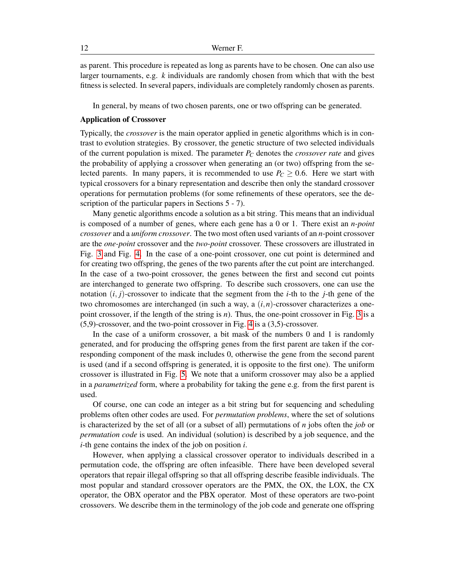as parent. This procedure is repeated as long as parents have to be chosen. One can also use larger tournaments, e.g. *k* individuals are randomly chosen from which that with the best fitness is selected. In several papers, individuals are completely randomly chosen as parents.

In general, by means of two chosen parents, one or two offspring can be generated.

#### Application of Crossover

Typically, the *crossover* is the main operator applied in genetic algorithms which is in contrast to evolution strategies. By crossover, the genetic structure of two selected individuals of the current population is mixed. The parameter *P<sup>C</sup>* denotes the *crossover rate* and gives the probability of applying a crossover when generating an (or two) offspring from the selected parents. In many papers, it is recommended to use  $P_C \geq 0.6$ . Here we start with typical crossovers for a binary representation and describe then only the standard crossover operations for permutation problems (for some refinements of these operators, see the description of the particular papers in Sections  $5 - 7$ ).

Many genetic algorithms encode a solution as a bit string. This means that an individual is composed of a number of genes, where each gene has a 0 or 1. There exist an *n-point crossover* and a *uniform crossover*. The two most often used variants of an *n*-point crossover are the *one-point* crossover and the *two-point* crossover. These crossovers are illustrated in Fig. [3](#page-12-0) and Fig. [4.](#page-12-1) In the case of a one-point crossover, one cut point is determined and for creating two offspring, the genes of the two parents after the cut point are interchanged. In the case of a two-point crossover, the genes between the first and second cut points are interchanged to generate two offspring. To describe such crossovers, one can use the notation  $(i, j)$ -crossover to indicate that the segment from the *i*-th to the *j*-th gene of the two chromosomes are interchanged (in such a way, a (*i*,*n*)-crossover characterizes a onepoint crossover, if the length of the string is *n*). Thus, the one-point crossover in Fig. [3](#page-12-0) is a (5,9)-crossover, and the two-point crossover in Fig. [4](#page-12-1) is a (3,5)-crossover.

In the case of a uniform crossover, a bit mask of the numbers 0 and 1 is randomly generated, and for producing the offspring genes from the first parent are taken if the corresponding component of the mask includes 0, otherwise the gene from the second parent is used (and if a second offspring is generated, it is opposite to the first one). The uniform crossover is illustrated in Fig. [5.](#page-12-2) We note that a uniform crossover may also be a applied in a *parametrized* form, where a probability for taking the gene e.g. from the first parent is used.

Of course, one can code an integer as a bit string but for sequencing and scheduling problems often other codes are used. For *permutation problems*, where the set of solutions is characterized by the set of all (or a subset of all) permutations of *n* jobs often the *job* or *permutation code* is used. An individual (solution) is described by a job sequence, and the *i*-th gene contains the index of the job on position *i*.

However, when applying a classical crossover operator to individuals described in a permutation code, the offspring are often infeasible. There have been developed several operators that repair illegal offspring so that all offspring describe feasible individuals. The most popular and standard crossover operators are the PMX, the OX, the LOX, the CX operator, the OBX operator and the PBX operator. Most of these operators are two-point crossovers. We describe them in the terminology of the job code and generate one offspring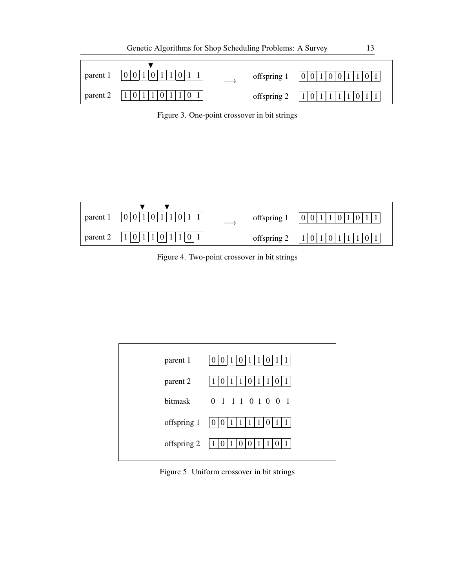

<span id="page-12-0"></span>Figure 3. One-point crossover in bit strings

| parent 1 | 0 0 | offspring 1 | 0 0 1 |
|----------|-----|-------------|-------|
| parent 2 |     | offspring 2 | 1     |

<span id="page-12-1"></span>Figure 4. Two-point crossover in bit strings

| parent 1    | 0                         |
|-------------|---------------------------|
| parent 2    |                           |
|             | bitmask 0 1 1 1 0 1 0 0 1 |
| offspring 1 | $\cdot$ 0 $\cdot$         |
| offspring 2 | $\overline{0}$            |
|             |                           |

<span id="page-12-2"></span>Figure 5. Uniform crossover in bit strings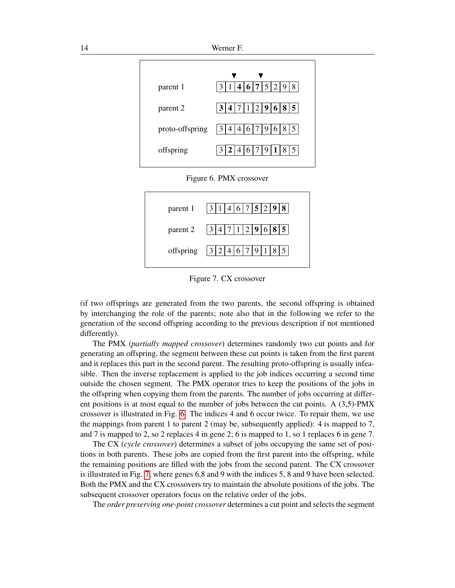

<span id="page-13-0"></span>

| parent 1  | 6 7 5 2 9<br>8<br>3                                |
|-----------|----------------------------------------------------|
| parent 2  | 3 4 7 1 2 9 6 8 <br>5 <sup>5</sup>                 |
| offspring | 14 <sup>1</sup><br> 6 7 9<br>3 2<br>8 <sup>1</sup> |

<span id="page-13-1"></span>Figure 7. CX crossover

(if two offsprings are generated from the two parents, the second offspring is obtained by interchanging the role of the parents; note also that in the following we refer to the generation of the second offspring according to the previous description if not mentioned differently).

The PMX (*partially mapped crossover*) determines randomly two cut points and for generating an offspring, the segment between these cut points is taken from the first parent and it replaces this part in the second parent. The resulting proto-offspring is usually infeasible. Then the inverse replacement is applied to the job indices occurring a second time outside the chosen segment. The PMX operator tries to keep the positions of the jobs in the offspring when copying them from the parents. The number of jobs occurring at different positions is at most equal to the number of jobs between the cut points. A (3,5)-PMX crossover is illustrated in Fig. [6.](#page-13-0) The indices 4 and 6 occur twice. To repair them, we use the mappings from parent 1 to parent 2 (may be, subsequently applied): 4 is mapped to 7, and 7 is mapped to 2, so 2 replaces 4 in gene 2; 6 is mapped to 1, so 1 replaces 6 in gene 7.

The CX (*cycle crossover*) determines a subset of jobs occupying the same set of positions in both parents. These jobs are copied from the first parent into the offspring, while the remaining positions are filled with the jobs from the second parent. The CX crossover is illustrated in Fig. [7,](#page-13-1) where genes 6,8 and 9 with the indices 5, 8 and 9 have been selected. Both the PMX and the CX crossovers try to maintain the absolute positions of the jobs. The subsequent crossover operators focus on the relative order of the jobs.

The *order preserving one-point crossover* determines a cut point and selects the segment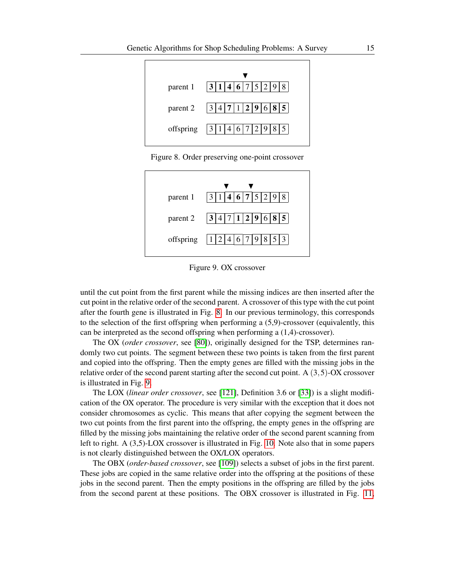

<span id="page-14-0"></span>Figure 8. Order preserving one-point crossover

| parent 1  | 4 6 7 5<br>3 1<br>$ 2\rangle$ |
|-----------|-------------------------------|
| parent 2  | 6 8 <br>3 4 7 1 2 9<br>5      |
| offspring | 6 7<br>1 2                    |

<span id="page-14-1"></span>Figure 9. OX crossover

until the cut point from the first parent while the missing indices are then inserted after the cut point in the relative order of the second parent. A crossover of this type with the cut point after the fourth gene is illustrated in Fig. [8.](#page-14-0) In our previous terminology, this corresponds to the selection of the first offspring when performing a (5,9)-crossover (equivalently, this can be interpreted as the second offspring when performing a (1,4)-crossover).

The OX (*order crossover*, see [\[80\]](#page-61-3)), originally designed for the TSP, determines randomly two cut points. The segment between these two points is taken from the first parent and copied into the offspring. Then the empty genes are filled with the missing jobs in the relative order of the second parent starting after the second cut point. A  $(3,5)$ -OX crossover is illustrated in Fig. [9.](#page-14-1)

The LOX (*linear order crossover*, see [\[121\]](#page-64-0), Definition 3.6 or [\[33\]](#page-58-5)) is a slight modification of the OX operator. The procedure is very similar with the exception that it does not consider chromosomes as cyclic. This means that after copying the segment between the two cut points from the first parent into the offspring, the empty genes in the offspring are filled by the missing jobs maintaining the relative order of the second parent scanning from left to right. A (3,5)-LOX crossover is illustrated in Fig. [10.](#page-15-0) Note also that in some papers is not clearly distinguished between the OX/LOX operators.

The OBX (*order-based crossover*, see [\[109\]](#page-63-4)) selects a subset of jobs in the first parent. These jobs are copied in the same relative order into the offspring at the positions of these jobs in the second parent. Then the empty positions in the offspring are filled by the jobs from the second parent at these positions. The OBX crossover is illustrated in Fig. [11,](#page-15-1)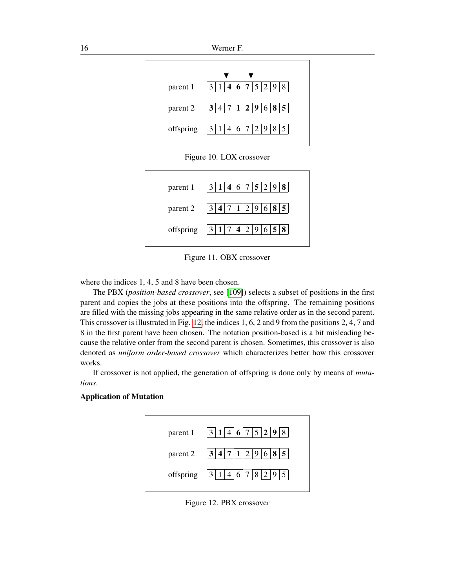16 Werner F.



<span id="page-15-0"></span>Figure 10. LOX crossover

| parent 1   $3 1 4 6 7 5 2 9 8 $ |
|---------------------------------|
| parent 2   $3 4 7 1 2 9 6 8 5 $ |
| offspring $ 3 1 7 4 2 9 6 5 8 $ |

<span id="page-15-1"></span>Figure 11. OBX crossover

where the indices 1, 4, 5 and 8 have been chosen.

The PBX (*position-based crossover*, see [\[109\]](#page-63-4)) selects a subset of positions in the first parent and copies the jobs at these positions into the offspring. The remaining positions are filled with the missing jobs appearing in the same relative order as in the second parent. This crossover is illustrated in Fig. [12,](#page-15-2) the indices 1, 6, 2 and 9 from the positions 2, 4, 7 and 8 in the first parent have been chosen. The notation position-based is a bit misleading because the relative order from the second parent is chosen. Sometimes, this crossover is also denoted as *uniform order-based crossover* which characterizes better how this crossover works.

If crossover is not applied, the generation of offspring is done only by means of *mutations*.

## Application of Mutation



<span id="page-15-2"></span>Figure 12. PBX crossover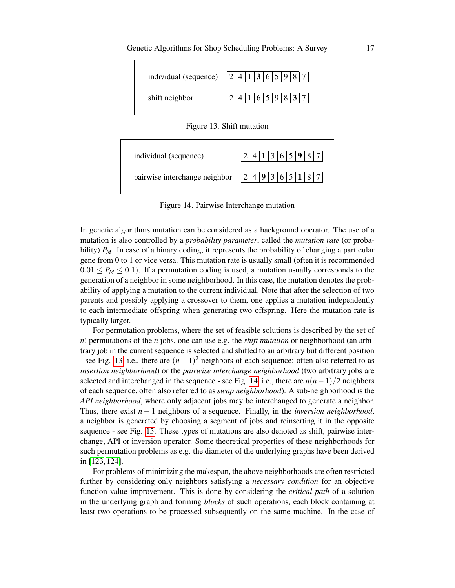

<span id="page-16-0"></span>Figure 13. Shift mutation



<span id="page-16-1"></span>Figure 14. Pairwise Interchange mutation

In genetic algorithms mutation can be considered as a background operator. The use of a mutation is also controlled by a *probability parameter*, called the *mutation rate* (or probability) *P<sub>M</sub>*. In case of a binary coding, it represents the probability of changing a particular gene from 0 to 1 or vice versa. This mutation rate is usually small (often it is recommended  $0.01 \leq P_M \leq 0.1$ ). If a permutation coding is used, a mutation usually corresponds to the generation of a neighbor in some neighborhood. In this case, the mutation denotes the probability of applying a mutation to the current individual. Note that after the selection of two parents and possibly applying a crossover to them, one applies a mutation independently to each intermediate offspring when generating two offspring. Here the mutation rate is typically larger.

For permutation problems, where the set of feasible solutions is described by the set of *n*! permutations of the *n* jobs, one can use e.g. the *shift mutation* or neighborhood (an arbitrary job in the current sequence is selected and shifted to an arbitrary but different position - see Fig. [13,](#page-16-0) i.e., there are (*n*−1) <sup>2</sup> neighbors of each sequence; often also referred to as *insertion neighborhood*) or the *pairwise interchange neighborhood* (two arbitrary jobs are selected and interchanged in the sequence - see Fig. [14,](#page-16-1) i.e., there are  $n(n-1)/2$  neighbors of each sequence, often also referred to as *swap neighborhood*). A sub-neighborhood is the *API neighborhood*, where only adjacent jobs may be interchanged to generate a neighbor. Thus, there exist *n* − 1 neighbors of a sequence. Finally, in the *inversion neighborhood*, a neighbor is generated by choosing a segment of jobs and reinserting it in the opposite sequence - see Fig. [15.](#page-17-0) These types of mutations are also denoted as shift, pairwise interchange, API or inversion operator. Some theoretical properties of these neighborhoods for such permutation problems as e.g. the diameter of the underlying graphs have been derived in [\[123,](#page-64-3) [124\]](#page-64-4).

For problems of minimizing the makespan, the above neighborhoods are often restricted further by considering only neighbors satisfying a *necessary condition* for an objective function value improvement. This is done by considering the *critical path* of a solution in the underlying graph and forming *blocks* of such operations, each block containing at least two operations to be processed subsequently on the same machine. In the case of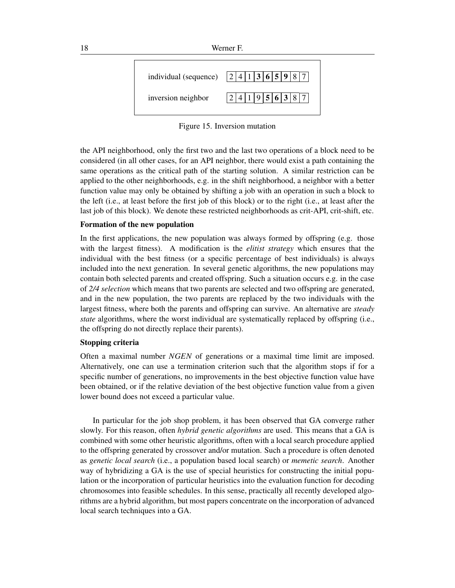

<span id="page-17-0"></span>Figure 15. Inversion mutation

the API neighborhood, only the first two and the last two operations of a block need to be considered (in all other cases, for an API neighbor, there would exist a path containing the same operations as the critical path of the starting solution. A similar restriction can be applied to the other neighborhoods, e.g. in the shift neighborhood, a neighbor with a better function value may only be obtained by shifting a job with an operation in such a block to the left (i.e., at least before the first job of this block) or to the right (i.e., at least after the last job of this block). We denote these restricted neighborhoods as crit-API, crit-shift, etc.

## Formation of the new population

In the first applications, the new population was always formed by offspring (e.g. those with the largest fitness). A modification is the *elitist strategy* which ensures that the individual with the best fitness (or a specific percentage of best individuals) is always included into the next generation. In several genetic algorithms, the new populations may contain both selected parents and created offspring. Such a situation occurs e.g. in the case of *2/4 selection* which means that two parents are selected and two offspring are generated, and in the new population, the two parents are replaced by the two individuals with the largest fitness, where both the parents and offspring can survive. An alternative are *steady state* algorithms, where the worst individual are systematically replaced by offspring (i.e., the offspring do not directly replace their parents).

## Stopping criteria

Often a maximal number *NGEN* of generations or a maximal time limit are imposed. Alternatively, one can use a termination criterion such that the algorithm stops if for a specific number of generations, no improvements in the best objective function value have been obtained, or if the relative deviation of the best objective function value from a given lower bound does not exceed a particular value.

In particular for the job shop problem, it has been observed that GA converge rather slowly. For this reason, often *hybrid genetic algorithms* are used. This means that a GA is combined with some other heuristic algorithms, often with a local search procedure applied to the offspring generated by crossover and/or mutation. Such a procedure is often denoted as *genetic local search* (i.e., a population based local search) or *memetic search*. Another way of hybridizing a GA is the use of special heuristics for constructing the initial population or the incorporation of particular heuristics into the evaluation function for decoding chromosomes into feasible schedules. In this sense, practically all recently developed algorithms are a hybrid algorithm, but most papers concentrate on the incorporation of advanced local search techniques into a GA.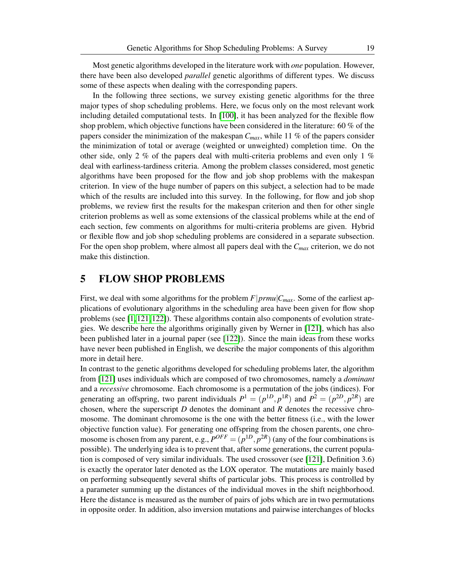Most genetic algorithms developed in the literature work with *one* population. However, there have been also developed *parallel* genetic algorithms of different types. We discuss some of these aspects when dealing with the corresponding papers.

In the following three sections, we survey existing genetic algorithms for the three major types of shop scheduling problems. Here, we focus only on the most relevant work including detailed computational tests. In [\[100\]](#page-62-5), it has been analyzed for the flexible flow shop problem, which objective functions have been considered in the literature: 60 % of the papers consider the minimization of the makespan *Cmax*, while 11 % of the papers consider the minimization of total or average (weighted or unweighted) completion time. On the other side, only 2 % of the papers deal with multi-criteria problems and even only 1 % deal with earliness-tardiness criteria. Among the problem classes considered, most genetic algorithms have been proposed for the flow and job shop problems with the makespan criterion. In view of the huge number of papers on this subject, a selection had to be made which of the results are included into this survey. In the following, for flow and job shop problems, we review first the results for the makespan criterion and then for other single criterion problems as well as some extensions of the classical problems while at the end of each section, few comments on algorithms for multi-criteria problems are given. Hybrid or flexible flow and job shop scheduling problems are considered in a separate subsection. For the open shop problem, where almost all papers deal with the *Cmax* criterion, we do not make this distinction.

## 5 FLOW SHOP PROBLEMS

First, we deal with some algorithms for the problem  $F|prmu|C_{max}$ . Some of the earliest applications of evolutionary algorithms in the scheduling area have been given for flow shop problems (see [\[1,](#page-56-6) [121,](#page-64-0) [122\]](#page-64-1)). These algorithms contain also components of evolution strategies. We describe here the algorithms originally given by Werner in [\[121\]](#page-64-0), which has also been published later in a journal paper (see [\[122\]](#page-64-1)). Since the main ideas from these works have never been published in English, we describe the major components of this algorithm more in detail here.

In contrast to the genetic algorithms developed for scheduling problems later, the algorithm from [\[121\]](#page-64-0) uses individuals which are composed of two chromosomes, namely a *dominant* and a *recessive* chromosome. Each chromosome is a permutation of the jobs (indices). For generating an offspring, two parent individuals  $P^1 = (p^{1D}, p^{1R})$  and  $P^2 = (p^{2D}, p^{2R})$  are chosen, where the superscript *D* denotes the dominant and *R* denotes the recessive chromosome. The dominant chromosome is the one with the better fitness (i.e., with the lower objective function value). For generating one offspring from the chosen parents, one chromosome is chosen from any parent, e.g.,  $P^{OFF} = (p^{1D}, p^{2R})$  (any of the four combinations is possible). The underlying idea is to prevent that, after some generations, the current population is composed of very similar individuals. The used crossover (see [\[121\]](#page-64-0), Definition 3.6) is exactly the operator later denoted as the LOX operator. The mutations are mainly based on performing subsequently several shifts of particular jobs. This process is controlled by a parameter summing up the distances of the individual moves in the shift neighborhood. Here the distance is measured as the number of pairs of jobs which are in two permutations in opposite order. In addition, also inversion mutations and pairwise interchanges of blocks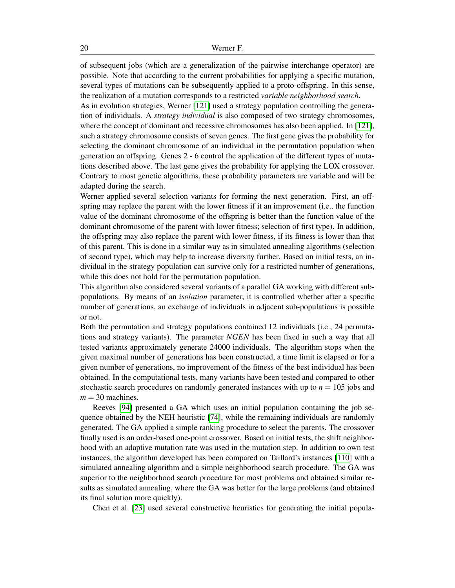of subsequent jobs (which are a generalization of the pairwise interchange operator) are possible. Note that according to the current probabilities for applying a specific mutation, several types of mutations can be subsequently applied to a proto-offspring. In this sense, the realization of a mutation corresponds to a restricted *variable neighborhood search*.

As in evolution strategies, Werner [\[121\]](#page-64-0) used a strategy population controlling the generation of individuals. A *strategy individual* is also composed of two strategy chromosomes, where the concept of dominant and recessive chromosomes has also been applied. In [\[121\]](#page-64-0), such a strategy chromosome consists of seven genes. The first gene gives the probability for selecting the dominant chromosome of an individual in the permutation population when generation an offspring. Genes 2 - 6 control the application of the different types of mutations described above. The last gene gives the probability for applying the LOX crossover. Contrary to most genetic algorithms, these probability parameters are variable and will be adapted during the search.

Werner applied several selection variants for forming the next generation. First, an offspring may replace the parent with the lower fitness if it an improvement (i.e., the function value of the dominant chromosome of the offspring is better than the function value of the dominant chromosome of the parent with lower fitness; selection of first type). In addition, the offspring may also replace the parent with lower fitness, if its fitness is lower than that of this parent. This is done in a similar way as in simulated annealing algorithms (selection of second type), which may help to increase diversity further. Based on initial tests, an individual in the strategy population can survive only for a restricted number of generations, while this does not hold for the permutation population.

This algorithm also considered several variants of a parallel GA working with different subpopulations. By means of an *isolation* parameter, it is controlled whether after a specific number of generations, an exchange of individuals in adjacent sub-populations is possible or not.

Both the permutation and strategy populations contained 12 individuals (i.e., 24 permutations and strategy variants). The parameter *NGEN* has been fixed in such a way that all tested variants approximately generate 24000 individuals. The algorithm stops when the given maximal number of generations has been constructed, a time limit is elapsed or for a given number of generations, no improvement of the fitness of the best individual has been obtained. In the computational tests, many variants have been tested and compared to other stochastic search procedures on randomly generated instances with up to  $n = 105$  jobs and  $m = 30$  machines.

Reeves [\[94\]](#page-62-6) presented a GA which uses an initial population containing the job sequence obtained by the NEH heuristic [\[74\]](#page-61-4), while the remaining individuals are randomly generated. The GA applied a simple ranking procedure to select the parents. The crossover finally used is an order-based one-point crossover. Based on initial tests, the shift neighborhood with an adaptive mutation rate was used in the mutation step. In addition to own test instances, the algorithm developed has been compared on Taillard's instances [\[110\]](#page-63-2) with a simulated annealing algorithm and a simple neighborhood search procedure. The GA was superior to the neighborhood search procedure for most problems and obtained similar results as simulated annealing, where the GA was better for the large problems (and obtained its final solution more quickly).

Chen et al. [\[23\]](#page-57-2) used several constructive heuristics for generating the initial popula-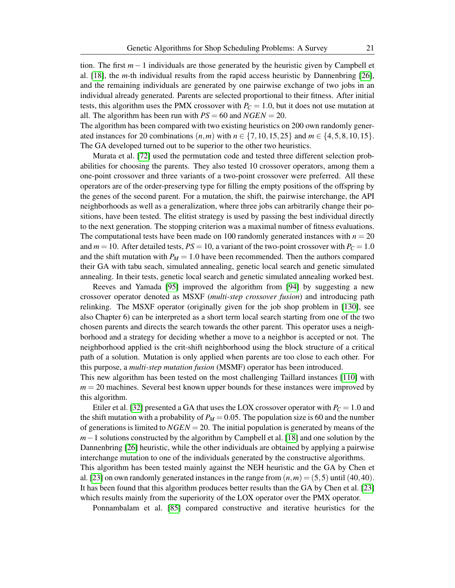tion. The first *m*−1 individuals are those generated by the heuristic given by Campbell et al. [\[18\]](#page-57-3), the *m*-th individual results from the rapid access heuristic by Dannenbring [\[26\]](#page-57-4), and the remaining individuals are generated by one pairwise exchange of two jobs in an individual already generated. Parents are selected proportional to their fitness. After initial tests, this algorithm uses the PMX crossover with  $P_C = 1.0$ , but it does not use mutation at all. The algorithm has been run with  $PS = 60$  and  $NGEN = 20$ .

The algorithm has been compared with two existing heuristics on 200 own randomly generated instances for 20 combinations  $(n,m)$  with  $n \in \{7,10,15,25\}$  and  $m \in \{4,5,8,10,15\}$ . The GA developed turned out to be superior to the other two heuristics.

Murata et al. [\[72\]](#page-61-5) used the permutation code and tested three different selection probabilities for choosing the parents. They also tested 10 crossover operators, among them a one-point crossover and three variants of a two-point crossover were preferred. All these operators are of the order-preserving type for filling the empty positions of the offspring by the genes of the second parent. For a mutation, the shift, the pairwise interchange, the API neighborhoods as well as a generalization, where three jobs can arbitrarily change their positions, have been tested. The elitist strategy is used by passing the best individual directly to the next generation. The stopping criterion was a maximal number of fitness evaluations. The computational tests have been made on 100 randomly generated instances with  $n = 20$ and  $m = 10$ . After detailed tests,  $PS = 10$ , a variant of the two-point crossover with  $P_C = 1.0$ and the shift mutation with  $P_M = 1.0$  have been recommended. Then the authors compared their GA with tabu seach, simulated annealing, genetic local search and genetic simulated annealing. In their tests, genetic local search and genetic simulated annealing worked best.

Reeves and Yamada [\[95\]](#page-62-7) improved the algorithm from [\[94\]](#page-62-6) by suggesting a new crossover operator denoted as MSXF (*multi-step crossover fusion*) and introducing path relinking. The MSXF operator (originally given for the job shop problem in [\[130\]](#page-64-5), see also Chapter 6) can be interpreted as a short term local search starting from one of the two chosen parents and directs the search towards the other parent. This operator uses a neighborhood and a strategy for deciding whether a move to a neighbor is accepted or not. The neighborhood applied is the crit-shift neighborhood using the block structure of a critical path of a solution. Mutation is only applied when parents are too close to each other. For this purpose, a *multi-step mutation fusion* (MSMF) operator has been introduced.

This new algorithm has been tested on the most challenging Taillard instances [\[110\]](#page-63-2) with  $m = 20$  machines. Several best known upper bounds for these instances were improved by this algorithm.

Etiler et al. [\[32\]](#page-58-6) presented a GA that uses the LOX crossover operator with  $P_C = 1.0$  and the shift mutation with a probability of  $P_M = 0.05$ . The population size is 60 and the number of generations is limited to *NGEN* = 20. The initial population is generated by means of the *m*−1 solutions constructed by the algorithm by Campbell et al. [\[18\]](#page-57-3) and one solution by the Dannenbring [\[26\]](#page-57-4) heuristic, while the other individuals are obtained by applying a pairwise interchange mutation to one of the individuals generated by the constructive algorithms. This algorithm has been tested mainly against the NEH heuristic and the GA by Chen et al. [\[23\]](#page-57-2) on own randomly generated instances in the range from  $(n,m) = (5,5)$  until (40,40). It has been found that this algorithm produces better results than the GA by Chen et al. [\[23\]](#page-57-2) which results mainly from the superiority of the LOX operator over the PMX operator.

Ponnambalam et al. [\[85\]](#page-61-6) compared constructive and iterative heuristics for the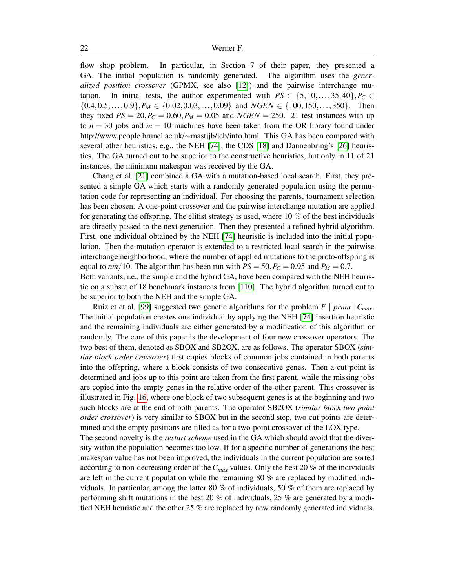flow shop problem. In particular, in Section 7 of their paper, they presented a GA. The initial population is randomly generated. The algorithm uses the *generalized position crossover* (GPMX, see also [\[12\]](#page-57-5)) and the pairwise interchange mutation. In initial tests, the author experimented with  $PS \in \{5, 10, \ldots, 35, 40\}$ ,  $P_C \in$  $\{0.4, 0.5, \ldots, 0.9\}, P_M \in \{0.02, 0.03, \ldots, 0.09\}$  and  $NGEN \in \{100, 150, \ldots, 350\}.$  Then they fixed  $PS = 20$ ,  $P_C = 0.60$ ,  $P_M = 0.05$  and  $NGEN = 250$ . 21 test instances with up to  $n = 30$  jobs and  $m = 10$  machines have been taken from the OR library found under http://www.people.brunel.ac.uk/∼mastjjb/jeb/info.html. This GA has been compared with several other heuristics, e.g., the NEH [\[74\]](#page-61-4), the CDS [\[18\]](#page-57-3) and Dannenbring's [\[26\]](#page-57-4) heuristics. The GA turned out to be superior to the constructive heuristics, but only in 11 of 21 instances, the minimum makespan was received by the GA.

Chang et al. [\[21\]](#page-57-6) combined a GA with a mutation-based local search. First, they presented a simple GA which starts with a randomly generated population using the permutation code for representing an individual. For choosing the parents, tournament selection has been chosen. A one-point crossover and the pairwise interchange mutation are applied for generating the offspring. The elitist strategy is used, where  $10\%$  of the best individuals are directly passed to the next generation. Then they presented a refined hybrid algorithm. First, one individual obtained by the NEH [\[74\]](#page-61-4) heuristic is included into the initial population. Then the mutation operator is extended to a restricted local search in the pairwise interchange neighborhood, where the number of applied mutations to the proto-offspring is equal to  $nm/10$ . The algorithm has been run with  $PS = 50$ ,  $P_C = 0.95$  and  $P_M = 0.7$ .

Both variants, i.e., the simple and the hybrid GA, have been compared with the NEH heuristic on a subset of 18 benchmark instances from [\[110\]](#page-63-2). The hybrid algorithm turned out to be superior to both the NEH and the simple GA.

Ruiz et et al. [\[99\]](#page-62-8) suggested two genetic algorithms for the problem  $F \mid \text{prmu} \mid C_{\text{max}}$ . The initial population creates one individual by applying the NEH [\[74\]](#page-61-4) insertion heuristic and the remaining individuals are either generated by a modification of this algorithm or randomly. The core of this paper is the development of four new crossover operators. The two best of them, denoted as SBOX and SB2OX, are as follows. The operator SBOX (*similar block order crossover*) first copies blocks of common jobs contained in both parents into the offspring, where a block consists of two consecutive genes. Then a cut point is determined and jobs up to this point are taken from the first parent, while the missing jobs are copied into the empty genes in the relative order of the other parent. This crossover is illustrated in Fig. [16,](#page-22-0) where one block of two subsequent genes is at the beginning and two such blocks are at the end of both parents. The operator SB2OX (*similar block two-point order crossover*) is very similar to SBOX but in the second step, two cut points are determined and the empty positions are filled as for a two-point crossover of the LOX type.

The second novelty is the *restart scheme* used in the GA which should avoid that the diversity within the population becomes too low. If for a specific number of generations the best makespan value has not been improved, the individuals in the current population are sorted according to non-decreasing order of the *Cmax* values. Only the best 20 % of the individuals are left in the current population while the remaining 80 % are replaced by modified individuals. In particular, among the latter 80 % of individuals, 50 % of them are replaced by performing shift mutations in the best 20 % of individuals, 25 % are generated by a modified NEH heuristic and the other 25 % are replaced by new randomly generated individuals.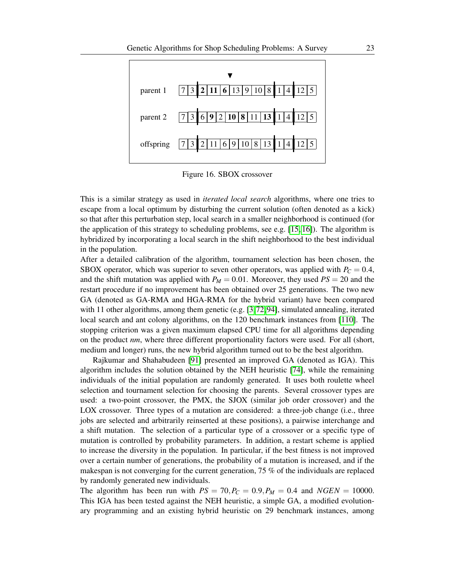

<span id="page-22-0"></span>Figure 16. SBOX crossover

This is a similar strategy as used in *iterated local search* algorithms, where one tries to escape from a local optimum by disturbing the current solution (often denoted as a kick) so that after this perturbation step, local search in a smaller neighborhood is continued (for the application of this strategy to scheduling problems, see e.g.  $[15, 16]$  $[15, 16]$ ). The algorithm is hybridized by incorporating a local search in the shift neighborhood to the best individual in the population.

After a detailed calibration of the algorithm, tournament selection has been chosen, the SBOX operator, which was superior to seven other operators, was applied with  $P_C = 0.4$ , and the shift mutation was applied with  $P_M = 0.01$ . Moreover, they used  $PS = 20$  and the restart procedure if no improvement has been obtained over 25 generations. The two new GA (denoted as GA-RMA and HGA-RMA for the hybrid variant) have been compared with 11 other algorithms, among them genetic (e.g.  $[3,72,94]$  $[3,72,94]$  $[3,72,94]$ , simulated annealing, iterated local search and ant colony algorithms, on the 120 benchmark instances from [\[110\]](#page-63-2). The stopping criterion was a given maximum elapsed CPU time for all algorithms depending on the product *nm*, where three different proportionality factors were used. For all (short, medium and longer) runs, the new hybrid algorithm turned out to be the best algorithm.

Rajkumar and Shahabudeen [\[91\]](#page-62-9) presented an improved GA (denoted as IGA). This algorithm includes the solution obtained by the NEH heuristic [\[74\]](#page-61-4), while the remaining individuals of the initial population are randomly generated. It uses both roulette wheel selection and tournament selection for choosing the parents. Several crossover types are used: a two-point crossover, the PMX, the SJOX (similar job order crossover) and the LOX crossover. Three types of a mutation are considered: a three-job change (i.e., three jobs are selected and arbitrarily reinserted at these positions), a pairwise interchange and a shift mutation. The selection of a particular type of a crossover or a specific type of mutation is controlled by probability parameters. In addition, a restart scheme is applied to increase the diversity in the population. In particular, if the best fitness is not improved over a certain number of generations, the probability of a mutation is increased, and if the makespan is not converging for the current generation, 75 % of the individuals are replaced by randomly generated new individuals.

The algorithm has been run with  $PS = 70, P_C = 0.9, P_M = 0.4$  and  $NGEN = 10000$ . This IGA has been tested against the NEH heuristic, a simple GA, a modified evolutionary programming and an existing hybrid heuristic on 29 benchmark instances, among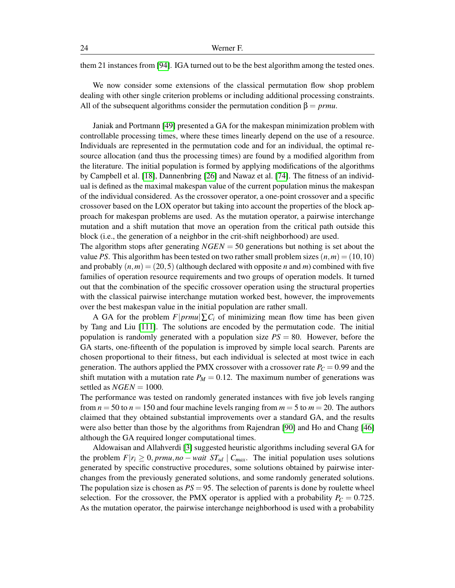them 21 instances from [\[94\]](#page-62-6). IGA turned out to be the best algorithm among the tested ones.

We now consider some extensions of the classical permutation flow shop problem dealing with other single criterion problems or including additional processing constraints. All of the subsequent algorithms consider the permutation condition  $\beta = prmu$ .

Janiak and Portmann [\[49\]](#page-59-6) presented a GA for the makespan minimization problem with controllable processing times, where these times linearly depend on the use of a resource. Individuals are represented in the permutation code and for an individual, the optimal resource allocation (and thus the processing times) are found by a modified algorithm from the literature. The initial population is formed by applying modifications of the algorithms by Campbell et al. [\[18\]](#page-57-3), Dannenbring [\[26\]](#page-57-4) and Nawaz et al. [\[74\]](#page-61-4). The fitness of an individual is defined as the maximal makespan value of the current population minus the makespan of the individual considered. As the crossover operator, a one-point crossover and a specific crossover based on the LOX operator but taking into account the properties of the block approach for makespan problems are used. As the mutation operator, a pairwise interchange mutation and a shift mutation that move an operation from the critical path outside this block (i.e., the generation of a neighbor in the crit-shift neighborhood) are used.

The algorithm stops after generating  $NGEN = 50$  generations but nothing is set about the value *PS*. This algorithm has been tested on two rather small problem sizes  $(n,m) = (10,10)$ and probably  $(n,m) = (20,5)$  (although declared with opposite *n* and *m*) combined with five families of operation resource requirements and two groups of operation models. It turned out that the combination of the specific crossover operation using the structural properties with the classical pairwise interchange mutation worked best, however, the improvements over the best makespan value in the initial population are rather small.

A GA for the problem  $F|prmu|\sum C_i$  of minimizing mean flow time has been given by Tang and Liu [\[111\]](#page-63-5). The solutions are encoded by the permutation code. The initial population is randomly generated with a population size *PS* = 80. However, before the GA starts, one-fifteenth of the population is improved by simple local search. Parents are chosen proportional to their fitness, but each individual is selected at most twice in each generation. The authors applied the PMX crossover with a crossover rate  $P_C = 0.99$  and the shift mutation with a mutation rate  $P_M = 0.12$ . The maximum number of generations was settled as *NGEN* = 1000.

The performance was tested on randomly generated instances with five job levels ranging from  $n = 50$  to  $n = 150$  and four machine levels ranging from  $m = 5$  to  $m = 20$ . The authors claimed that they obtained substantial improvements over a standard GA, and the results were also better than those by the algorithms from Rajendran [\[90\]](#page-62-10) and Ho and Chang [\[46\]](#page-59-7) although the GA required longer computational times.

Aldowaisan and Allahverdi [\[3\]](#page-56-7) suggested heuristic algorithms including several GA for the problem  $F|r_i \geq 0, prmu, no - wait ST_{sd} | C_{max}$ . The initial population uses solutions generated by specific constructive procedures, some solutions obtained by pairwise interchanges from the previously generated solutions, and some randomly generated solutions. The population size is chosen as  $PS = 95$ . The selection of parents is done by roulette wheel selection. For the crossover, the PMX operator is applied with a probability  $P_C = 0.725$ . As the mutation operator, the pairwise interchange neighborhood is used with a probability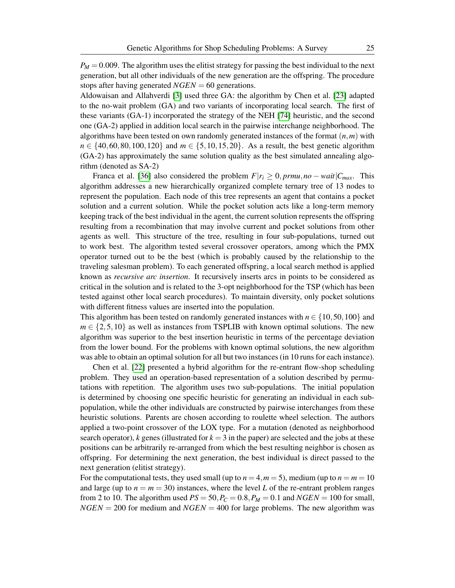$P_M = 0.009$ . The algorithm uses the elitist strategy for passing the best individual to the next generation, but all other individuals of the new generation are the offspring. The procedure stops after having generated *NGEN* = 60 generations.

Aldowaisan and Allahverdi [\[3\]](#page-56-7) used three GA: the algorithm by Chen et al. [\[23\]](#page-57-2) adapted to the no-wait problem (GA) and two variants of incorporating local search. The first of these variants (GA-1) incorporated the strategy of the NEH [\[74\]](#page-61-4) heuristic, and the second one (GA-2) applied in addition local search in the pairwise interchange neighborhood. The algorithms have been tested on own randomly generated instances of the format (*n*,*m*) with *n* ∈ {40,60,80,100,120} and *m* ∈ {5,10,15,20}. As a result, the best genetic algorithm (GA-2) has approximately the same solution quality as the best simulated annealing algorithm (denoted as SA-2)

Franca et al. [\[36\]](#page-58-7) also considered the problem  $F|r_i \geq 0, prmu, no - wait|C_{max}$ . This algorithm addresses a new hierarchically organized complete ternary tree of 13 nodes to represent the population. Each node of this tree represents an agent that contains a pocket solution and a current solution. While the pocket solution acts like a long-term memory keeping track of the best individual in the agent, the current solution represents the offspring resulting from a recombination that may involve current and pocket solutions from other agents as well. This structure of the tree, resulting in four sub-populations, turned out to work best. The algorithm tested several crossover operators, among which the PMX operator turned out to be the best (which is probably caused by the relationship to the traveling salesman problem). To each generated offspring, a local search method is applied known as *recursive arc insertion*. It recursively inserts arcs in points to be considered as critical in the solution and is related to the 3-opt neighborhood for the TSP (which has been tested against other local search procedures). To maintain diversity, only pocket solutions with different fitness values are inserted into the population.

This algorithm has been tested on randomly generated instances with  $n \in \{10, 50, 100\}$  and  $m \in \{2, 5, 10\}$  as well as instances from TSPLIB with known optimal solutions. The new algorithm was superior to the best insertion heuristic in terms of the percentage deviation from the lower bound. For the problems with known optimal solutions, the new algorithm was able to obtain an optimal solution for all but two instances (in 10 runs for each instance).

Chen et al. [\[22\]](#page-57-9) presented a hybrid algorithm for the re-entrant flow-shop scheduling problem. They used an operation-based representation of a solution described by permutations with repetition. The algorithm uses two sub-populations. The initial population is determined by choosing one specific heuristic for generating an individual in each subpopulation, while the other individuals are constructed by pairwise interchanges from these heuristic solutions. Parents are chosen according to roulette wheel selection. The authors applied a two-point crossover of the LOX type. For a mutation (denoted as neighborhood search operator), *k* genes (illustrated for  $k = 3$  in the paper) are selected and the jobs at these positions can be arbitrarily re-arranged from which the best resulting neighbor is chosen as offspring. For determining the next generation, the best individual is direct passed to the next generation (elitist strategy).

For the computational tests, they used small (up to  $n = 4, m = 5$ ), medium (up to  $n = m = 10$ and large (up to  $n = m = 30$ ) instances, where the level *L* of the re-entrant problem ranges from 2 to 10. The algorithm used  $PS = 50$ ,  $P_C = 0.8$ ,  $P_M = 0.1$  and  $NGEN = 100$  for small,  $NGEN = 200$  for medium and  $NGEN = 400$  for large problems. The new algorithm was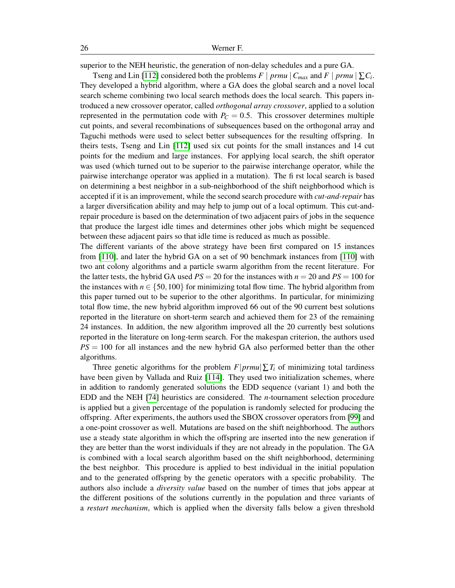superior to the NEH heuristic, the generation of non-delay schedules and a pure GA.

Tseng and Lin [\[112\]](#page-63-6) considered both the problems  $F \mid prmu \mid C_{max}$  and  $F \mid prmu \mid \sum C_i$ . They developed a hybrid algorithm, where a GA does the global search and a novel local search scheme combining two local search methods does the local search. This papers introduced a new crossover operator, called *orthogonal array crossover*, applied to a solution represented in the permutation code with  $P_C = 0.5$ . This crossover determines multiple cut points, and several recombinations of subsequences based on the orthogonal array and Taguchi methods were used to select better subsequences for the resulting offspring. In theirs tests, Tseng and Lin [\[112\]](#page-63-6) used six cut points for the small instances and 14 cut points for the medium and large instances. For applying local search, the shift operator was used (which turned out to be superior to the pairwise interchange operator, while the pairwise interchange operator was applied in a mutation). The fi rst local search is based on determining a best neighbor in a sub-neighborhood of the shift neighborhood which is accepted if it is an improvement, while the second search procedure with *cut-and-repair* has a larger diversification ability and may help to jump out of a local optimum. This cut-andrepair procedure is based on the determination of two adjacent pairs of jobs in the sequence that produce the largest idle times and determines other jobs which might be sequenced between these adjacent pairs so that idle time is reduced as much as possible.

The different variants of the above strategy have been first compared on 15 instances from [\[110\]](#page-63-2), and later the hybrid GA on a set of 90 benchmark instances from [\[110\]](#page-63-2) with two ant colony algorithms and a particle swarm algorithm from the recent literature. For the latter tests, the hybrid GA used  $PS = 20$  for the instances with  $n = 20$  and  $PS = 100$  for the instances with  $n \in \{50,100\}$  for minimizing total flow time. The hybrid algorithm from this paper turned out to be superior to the other algorithms. In particular, for minimizing total flow time, the new hybrid algorithm improved 66 out of the 90 current best solutions reported in the literature on short-term search and achieved them for 23 of the remaining 24 instances. In addition, the new algorithm improved all the 20 currently best solutions reported in the literature on long-term search. For the makespan criterion, the authors used *PS* = 100 for all instances and the new hybrid GA also performed better than the other algorithms.

Three genetic algorithms for the problem  $F|prmu|\sum T_i$  of minimizing total tardiness have been given by Vallada and Ruiz [\[114\]](#page-63-7). They used two initialization schemes, where in addition to randomly generated solutions the EDD sequence (variant 1) and both the EDD and the NEH [\[74\]](#page-61-4) heuristics are considered. The *n*-tournament selection procedure is applied but a given percentage of the population is randomly selected for producing the offspring. After experiments, the authors used the SBOX crossover operators from [\[99\]](#page-62-8) and a one-point crossover as well. Mutations are based on the shift neighborhood. The authors use a steady state algorithm in which the offspring are inserted into the new generation if they are better than the worst individuals if they are not already in the population. The GA is combined with a local search algorithm based on the shift neighborhood, determining the best neighbor. This procedure is applied to best individual in the initial population and to the generated offspring by the genetic operators with a specific probability. The authors also include a *diversity value* based on the number of times that jobs appear at the different positions of the solutions currently in the population and three variants of a *restart mechanism*, which is applied when the diversity falls below a given threshold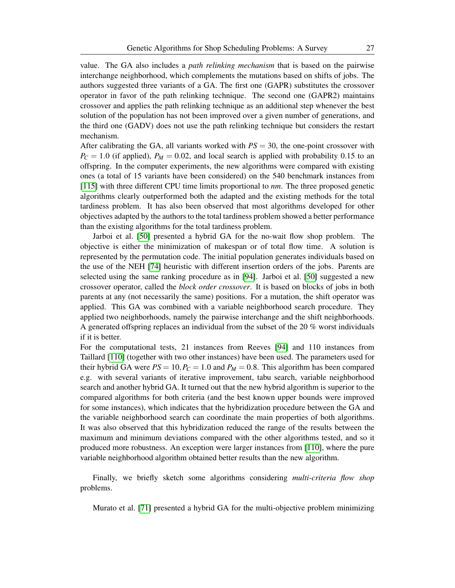value. The GA also includes a *path relinking mechanism* that is based on the pairwise interchange neighborhood, which complements the mutations based on shifts of jobs. The authors suggested three variants of a GA. The first one (GAPR) substitutes the crossover operator in favor of the path relinking technique. The second one (GAPR2) maintains crossover and applies the path relinking technique as an additional step whenever the best solution of the population has not been improved over a given number of generations, and the third one (GADV) does not use the path relinking technique but considers the restart mechanism.

After calibrating the GA, all variants worked with *PS* = 30, the one-point crossover with  $P_C = 1.0$  (if applied),  $P_M = 0.02$ , and local search is applied with probability 0.15 to an offspring. In the computer experiments, the new algorithms were compared with existing ones (a total of 15 variants have been considered) on the 540 benchmark instances from [\[115\]](#page-63-0) with three different CPU time limits proportional to *nm*. The three proposed genetic algorithms clearly outperformed both the adapted and the existing methods for the total tardiness problem. It has also been observed that most algorithms developed for other objectives adapted by the authors to the total tardiness problem showed a better performance than the existing algorithms for the total tardiness problem.

Jarboi et al. [\[50\]](#page-59-8) presented a hybrid GA for the no-wait flow shop problem. The objective is either the minimization of makespan or of total flow time. A solution is represented by the permutation code. The initial population generates individuals based on the use of the NEH [\[74\]](#page-61-4) heuristic with different insertion orders of the jobs. Parents are selected using the same ranking procedure as in [\[94\]](#page-62-6). Jarboi et al. [\[50\]](#page-59-8) suggested a new crossover operator, called the *block order crossover*. It is based on blocks of jobs in both parents at any (not necessarily the same) positions. For a mutation, the shift operator was applied. This GA was combined with a variable neighborhood search procedure. They applied two neighborhoods, namely the pairwise interchange and the shift neighborhoods. A generated offspring replaces an individual from the subset of the 20 % worst individuals if it is better.

For the computational tests, 21 instances from Reeves [\[94\]](#page-62-6) and 110 instances from Taillard [\[110\]](#page-63-2) (together with two other instances) have been used. The parameters used for their hybrid GA were  $PS = 10$ ,  $P_C = 1.0$  and  $P_M = 0.8$ . This algorithm has been compared e.g. with several variants of iterative improvement, tabu search, variable neighborhood search and another hybrid GA. It turned out that the new hybrid algorithm is superior to the compared algorithms for both criteria (and the best known upper bounds were improved for some instances), which indicates that the hybridization procedure between the GA and the variable neighborhood search can coordinate the main properties of both algorithms. It was also observed that this hybridization reduced the range of the results between the maximum and minimum deviations compared with the other algorithms tested, and so it produced more robustness. An exception were larger instances from [\[110\]](#page-63-2), where the pure variable neighborhood algorithm obtained better results than the new algorithm.

Finally, we briefly sketch some algorithms considering *multi-criteria flow shop* problems.

Murato et al. [\[71\]](#page-60-1) presented a hybrid GA for the multi-objective problem minimizing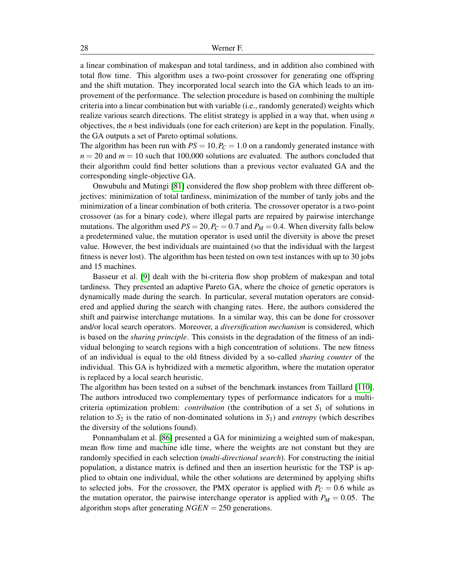a linear combination of makespan and total tardiness, and in addition also combined with total flow time. This algorithm uses a two-point crossover for generating one offspring and the shift mutation. They incorporated local search into the GA which leads to an improvement of the performance. The selection procedure is based on combining the multiple criteria into a linear combination but with variable (i.e., randomly generated) weights which realize various search directions. The elitist strategy is applied in a way that, when using *n* objectives, the *n* best individuals (one for each criterion) are kept in the population. Finally, the GA outputs a set of Pareto optimal solutions.

The algorithm has been run with  $PS = 10$ ,  $P_C = 1.0$  on a randomly generated instance with  $n = 20$  and  $m = 10$  such that 100,000 solutions are evaluated. The authors concluded that their algorithm could find better solutions than a previous vector evaluated GA and the corresponding single-objective GA.

Onwubulu and Mutingi [\[81\]](#page-61-1) considered the flow shop problem with three different objectives: minimization of total tardiness, minimization of the number of tardy jobs and the minimization of a linear combination of both criteria. The crossover operator is a two-point crossover (as for a binary code), where illegal parts are repaired by pairwise interchange mutations. The algorithm used  $PS = 20$ ,  $P_C = 0.7$  and  $P_M = 0.4$ . When diversity falls below a predetermined value, the mutation operator is used until the diversity is above the preset value. However, the best individuals are maintained (so that the individual with the largest fitness is never lost). The algorithm has been tested on own test instances with up to 30 jobs and 15 machines.

Basseur et al. [\[9\]](#page-56-8) dealt with the bi-criteria flow shop problem of makespan and total tardiness. They presented an adaptive Pareto GA, where the choice of genetic operators is dynamically made during the search. In particular, several mutation operators are considered and applied during the search with changing rates. Here, the authors considered the shift and pairwise interchange mutations. In a similar way, this can be done for crossover and/or local search operators. Moreover, a *diversification mechanism* is considered, which is based on the *sharing principle*. This consists in the degradation of the fitness of an individual belonging to search regions with a high concentration of solutions. The new fitness of an individual is equal to the old fitness divided by a so-called *sharing counter* of the individual. This GA is hybridized with a memetic algorithm, where the mutation operator is replaced by a local search heuristic.

The algorithm has been tested on a subset of the benchmark instances from Taillard [\[110\]](#page-63-2). The authors introduced two complementary types of performance indicators for a multicriteria optimization problem: *contribution* (the contribution of a set  $S_1$  of solutions in relation to  $S_2$  is the ratio of non-dominated solutions in  $S_1$ ) and *entropy* (which describes the diversity of the solutions found).

Ponnambalam et al. [\[86\]](#page-61-7) presented a GA for minimizing a weighted sum of makespan, mean flow time and machine idle time, where the weights are not constant but they are randomly specified in each selection (*multi-directional search*). For constructing the initial population, a distance matrix is defined and then an insertion heuristic for the TSP is applied to obtain one individual, while the other solutions are determined by applying shifts to selected jobs. For the crossover, the PMX operator is applied with  $P_C = 0.6$  while as the mutation operator, the pairwise interchange operator is applied with  $P_M = 0.05$ . The algorithm stops after generating *NGEN* = 250 generations.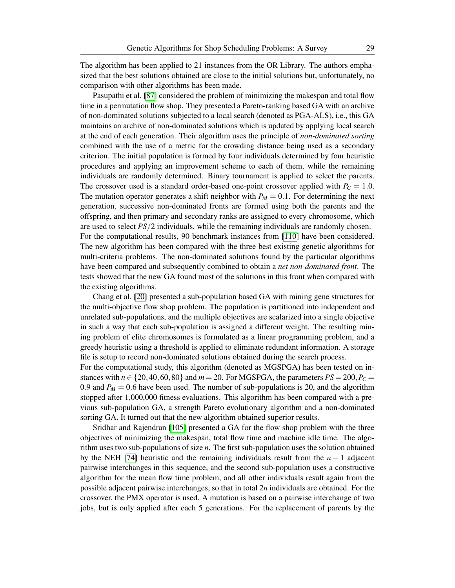The algorithm has been applied to 21 instances from the OR Library. The authors emphasized that the best solutions obtained are close to the initial solutions but, unfortunately, no comparison with other algorithms has been made.

Pasupathi et al. [\[87\]](#page-62-11) considered the problem of minimizing the makespan and total flow time in a permutation flow shop. They presented a Pareto-ranking based GA with an archive of non-dominated solutions subjected to a local search (denoted as PGA-ALS), i.e., this GA maintains an archive of non-dominated solutions which is updated by applying local search at the end of each generation. Their algorithm uses the principle of *non-dominated sorting* combined with the use of a metric for the crowding distance being used as a secondary criterion. The initial population is formed by four individuals determined by four heuristic procedures and applying an improvement scheme to each of them, while the remaining individuals are randomly determined. Binary tournament is applied to select the parents. The crossover used is a standard order-based one-point crossover applied with  $P_C = 1.0$ . The mutation operator generates a shift neighbor with  $P_M = 0.1$ . For determining the next generation, successive non-dominated fronts are formed using both the parents and the offspring, and then primary and secondary ranks are assigned to every chromosome, which are used to select *PS*/2 individuals, while the remaining individuals are randomly chosen. For the computational results, 90 benchmark instances from [\[110\]](#page-63-2) have been considered. The new algorithm has been compared with the three best existing genetic algorithms for multi-criteria problems. The non-dominated solutions found by the particular algorithms have been compared and subsequently combined to obtain a *net non-dominated front*. The tests showed that the new GA found most of the solutions in this front when compared with the existing algorithms.

Chang et al. [\[20\]](#page-57-10) presented a sub-population based GA with mining gene structures for the multi-objective flow shop problem. The population is partitioned into independent and unrelated sub-populations, and the multiple objectives are scalarized into a single objective in such a way that each sub-population is assigned a different weight. The resulting mining problem of elite chromosomes is formulated as a linear programming problem, and a greedy heuristic using a threshold is applied to eliminate redundant information. A storage file is setup to record non-dominated solutions obtained during the search process.

For the computational study, this algorithm (denoted as MGSPGA) has been tested on instances with  $n \in \{20, 40, 60, 80\}$  and  $m = 20$ . For MGSPGA, the parameters  $PS = 200$ ,  $P_C =$ 0.9 and  $P_M = 0.6$  have been used. The number of sub-populations is 20, and the algorithm stopped after 1,000,000 fitness evaluations. This algorithm has been compared with a previous sub-population GA, a strength Pareto evolutionary algorithm and a non-dominated sorting GA. It turned out that the new algorithm obtained superior results.

Sridhar and Rajendran [\[105\]](#page-63-8) presented a GA for the flow shop problem with the three objectives of minimizing the makespan, total flow time and machine idle time. The algorithm uses two sub-populations of size *n*. The first sub-population uses the solution obtained by the NEH [\[74\]](#page-61-4) heuristic and the remaining individuals result from the  $n-1$  adjacent pairwise interchanges in this sequence, and the second sub-population uses a constructive algorithm for the mean flow time problem, and all other individuals result again from the possible adjacent pairwise interchanges, so that in total 2*n* individuals are obtained. For the crossover, the PMX operator is used. A mutation is based on a pairwise interchange of two jobs, but is only applied after each 5 generations. For the replacement of parents by the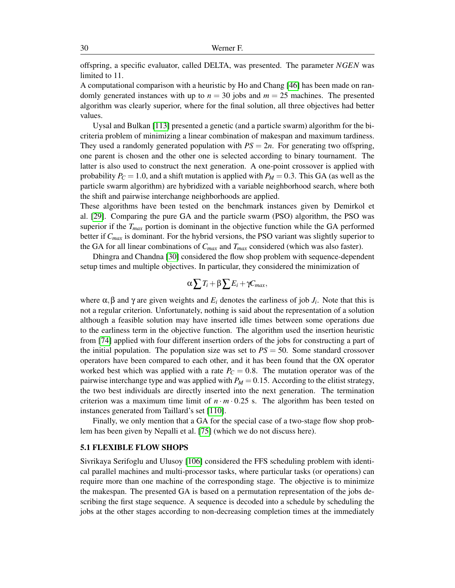offspring, a specific evaluator, called DELTA, was presented. The parameter *NGEN* was limited to 11.

A computational comparison with a heuristic by Ho and Chang [\[46\]](#page-59-7) has been made on randomly generated instances with up to  $n = 30$  jobs and  $m = 25$  machines. The presented algorithm was clearly superior, where for the final solution, all three objectives had better values.

Uysal and Bulkan [\[113\]](#page-63-9) presented a genetic (and a particle swarm) algorithm for the bicriteria problem of minimizing a linear combination of makespan and maximum tardiness. They used a randomly generated population with  $PS = 2n$ . For generating two offspring, one parent is chosen and the other one is selected according to binary tournament. The latter is also used to construct the next generation. A one-point crossover is applied with probability  $P_C = 1.0$ , and a shift mutation is applied with  $P_M = 0.3$ . This GA (as well as the particle swarm algorithm) are hybridized with a variable neighborhood search, where both the shift and pairwise interchange neighborhoods are applied.

These algorithms have been tested on the benchmark instances given by Demirkol et al. [\[29\]](#page-58-2). Comparing the pure GA and the particle swarm (PSO) algorithm, the PSO was superior if the  $T_{max}$  portion is dominant in the objective function while the GA performed better if *Cmax* is dominant. For the hybrid versions, the PSO variant was slightly superior to the GA for all linear combinations of *Cmax* and *Tmax* considered (which was also faster).

Dhingra and Chandna [\[30\]](#page-58-8) considered the flow shop problem with sequence-dependent setup times and multiple objectives. In particular, they considered the minimization of

$$
\alpha \sum T_i + \beta \sum E_i + \gamma C_{max},
$$

where  $\alpha$ ,  $\beta$  and  $\gamma$  are given weights and  $E_i$  denotes the earliness of job  $J_i$ . Note that this is not a regular criterion. Unfortunately, nothing is said about the representation of a solution although a feasible solution may have inserted idle times between some operations due to the earliness term in the objective function. The algorithm used the insertion heuristic from [\[74\]](#page-61-4) applied with four different insertion orders of the jobs for constructing a part of the initial population. The population size was set to  $PS = 50$ . Some standard crossover operators have been compared to each other, and it has been found that the OX operator worked best which was applied with a rate  $P_C = 0.8$ . The mutation operator was of the pairwise interchange type and was applied with  $P_M = 0.15$ . According to the elitist strategy, the two best individuals are directly inserted into the next generation. The termination criterion was a maximum time limit of  $n \cdot m \cdot 0.25$  s. The algorithm has been tested on instances generated from Taillard's set [\[110\]](#page-63-2).

Finally, we only mention that a GA for the special case of a two-stage flow shop problem has been given by Nepalli et al. [\[75\]](#page-61-8) (which we do not discuss here).

#### 5.1 FLEXIBLE FLOW SHOPS

Sivrikaya Serifoglu and Ulusoy [\[106\]](#page-63-10) considered the FFS scheduling problem with identical parallel machines and multi-processor tasks, where particular tasks (or operations) can require more than one machine of the corresponding stage. The objective is to minimize the makespan. The presented GA is based on a permutation representation of the jobs describing the first stage sequence. A sequence is decoded into a schedule by scheduling the jobs at the other stages according to non-decreasing completion times at the immediately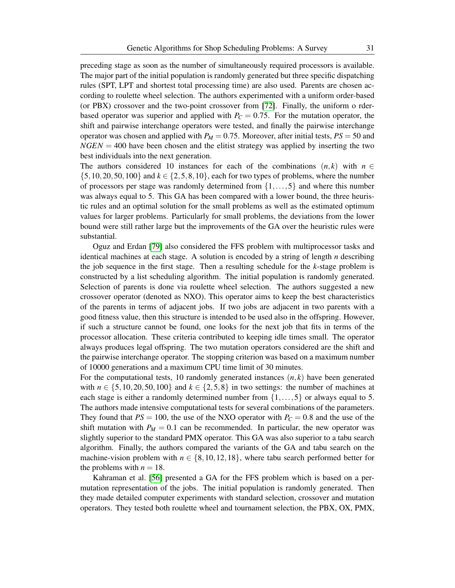preceding stage as soon as the number of simultaneously required processors is available. The major part of the initial population is randomly generated but three specific dispatching rules (SPT, LPT and shortest total processing time) are also used. Parents are chosen according to roulette wheel selection. The authors experimented with a uniform order-based (or PBX) crossover and the two-point crossover from [\[72\]](#page-61-5). Finally, the uniform o rderbased operator was superior and applied with  $P_C = 0.75$ . For the mutation operator, the shift and pairwise interchange operators were tested, and finally the pairwise interchange operator was chosen and applied with  $P_M = 0.75$ . Moreover, after initial tests,  $PS = 50$  and  $NGEN = 400$  have been chosen and the elitist strategy was applied by inserting the two best individuals into the next generation.

The authors considered 10 instances for each of the combinations  $(n, k)$  with  $n \in$  $\{5,10,20,50,100\}$  and  $k \in \{2,5,8,10\}$ , each for two types of problems, where the number of processors per stage was randomly determined from  $\{1,\ldots,5\}$  and where this number was always equal to 5. This GA has been compared with a lower bound, the three heuristic rules and an optimal solution for the small problems as well as the estimated optimum values for larger problems. Particularly for small problems, the deviations from the lower bound were still rather large but the improvements of the GA over the heuristic rules were substantial.

Oguz and Erdan [\[79\]](#page-61-9) also considered the FFS problem with multiprocessor tasks and identical machines at each stage. A solution is encoded by a string of length *n* describing the job sequence in the first stage. Then a resulting schedule for the *k*-stage problem is constructed by a list scheduling algorithm. The initial population is randomly generated. Selection of parents is done via roulette wheel selection. The authors suggested a new crossover operator (denoted as NXO). This operator aims to keep the best characteristics of the parents in terms of adjacent jobs. If two jobs are adjacent in two parents with a good fitness value, then this structure is intended to be used also in the offspring. However, if such a structure cannot be found, one looks for the next job that fits in terms of the processor allocation. These criteria contributed to keeping idle times small. The operator always produces legal offspring. The two mutation operators considered are the shift and the pairwise interchange operator. The stopping criterion was based on a maximum number of 10000 generations and a maximum CPU time limit of 30 minutes.

For the computational tests, 10 randomly generated instances  $(n, k)$  have been generated with  $n \in \{5, 10, 20, 50, 100\}$  and  $k \in \{2, 5, 8\}$  in two settings: the number of machines at each stage is either a randomly determined number from  $\{1,\ldots,5\}$  or always equal to 5. The authors made intensive computational tests for several combinations of the parameters. They found that  $PS = 100$ , the use of the NXO operator with  $P_C = 0.8$  and the use of the shift mutation with  $P_M = 0.1$  can be recommended. In particular, the new operator was slightly superior to the standard PMX operator. This GA was also superior to a tabu search algorithm. Finally, the authors compared the variants of the GA and tabu search on the machine-vision problem with  $n \in \{8, 10, 12, 18\}$ , where tabu search performed better for the problems with  $n = 18$ .

Kahraman et al. [\[56\]](#page-59-9) presented a GA for the FFS problem which is based on a permutation representation of the jobs. The initial population is randomly generated. Then they made detailed computer experiments with standard selection, crossover and mutation operators. They tested both roulette wheel and tournament selection, the PBX, OX, PMX,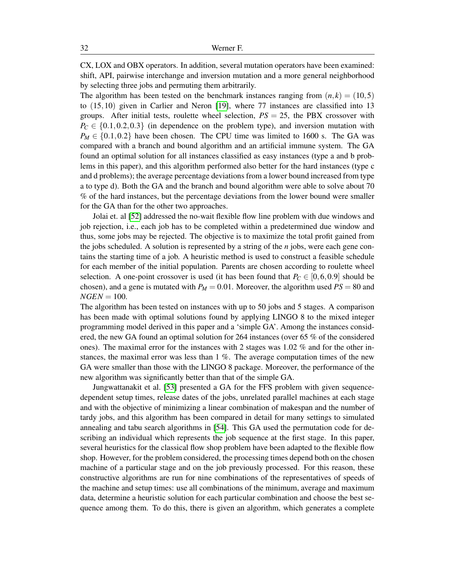CX, LOX and OBX operators. In addition, several mutation operators have been examined: shift, API, pairwise interchange and inversion mutation and a more general neighborhood by selecting three jobs and permuting them arbitrarily.

The algorithm has been tested on the benchmark instances ranging from  $(n, k) = (10, 5)$ to (15,10) given in Carlier and Neron [\[19\]](#page-57-11), where 77 instances are classified into 13 groups. After initial tests, roulette wheel selection, *PS* = 25, the PBX crossover with  $P_C \in \{0.1, 0.2, 0.3\}$  (in dependence on the problem type), and inversion mutation with  $P_M \in \{0.1, 0.2\}$  have been chosen. The CPU time was limited to 1600 s. The GA was compared with a branch and bound algorithm and an artificial immune system. The GA found an optimal solution for all instances classified as easy instances (type a and b problems in this paper), and this algorithm performed also better for the hard instances (type c and d problems); the average percentage deviations from a lower bound increased from type a to type d). Both the GA and the branch and bound algorithm were able to solve about 70 % of the hard instances, but the percentage deviations from the lower bound were smaller for the GA than for the other two approaches.

Jolai et. al [\[52\]](#page-59-10) addressed the no-wait flexible flow line problem with due windows and job rejection, i.e., each job has to be completed within a predetermined due window and thus, some jobs may be rejected. The objective is to maximize the total profit gained from the jobs scheduled. A solution is represented by a string of the *n* jobs, were each gene contains the starting time of a job. A heuristic method is used to construct a feasible schedule for each member of the initial population. Parents are chosen according to roulette wheel selection. A one-point crossover is used (it has been found that  $P_C \in [0, 6, 0.9]$  should be chosen), and a gene is mutated with  $P_M = 0.01$ . Moreover, the algorithm used  $PS = 80$  and  $NGEN = 100$ .

The algorithm has been tested on instances with up to 50 jobs and 5 stages. A comparison has been made with optimal solutions found by applying LINGO 8 to the mixed integer programming model derived in this paper and a 'simple GA'. Among the instances considered, the new GA found an optimal solution for 264 instances (over 65 % of the considered ones). The maximal error for the instances with 2 stages was 1.02 % and for the other instances, the maximal error was less than 1 %. The average computation times of the new GA were smaller than those with the LINGO 8 package. Moreover, the performance of the new algorithm was significantly better than that of the simple GA.

Jungwattanakit et al. [\[53\]](#page-59-11) presented a GA for the FFS problem with given sequencedependent setup times, release dates of the jobs, unrelated parallel machines at each stage and with the objective of minimizing a linear combination of makespan and the number of tardy jobs, and this algorithm has been compared in detail for many settings to simulated annealing and tabu search algorithms in [\[54\]](#page-59-12). This GA used the permutation code for describing an individual which represents the job sequence at the first stage. In this paper, several heuristics for the classical flow shop problem have been adapted to the flexible flow shop. However, for the problem considered, the processing times depend both on the chosen machine of a particular stage and on the job previously processed. For this reason, these constructive algorithms are run for nine combinations of the representatives of speeds of the machine and setup times: use all combinations of the minimum, average and maximum data, determine a heuristic solution for each particular combination and choose the best sequence among them. To do this, there is given an algorithm, which generates a complete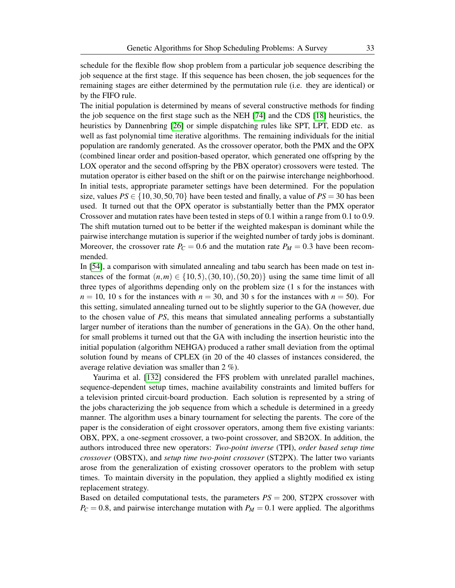schedule for the flexible flow shop problem from a particular job sequence describing the job sequence at the first stage. If this sequence has been chosen, the job sequences for the remaining stages are either determined by the permutation rule (i.e. they are identical) or by the FIFO rule.

The initial population is determined by means of several constructive methods for finding the job sequence on the first stage such as the NEH [\[74\]](#page-61-4) and the CDS [\[18\]](#page-57-3) heuristics, the heuristics by Dannenbring [\[26\]](#page-57-4) or simple dispatching rules like SPT, LPT, EDD etc. as well as fast polynomial time iterative algorithms. The remaining individuals for the initial population are randomly generated. As the crossover operator, both the PMX and the OPX (combined linear order and position-based operator, which generated one offspring by the LOX operator and the second offspring by the PBX operator) crossovers were tested. The mutation operator is either based on the shift or on the pairwise interchange neighborhood. In initial tests, appropriate parameter settings have been determined. For the population size, values  $PS \in \{10, 30, 50, 70\}$  have been tested and finally, a value of  $PS = 30$  has been used. It turned out that the OPX operator is substantially better than the PMX operator Crossover and mutation rates have been tested in steps of 0.1 within a range from 0.1 to 0.9. The shift mutation turned out to be better if the weighted makespan is dominant while the pairwise interchange mutation is superior if the weighted number of tardy jobs is dominant. Moreover, the crossover rate  $P_C = 0.6$  and the mutation rate  $P_M = 0.3$  have been recommended.

In [\[54\]](#page-59-12), a comparison with simulated annealing and tabu search has been made on test instances of the format  $(n,m) \in \{10,5), (30,10), (50,20)\}$  using the same time limit of all three types of algorithms depending only on the problem size (1 s for the instances with  $n = 10$ , 10 s for the instances with  $n = 30$ , and 30 s for the instances with  $n = 50$ ). For this setting, simulated annealing turned out to be slightly superior to the GA (however, due to the chosen value of *PS*, this means that simulated annealing performs a substantially larger number of iterations than the number of generations in the GA). On the other hand, for small problems it turned out that the GA with including the insertion heuristic into the initial population (algorithm NEHGA) produced a rather small deviation from the optimal solution found by means of CPLEX (in 20 of the 40 classes of instances considered, the average relative deviation was smaller than 2 %).

Yaurima et al. [\[132\]](#page-64-6) considered the FFS problem with unrelated parallel machines, sequence-dependent setup times, machine availability constraints and limited buffers for a television printed circuit-board production. Each solution is represented by a string of the jobs characterizing the job sequence from which a schedule is determined in a greedy manner. The algorithm uses a binary tournament for selecting the parents. The core of the paper is the consideration of eight crossover operators, among them five existing variants: OBX, PPX, a one-segment crossover, a two-point crossover, and SB2OX. In addition, the authors introduced three new operators: *Two-point inverse* (TPI), *order based setup time crossover* (OBSTX), and *setup time two-point crossover* (ST2PX). The latter two variants arose from the generalization of existing crossover operators to the problem with setup times. To maintain diversity in the population, they applied a slightly modified ex isting replacement strategy.

Based on detailed computational tests, the parameters *PS* = 200, ST2PX crossover with  $P_C = 0.8$ , and pairwise interchange mutation with  $P_M = 0.1$  were applied. The algorithms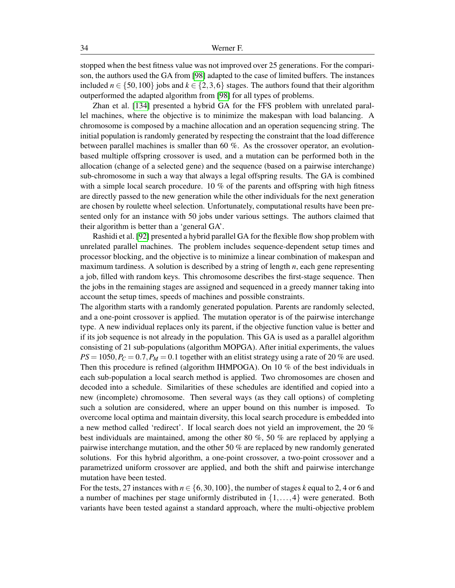stopped when the best fitness value was not improved over 25 generations. For the comparison, the authors used the GA from [\[98\]](#page-62-12) adapted to the case of limited buffers. The instances included  $n \in \{50, 100\}$  jobs and  $k \in \{2, 3, 6\}$  stages. The authors found that their algorithm outperformed the adapted algorithm from [\[98\]](#page-62-12) for all types of problems.

Zhan et al. [\[134\]](#page-65-0) presented a hybrid GA for the FFS problem with unrelated parallel machines, where the objective is to minimize the makespan with load balancing. A chromosome is composed by a machine allocation and an operation sequencing string. The initial population is randomly generated by respecting the constraint that the load difference between parallel machines is smaller than 60 %. As the crossover operator, an evolutionbased multiple offspring crossover is used, and a mutation can be performed both in the allocation (change of a selected gene) and the sequence (based on a pairwise interchange) sub-chromosome in such a way that always a legal offspring results. The GA is combined with a simple local search procedure.  $10\%$  of the parents and offspring with high fitness are directly passed to the new generation while the other individuals for the next generation are chosen by roulette wheel selection. Unfortunately, computational results have been presented only for an instance with 50 jobs under various settings. The authors claimed that their algorithm is better than a 'general GA'.

Rashidi et al. [\[92\]](#page-62-13) presented a hybrid parallel GA for the flexible flow shop problem with unrelated parallel machines. The problem includes sequence-dependent setup times and processor blocking, and the objective is to minimize a linear combination of makespan and maximum tardiness. A solution is described by a string of length *n*, each gene representing a job, filled with random keys. This chromosome describes the first-stage sequence. Then the jobs in the remaining stages are assigned and sequenced in a greedy manner taking into account the setup times, speeds of machines and possible constraints.

The algorithm starts with a randomly generated population. Parents are randomly selected, and a one-point crossover is applied. The mutation operator is of the pairwise interchange type. A new individual replaces only its parent, if the objective function value is better and if its job sequence is not already in the population. This GA is used as a parallel algorithm consisting of 21 sub-populations (algorithm MOPGA). After initial experiments, the values  $PS = 1050$ ,  $P_C = 0.7$ ,  $P_M = 0.1$  together with an elitist strategy using a rate of 20 % are used. Then this procedure is refined (algorithm IHMPOGA). On 10 % of the best individuals in each sub-population a local search method is applied. Two chromosomes are chosen and decoded into a schedule. Similarities of these schedules are identified and copied into a new (incomplete) chromosome. Then several ways (as they call options) of completing such a solution are considered, where an upper bound on this number is imposed. To overcome local optima and maintain diversity, this local search procedure is embedded into a new method called 'redirect'. If local search does not yield an improvement, the 20 % best individuals are maintained, among the other 80 %, 50 % are replaced by applying a pairwise interchange mutation, and the other 50 % are replaced by new randomly generated solutions. For this hybrid algorithm, a one-point crossover, a two-point crossover and a parametrized uniform crossover are applied, and both the shift and pairwise interchange mutation have been tested.

For the tests, 27 instances with  $n \in \{6, 30, 100\}$ , the number of stages k equal to 2, 4 or 6 and a number of machines per stage uniformly distributed in  $\{1, \ldots, 4\}$  were generated. Both variants have been tested against a standard approach, where the multi-objective problem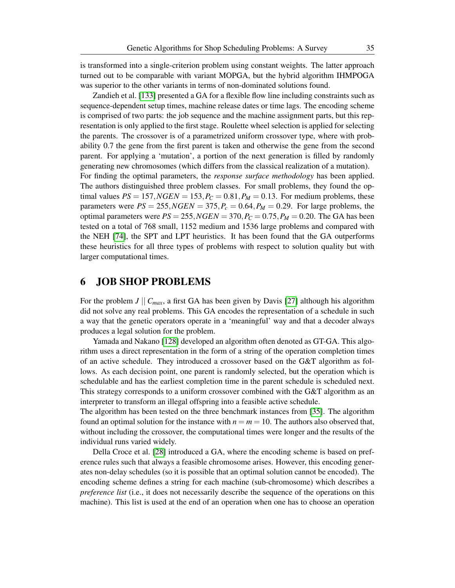is transformed into a single-criterion problem using constant weights. The latter approach turned out to be comparable with variant MOPGA, but the hybrid algorithm IHMPOGA was superior to the other variants in terms of non-dominated solutions found.

Zandieh et al. [\[133\]](#page-65-1) presented a GA for a flexible flow line including constraints such as sequence-dependent setup times, machine release dates or time lags. The encoding scheme is comprised of two parts: the job sequence and the machine assignment parts, but this representation is only applied to the first stage. Roulette wheel selection is applied for selecting the parents. The crossover is of a parametrized uniform crossover type, where with probability 0.7 the gene from the first parent is taken and otherwise the gene from the second parent. For applying a 'mutation', a portion of the next generation is filled by randomly generating new chromosomes (which differs from the classical realization of a mutation). For finding the optimal parameters, the *response surface methodology* has been applied. The authors distinguished three problem classes. For small problems, they found the optimal values  $PS = 157$ ,  $NGEN = 153$ ,  $P_C = 0.81$ ,  $P_M = 0.13$ . For medium problems, these parameters were  $PS = 255$ ,  $NGEN = 375$ ,  $P_c = 0.64$ ,  $P_M = 0.29$ . For large problems, the optimal parameters were  $PS = 255$ ,  $NGEN = 370$ ,  $P_C = 0.75$ ,  $P_M = 0.20$ . The GA has been tested on a total of 768 small, 1152 medium and 1536 large problems and compared with the NEH [\[74\]](#page-61-4), the SPT and LPT heuristics. It has been found that the GA outperforms these heuristics for all three types of problems with respect to solution quality but with larger computational times.

## 6 JOB SHOP PROBLEMS

For the problem *J*  $|| C_{max}$ , a first GA has been given by Davis [\[27\]](#page-58-0) although his algorithm did not solve any real problems. This GA encodes the representation of a schedule in such a way that the genetic operators operate in a 'meaningful' way and that a decoder always produces a legal solution for the problem.

Yamada and Nakano [\[128\]](#page-64-2) developed an algorithm often denoted as GT-GA. This algorithm uses a direct representation in the form of a string of the operation completion times of an active schedule. They introduced a crossover based on the G&T algorithm as follows. As each decision point, one parent is randomly selected, but the operation which is schedulable and has the earliest completion time in the parent schedule is scheduled next. This strategy corresponds to a uniform crossover combined with the G&T algorithm as an interpreter to transform an illegal offspring into a feasible active schedule.

The algorithm has been tested on the three benchmark instances from [\[35\]](#page-58-3). The algorithm found an optimal solution for the instance with  $n = m = 10$ . The authors also observed that, without including the crossover, the computational times were longer and the results of the individual runs varied widely.

Della Croce et al. [\[28\]](#page-58-9) introduced a GA, where the encoding scheme is based on preference rules such that always a feasible chromosome arises. However, this encoding generates non-delay schedules (so it is possible that an optimal solution cannot be encoded). The encoding scheme defines a string for each machine (sub-chromosome) which describes a *preference list* (i.e., it does not necessarily describe the sequence of the operations on this machine). This list is used at the end of an operation when one has to choose an operation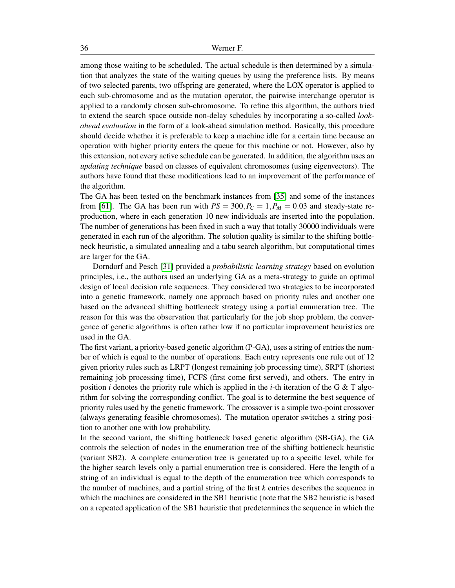among those waiting to be scheduled. The actual schedule is then determined by a simulation that analyzes the state of the waiting queues by using the preference lists. By means of two selected parents, two offspring are generated, where the LOX operator is applied to each sub-chromosome and as the mutation operator, the pairwise interchange operator is applied to a randomly chosen sub-chromosome. To refine this algorithm, the authors tried to extend the search space outside non-delay schedules by incorporating a so-called *lookahead evaluation* in the form of a look-ahead simulation method. Basically, this procedure should decide whether it is preferable to keep a machine idle for a certain time because an operation with higher priority enters the queue for this machine or not. However, also by this extension, not every active schedule can be generated. In addition, the algorithm uses an *updating technique* based on classes of equivalent chromosomes (using eigenvectors). The authors have found that these modifications lead to an improvement of the performance of the algorithm.

The GA has been tested on the benchmark instances from [\[35\]](#page-58-3) and some of the instances from [\[61\]](#page-60-0). The GA has been run with  $PS = 300, P_C = 1, P_M = 0.03$  and steady-state reproduction, where in each generation 10 new individuals are inserted into the population. The number of generations has been fixed in such a way that totally 30000 individuals were generated in each run of the algorithm. The solution quality is similar to the shifting bottleneck heuristic, a simulated annealing and a tabu search algorithm, but computational times are larger for the GA.

Dorndorf and Pesch [\[31\]](#page-58-10) provided a *probabilistic learning strategy* based on evolution principles, i.e., the authors used an underlying GA as a meta-strategy to guide an optimal design of local decision rule sequences. They considered two strategies to be incorporated into a genetic framework, namely one approach based on priority rules and another one based on the advanced shifting bottleneck strategy using a partial enumeration tree. The reason for this was the observation that particularly for the job shop problem, the convergence of genetic algorithms is often rather low if no particular improvement heuristics are used in the GA.

The first variant, a priority-based genetic algorithm (P-GA), uses a string of entries the number of which is equal to the number of operations. Each entry represents one rule out of 12 given priority rules such as LRPT (longest remaining job processing time), SRPT (shortest remaining job processing time), FCFS (first come first served), and others. The entry in position *i* denotes the priority rule which is applied in the *i*-th iteration of the G & T algorithm for solving the corresponding conflict. The goal is to determine the best sequence of priority rules used by the genetic framework. The crossover is a simple two-point crossover (always generating feasible chromosomes). The mutation operator switches a string position to another one with low probability.

In the second variant, the shifting bottleneck based genetic algorithm (SB-GA), the GA controls the selection of nodes in the enumeration tree of the shifting bottleneck heuristic (variant SB2). A complete enumeration tree is generated up to a specific level, while for the higher search levels only a partial enumeration tree is considered. Here the length of a string of an individual is equal to the depth of the enumeration tree which corresponds to the number of machines, and a partial string of the first *k* entries describes the sequence in which the machines are considered in the SB1 heuristic (note that the SB2 heuristic is based on a repeated application of the SB1 heuristic that predetermines the sequence in which the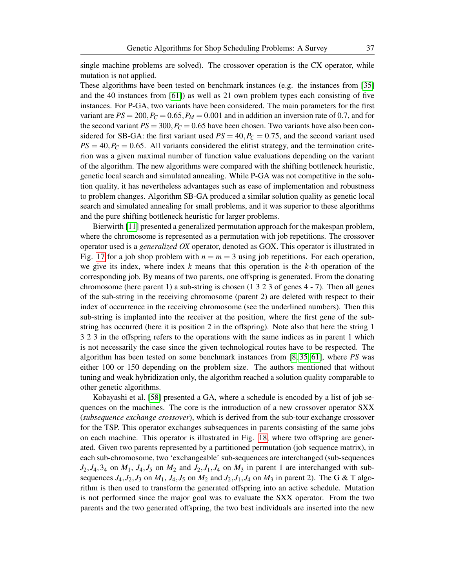single machine problems are solved). The crossover operation is the CX operator, while mutation is not applied.

These algorithms have been tested on benchmark instances (e.g. the instances from [\[35\]](#page-58-3) and the 40 instances from [\[61\]](#page-60-0)) as well as 21 own problem types each consisting of five instances. For P-GA, two variants have been considered. The main parameters for the first variant are  $PS = 200$ ,  $P_C = 0.65$ ,  $P_M = 0.001$  and in addition an inversion rate of 0.7, and for the second variant  $PS = 300$ ,  $P_C = 0.65$  have been chosen. Two variants have also been considered for SB-GA: the first variant used  $PS = 40, P<sub>C</sub> = 0.75$ , and the second variant used  $PS = 40, P_C = 0.65$ . All variants considered the elitist strategy, and the termination criterion was a given maximal number of function value evaluations depending on the variant of the algorithm. The new algorithms were compared with the shifting bottleneck heuristic, genetic local search and simulated annealing. While P-GA was not competitive in the solution quality, it has nevertheless advantages such as ease of implementation and robustness to problem changes. Algorithm SB-GA produced a similar solution quality as genetic local search and simulated annealing for small problems, and it was superior to these algorithms and the pure shifting bottleneck heuristic for larger problems.

Bierwirth [\[11\]](#page-57-12) presented a generalized permutation approach for the makespan problem, where the chromosome is represented as a permutation with job repetitions. The crossover operator used is a *generalized OX* operator, denoted as GOX. This operator is illustrated in Fig. [17](#page-37-0) for a job shop problem with  $n = m = 3$  using job repetitions. For each operation, we give its index, where index *k* means that this operation is the *k*-th operation of the corresponding job. By means of two parents, one offspring is generated. From the donating chromosome (here parent 1) a sub-string is chosen (1 3 2 3 of genes 4 - 7). Then all genes of the sub-string in the receiving chromosome (parent 2) are deleted with respect to their index of occurrence in the receiving chromosome (see the underlined numbers). Then this sub-string is implanted into the receiver at the position, where the first gene of the substring has occurred (here it is position 2 in the offspring). Note also that here the string 1 3 2 3 in the offspring refers to the operations with the same indices as in parent 1 which is not necessarily the case since the given technological routes have to be respected. The algorithm has been tested on some benchmark instances from [\[8,](#page-56-2) [35,](#page-58-3) [61\]](#page-60-0), where *PS* was either 100 or 150 depending on the problem size. The authors mentioned that without tuning and weak hybridization only, the algorithm reached a solution quality comparable to other genetic algorithms.

Kobayashi et al. [\[58\]](#page-60-2) presented a GA, where a schedule is encoded by a list of job sequences on the machines. The core is the introduction of a new crossover operator SXX (*subsequence exchange crossover*), which is derived from the sub-tour exchange crossover for the TSP. This operator exchanges subsequences in parents consisting of the same jobs on each machine. This operator is illustrated in Fig. [18,](#page-37-1) where two offspring are generated. Given two parents represented by a partitioned permutation (job sequence matrix), in each sub-chromosome, two 'exchangeable' sub-sequences are interchanged (sub-sequences  $J_2$ ,  $J_4$ ,  $3_4$  on  $M_1$ ,  $J_4$ ,  $J_5$  on  $M_2$  and  $J_2$ ,  $J_1$ ,  $J_4$  on  $M_3$  in parent 1 are interchanged with subsequences  $J_4$ ,  $J_2$ ,  $J_3$  on  $M_1$ ,  $J_4$ ,  $J_5$  on  $M_2$  and  $J_2$ ,  $J_1$ ,  $J_4$  on  $M_3$  in parent 2). The G & T algorithm is then used to transform the generated offspring into an active schedule. Mutation is not performed since the major goal was to evaluate the SXX operator. From the two parents and the two generated offspring, the two best individuals are inserted into the new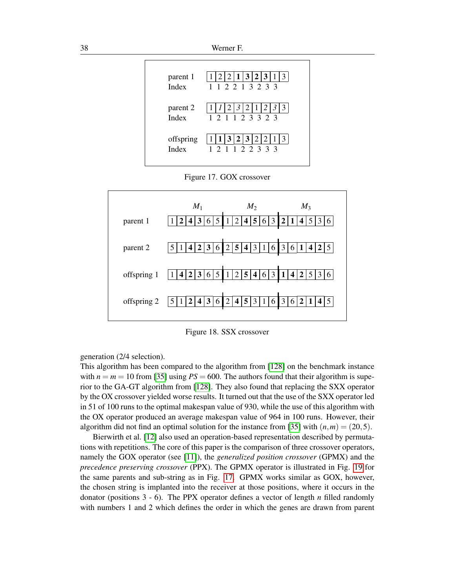

<span id="page-37-0"></span>Figure 17. GOX crossover



<span id="page-37-1"></span>Figure 18. SSX crossover

generation (2/4 selection).

This algorithm has been compared to the algorithm from [\[128\]](#page-64-2) on the benchmark instance with  $n = m = 10$  from [\[35\]](#page-58-3) using  $PS = 600$ . The authors found that their algorithm is superior to the GA-GT algorithm from [\[128\]](#page-64-2). They also found that replacing the SXX operator by the OX crossover yielded worse results. It turned out that the use of the SXX operator led in 51 of 100 runs to the optimal makespan value of 930, while the use of this algorithm with the OX operator produced an average makespan value of 964 in 100 runs. However, their algorithm did not find an optimal solution for the instance from [\[35\]](#page-58-3) with  $(n,m) = (20,5)$ .

Bierwirth et al. [\[12\]](#page-57-5) also used an operation-based representation described by permutations with repetitions. The core of this paper is the comparison of three crossover operators, namely the GOX operator (see [\[11\]](#page-57-12)), the *generalized position crossover* (GPMX) and the *precedence preserving crossover* (PPX). The GPMX operator is illustrated in Fig. [19](#page-38-0) for the same parents and sub-string as in Fig. [17.](#page-37-0) GPMX works similar as GOX, however, the chosen string is implanted into the receiver at those positions, where it occurs in the donator (positions 3 - 6). The PPX operator defines a vector of length *n* filled randomly with numbers 1 and 2 which defines the order in which the genes are drawn from parent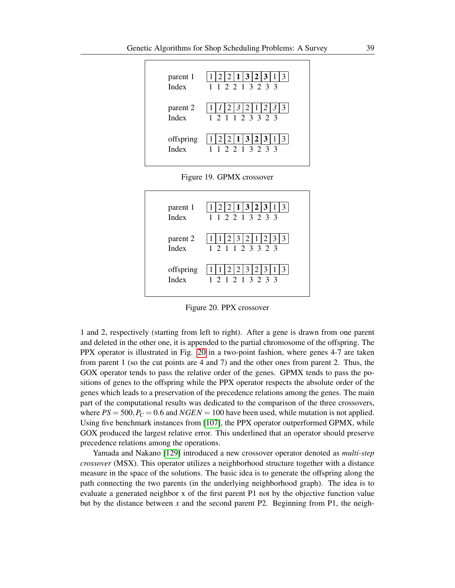

<span id="page-38-0"></span>

| parent 1<br>Index        | 2 2 1 3 2 3 1<br>1 1 2 2 1 3 2 3 3    |
|--------------------------|---------------------------------------|
| parent 2<br><b>Index</b> | 2 3 2 1 2 3<br>3<br>1 2 1 1 2 3 3 2 3 |
| offspring<br>Index       | 2'<br> 2 3<br>3<br>1 2 1 2 1 3 2 3 3  |

<span id="page-38-1"></span>Figure 20. PPX crossover

1 and 2, respectively (starting from left to right). After a gene is drawn from one parent and deleted in the other one, it is appended to the partial chromosome of the offspring. The PPX operator is illustrated in Fig. [20](#page-38-1) in a two-point fashion, where genes 4-7 are taken from parent 1 (so the cut points are 4 and 7) and the other ones from parent 2. Thus, the GOX operator tends to pass the relative order of the genes. GPMX tends to pass the positions of genes to the offspring while the PPX operator respects the absolute order of the genes which leads to a preservation of the precedence relations among the genes. The main part of the computational results was dedicated to the comparison of the three crossovers, where  $PS = 500$ ,  $P_C = 0.6$  and  $NGEN = 100$  have been used, while mutation is not applied. Using five benchmark instances from [\[107\]](#page-63-3), the PPX operator outperformed GPMX, while GOX produced the largest relative error. This underlined that an operator should preserve precedence relations among the operations.

Yamada and Nakano [\[129\]](#page-64-7) introduced a new crossover operator denoted as *multi-step crossover* (MSX). This operator utilizes a neighborhood structure together with a distance measure in the space of the solutions. The basic idea is to generate the offspring along the path connecting the two parents (in the underlying neighborhood graph). The idea is to evaluate a generated neighbor x of the first parent P1 not by the objective function value but by the distance between *x* and the second parent P2. Beginning from P1, the neigh-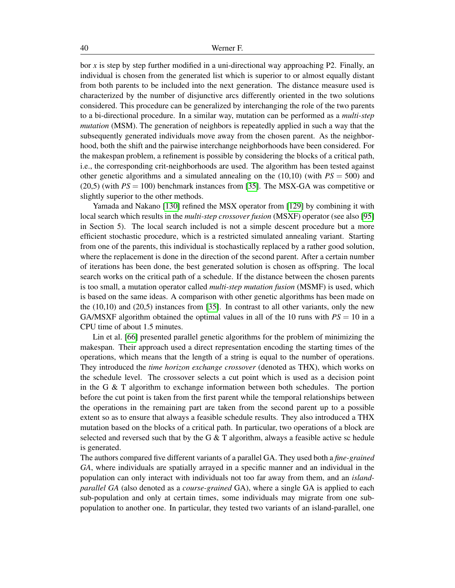bor *x* is step by step further modified in a uni-directional way approaching P2. Finally, an individual is chosen from the generated list which is superior to or almost equally distant from both parents to be included into the next generation. The distance measure used is characterized by the number of disjunctive arcs differently oriented in the two solutions considered. This procedure can be generalized by interchanging the role of the two parents to a bi-directional procedure. In a similar way, mutation can be performed as a *multi-step mutation* (MSM). The generation of neighbors is repeatedly applied in such a way that the subsequently generated individuals move away from the chosen parent. As the neighborhood, both the shift and the pairwise interchange neighborhoods have been considered. For the makespan problem, a refinement is possible by considering the blocks of a critical path, i.e., the corresponding crit-neighborhoods are used. The algorithm has been tested against other genetic algorithms and a simulated annealing on the  $(10,10)$  (with  $PS = 500$ ) and (20,5) (with *PS* = 100) benchmark instances from [\[35\]](#page-58-3). The MSX-GA was competitive or slightly superior to the other methods.

Yamada and Nakano [\[130\]](#page-64-5) refined the MSX operator from [\[129\]](#page-64-7) by combining it with local search which results in the *multi-step crossover fusion* (MSXF) operator (see also [\[95\]](#page-62-7) in Section 5). The local search included is not a simple descent procedure but a more efficient stochastic procedure, which is a restricted simulated annealing variant. Starting from one of the parents, this individual is stochastically replaced by a rather good solution, where the replacement is done in the direction of the second parent. After a certain number of iterations has been done, the best generated solution is chosen as offspring. The local search works on the critical path of a schedule. If the distance between the chosen parents is too small, a mutation operator called *multi-step mutation fusion* (MSMF) is used, which is based on the same ideas. A comparison with other genetic algorithms has been made on the (10,10) and (20,5) instances from [\[35\]](#page-58-3). In contrast to all other variants, only the new GA/MSXF algorithm obtained the optimal values in all of the 10 runs with  $PS = 10$  in a CPU time of about 1.5 minutes.

Lin et al. [\[66\]](#page-60-3) presented parallel genetic algorithms for the problem of minimizing the makespan. Their approach used a direct representation encoding the starting times of the operations, which means that the length of a string is equal to the number of operations. They introduced the *time horizon exchange crossover* (denoted as THX), which works on the schedule level. The crossover selects a cut point which is used as a decision point in the G & T algorithm to exchange information between both schedules. The portion before the cut point is taken from the first parent while the temporal relationships between the operations in the remaining part are taken from the second parent up to a possible extent so as to ensure that always a feasible schedule results. They also introduced a THX mutation based on the blocks of a critical path. In particular, two operations of a block are selected and reversed such that by the G  $\&$  T algorithm, always a feasible active sc hedule is generated.

The authors compared five different variants of a parallel GA. They used both a *fine-grained GA*, where individuals are spatially arrayed in a specific manner and an individual in the population can only interact with individuals not too far away from them, and an *islandparallel GA* (also denoted as a *course-grained* GA), where a single GA is applied to each sub-population and only at certain times, some individuals may migrate from one subpopulation to another one. In particular, they tested two variants of an island-parallel, one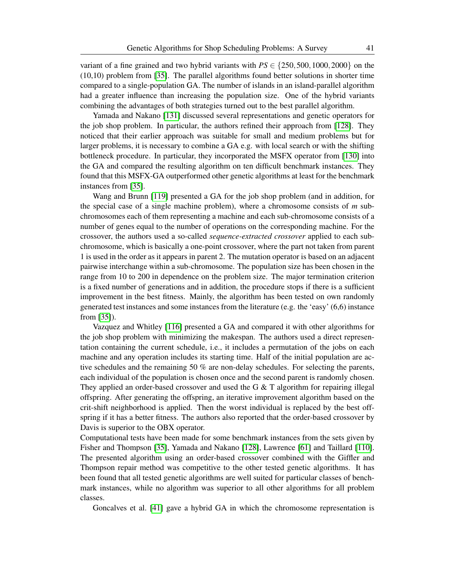variant of a fine grained and two hybrid variants with  $PS \in \{250, 500, 1000, 2000\}$  on the (10,10) problem from [\[35\]](#page-58-3). The parallel algorithms found better solutions in shorter time compared to a single-population GA. The number of islands in an island-parallel algorithm had a greater influence than increasing the population size. One of the hybrid variants combining the advantages of both strategies turned out to the best parallel algorithm.

Yamada and Nakano [\[131\]](#page-64-8) discussed several representations and genetic operators for the job shop problem. In particular, the authors refined their approach from [\[128\]](#page-64-2). They noticed that their earlier approach was suitable for small and medium problems but for larger problems, it is necessary to combine a GA e.g. with local search or with the shifting bottleneck procedure. In particular, they incorporated the MSFX operator from [\[130\]](#page-64-5) into the GA and compared the resulting algorithm on ten difficult benchmark instances. They found that this MSFX-GA outperformed other genetic algorithms at least for the benchmark instances from [\[35\]](#page-58-3).

Wang and Brunn [\[119\]](#page-64-9) presented a GA for the job shop problem (and in addition, for the special case of a single machine problem), where a chromosome consists of *m* subchromosomes each of them representing a machine and each sub-chromosome consists of a number of genes equal to the number of operations on the corresponding machine. For the crossover, the authors used a so-called *sequence-extracted crossover* applied to each subchromosome, which is basically a one-point crossover, where the part not taken from parent 1 is used in the order as it appears in parent 2. The mutation operator is based on an adjacent pairwise interchange within a sub-chromosome. The population size has been chosen in the range from 10 to 200 in dependence on the problem size. The major termination criterion is a fixed number of generations and in addition, the procedure stops if there is a sufficient improvement in the best fitness. Mainly, the algorithm has been tested on own randomly generated test instances and some instances from the literature (e.g. the 'easy' (6,6) instance from [\[35\]](#page-58-3)).

Vazquez and Whitley [\[116\]](#page-63-11) presented a GA and compared it with other algorithms for the job shop problem with minimizing the makespan. The authors used a direct representation containing the current schedule, i.e., it includes a permutation of the jobs on each machine and any operation includes its starting time. Half of the initial population are active schedules and the remaining 50 % are non-delay schedules. For selecting the parents, each individual of the population is chosen once and the second parent is randomly chosen. They applied an order-based crossover and used the G  $\&$  T algorithm for repairing illegal offspring. After generating the offspring, an iterative improvement algorithm based on the crit-shift neighborhood is applied. Then the worst individual is replaced by the best offspring if it has a better fitness. The authors also reported that the order-based crossover by Davis is superior to the OBX operator.

Computational tests have been made for some benchmark instances from the sets given by Fisher and Thompson [\[35\]](#page-58-3), Yamada and Nakano [\[128\]](#page-64-2), Lawrence [\[61\]](#page-60-0) and Taillard [\[110\]](#page-63-2). The presented algorithm using an order-based crossover combined with the Giffler and Thompson repair method was competitive to the other tested genetic algorithms. It has been found that all tested genetic algorithms are well suited for particular classes of benchmark instances, while no algorithm was superior to all other algorithms for all problem classes.

Goncalves et al. [\[41\]](#page-58-11) gave a hybrid GA in which the chromosome representation is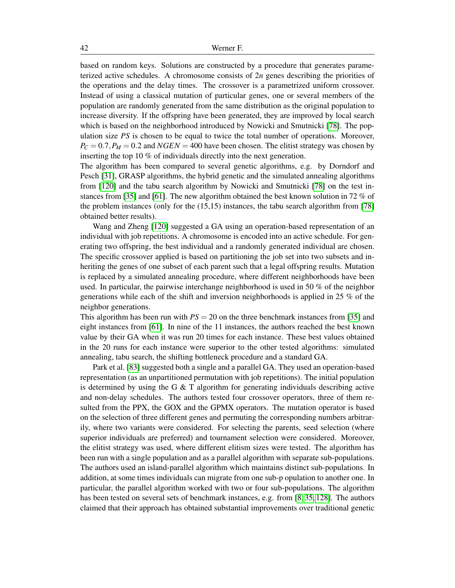based on random keys. Solutions are constructed by a procedure that generates parameterized active schedules. A chromosome consists of 2*n* genes describing the priorities of the operations and the delay times. The crossover is a parametrized uniform crossover. Instead of using a classical mutation of particular genes, one or several members of the population are randomly generated from the same distribution as the original population to increase diversity. If the offspring have been generated, they are improved by local search which is based on the neighborhood introduced by Nowicki and Smutnicki [\[78\]](#page-61-10). The population size *PS* is chosen to be equal to twice the total number of operations. Moreover,  $P_C = 0.7$ ,  $P_M = 0.2$  and  $NGEN = 400$  have been chosen. The elitist strategy was chosen by inserting the top 10 % of individuals directly into the next generation.

The algorithm has been compared to several genetic algorithms, e.g. by Dorndorf and Pesch [\[31\]](#page-58-10), GRASP algorithms, the hybrid genetic and the simulated annealing algorithms from [\[120\]](#page-64-10) and the tabu search algorithm by Nowicki and Smutnicki [\[78\]](#page-61-10) on the test instances from [\[35\]](#page-58-3) and [\[61\]](#page-60-0). The new algorithm obtained the best known solution in 72 % of the problem instances (only for the (15,15) instances, the tabu search algorithm from [\[78\]](#page-61-10) obtained better results).

Wang and Zheng [\[120\]](#page-64-10) suggested a GA using an operation-based representation of an individual with job repetitions. A chromosome is encoded into an active schedule. For generating two offspring, the best individual and a randomly generated individual are chosen. The specific crossover applied is based on partitioning the job set into two subsets and inheriting the genes of one subset of each parent such that a legal offspring results. Mutation is replaced by a simulated annealing procedure, where different neighborhoods have been used. In particular, the pairwise interchange neighborhood is used in 50 % of the neighbor generations while each of the shift and inversion neighborhoods is applied in 25 % of the neighbor generations.

This algorithm has been run with  $PS = 20$  on the three benchmark instances from [\[35\]](#page-58-3) and eight instances from [\[61\]](#page-60-0). In nine of the 11 instances, the authors reached the best known value by their GA when it was run 20 times for each instance. These best values obtained in the 20 runs for each instance were superior to the other tested algorithms: simulated annealing, tabu search, the shifting bottleneck procedure and a standard GA.

Park et al. [\[83\]](#page-61-11) suggested both a single and a parallel GA. They used an operation-based representation (as an unpartitioned permutation with job repetitions). The initial population is determined by using the G  $\&$  T algorithm for generating individuals describing active and non-delay schedules. The authors tested four crossover operators, three of them resulted from the PPX, the GOX and the GPMX operators. The mutation operator is based on the selection of three different genes and permuting the corresponding numbers arbitrarily, where two variants were considered. For selecting the parents, seed selection (where superior individuals are preferred) and tournament selection were considered. Moreover, the elitist strategy was used, where different elitism sizes were tested. The algorithm has been run with a single population and as a parallel algorithm with separate sub-populations. The authors used an island-parallel algorithm which maintains distinct sub-populations. In addition, at some times individuals can migrate from one sub-p opulation to another one. In particular, the parallel algorithm worked with two or four sub-populations. The algorithm has been tested on several sets of benchmark instances, e.g. from [\[8,](#page-56-2) [35,](#page-58-3) [128\]](#page-64-2). The authors claimed that their approach has obtained substantial improvements over traditional genetic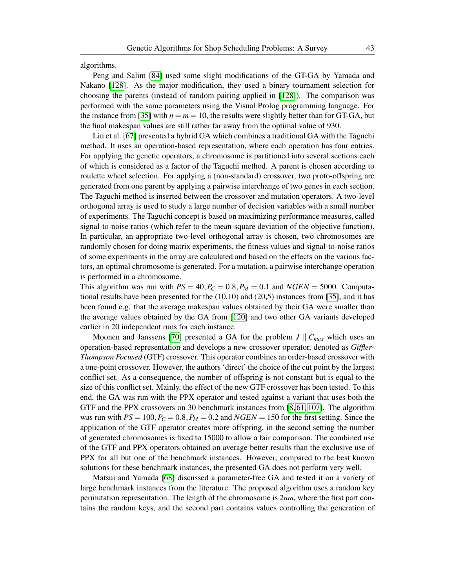algorithms.

Peng and Salim [\[84\]](#page-61-12) used some slight modifications of the GT-GA by Yamada and Nakano [\[128\]](#page-64-2). As the major modification, they used a binary tournament selection for choosing the parents (instead of random pairing applied in [\[128\]](#page-64-2)). The comparison was performed with the same parameters using the Visual Prolog programming language. For the instance from [\[35\]](#page-58-3) with  $n = m = 10$ , the results were slightly better than for GT-GA, but the final makespan values are still rather far away from the optimal value of 930.

Liu et al. [\[67\]](#page-60-4) presented a hybrid GA which combines a traditional GA with the Taguchi method. It uses an operation-based representation, where each operation has four entries. For applying the genetic operators, a chromosome is partitioned into several sections each of which is considered as a factor of the Taguchi method. A parent is chosen according to roulette wheel selection. For applying a (non-standard) crossover, two proto-offspring are generated from one parent by applying a pairwise interchange of two genes in each section. The Taguchi method is inserted between the crossover and mutation operators. A two-level orthogonal array is used to study a large number of decision variables with a small number of experiments. The Taguchi concept is based on maximizing performance measures, called signal-to-noise ratios (which refer to the mean-square deviation of the objective function). In particular, an appropriate two-level orthogonal array is chosen, two chromosomes are randomly chosen for doing matrix experiments, the fitness values and signal-to-noise ratios of some experiments in the array are calculated and based on the effects on the various factors, an optimal chromosome is generated. For a mutation, a pairwise interchange operation is performed in a chromosome.

This algorithm was run with  $PS = 40$ ,  $P_C = 0.8$ ,  $P_M = 0.1$  and  $NGEN = 5000$ . Computational results have been presented for the (10,10) and (20,5) instances from [\[35\]](#page-58-3), and it has been found e.g. that the average makespan values obtained by their GA were smaller than the average values obtained by the GA from [\[120\]](#page-64-10) and two other GA variants developed earlier in 20 independent runs for each instance.

Moonen and Janssens [\[70\]](#page-60-5) presented a GA for the problem  $J \parallel C_{max}$  which uses an operation-based representation and develops a new crossover operator, denoted as *Giffler-Thompson Focused* (GTF) crossover. This operator combines an order-based crossover with a one-point crossover. However, the authors 'direct' the choice of the cut point by the largest conflict set. As a consequence, the number of offspring is not constant but is equal to the size of this conflict set. Mainly, the effect of the new GTF crossover has been tested. To this end, the GA was run with the PPX operator and tested against a variant that uses both the GTF and the PPX crossovers on 30 benchmark instances from [\[8,](#page-56-2) [61,](#page-60-0) [107\]](#page-63-3). The algorithm was run with  $PS = 100$ ,  $P_C = 0.8$ ,  $P_M = 0.2$  and  $NGEN = 150$  for the first setting. Since the application of the GTF operator creates more offspring, in the second setting the number of generated chromosomes is fixed to 15000 to allow a fair comparison. The combined use of the GTF and PPX operators obtained on average better results than the exclusive use of PPX for all but one of the benchmark instances. However, compared to the best known solutions for these benchmark instances, the presented GA does not perform very well.

Matsui and Yamada [\[68\]](#page-60-6) discussed a parameter-free GA and tested it on a variety of large benchmark instances from the literature. The proposed algorithm uses a random key permutation representation. The length of the chromosome is 2*nm*, where the first part contains the random keys, and the second part contains values controlling the generation of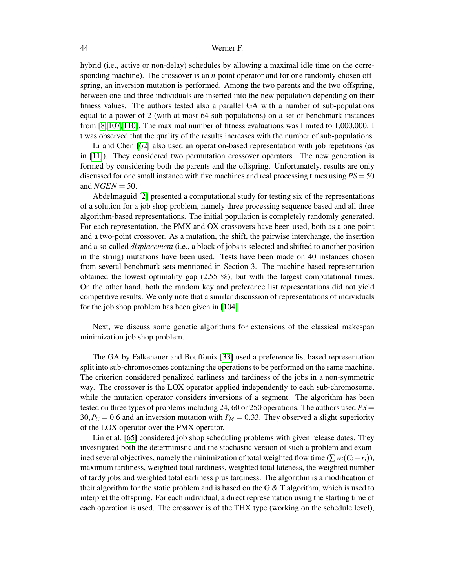hybrid (i.e., active or non-delay) schedules by allowing a maximal idle time on the corresponding machine). The crossover is an *n*-point operator and for one randomly chosen offspring, an inversion mutation is performed. Among the two parents and the two offspring, between one and three individuals are inserted into the new population depending on their fitness values. The authors tested also a parallel GA with a number of sub-populations equal to a power of 2 (with at most 64 sub-populations) on a set of benchmark instances from [\[8,](#page-56-2) [107,](#page-63-3) [110\]](#page-63-2). The maximal number of fitness evaluations was limited to 1,000,000. I t was observed that the quality of the results increases with the number of sub-populations.

Li and Chen [\[62\]](#page-60-7) also used an operation-based representation with job repetitions (as in [\[11\]](#page-57-12)). They considered two permutation crossover operators. The new generation is formed by considering both the parents and the offspring. Unfortunately, results are only discussed for one small instance with five machines and real processing times using *PS* = 50 and  $NGEN = 50$ .

Abdelmaguid [\[2\]](#page-56-5) presented a computational study for testing six of the representations of a solution for a job shop problem, namely three processing sequence based and all three algorithm-based representations. The initial population is completely randomly generated. For each representation, the PMX and OX crossovers have been used, both as a one-point and a two-point crossover. As a mutation, the shift, the pairwise interchange, the insertion and a so-called *displacement* (i.e., a block of jobs is selected and shifted to another position in the string) mutations have been used. Tests have been made on 40 instances chosen from several benchmark sets mentioned in Section 3. The machine-based representation obtained the lowest optimality gap (2.55 %), but with the largest computational times. On the other hand, both the random key and preference list representations did not yield competitive results. We only note that a similar discussion of representations of individuals for the job shop problem has been given in [\[104\]](#page-63-12).

Next, we discuss some genetic algorithms for extensions of the classical makespan minimization job shop problem.

The GA by Falkenauer and Bouffouix [\[33\]](#page-58-5) used a preference list based representation split into sub-chromosomes containing the operations to be performed on the same machine. The criterion considered penalized earliness and tardiness of the jobs in a non-symmetric way. The crossover is the LOX operator applied independently to each sub-chromosome, while the mutation operator considers inversions of a segment. The algorithm has been tested on three types of problems including 24, 60 or 250 operations. The authors used *PS* =  $30, P_C = 0.6$  and an inversion mutation with  $P_M = 0.33$ . They observed a slight superiority of the LOX operator over the PMX operator.

Lin et al. [\[65\]](#page-60-8) considered job shop scheduling problems with given release dates. They investigated both the deterministic and the stochastic version of such a problem and examined several objectives, namely the minimization of total weighted flow time ( $\sum w_i(C_i - r_i)$ ), maximum tardiness, weighted total tardiness, weighted total lateness, the weighted number of tardy jobs and weighted total earliness plus tardiness. The algorithm is a modification of their algorithm for the static problem and is based on the G  $\&$  T algorithm, which is used to interpret the offspring. For each individual, a direct representation using the starting time of each operation is used. The crossover is of the THX type (working on the schedule level),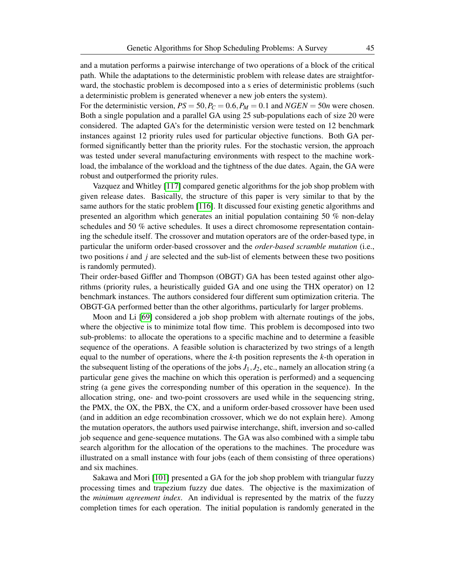and a mutation performs a pairwise interchange of two operations of a block of the critical path. While the adaptations to the deterministic problem with release dates are straightforward, the stochastic problem is decomposed into a s eries of deterministic problems (such a deterministic problem is generated whenever a new job enters the system).

For the deterministic version,  $PS = 50$ ,  $P_C = 0.6$ ,  $P_M = 0.1$  and  $NGEN = 50n$  were chosen. Both a single population and a parallel GA using 25 sub-populations each of size 20 were considered. The adapted GA's for the deterministic version were tested on 12 benchmark instances against 12 priority rules used for particular objective functions. Both GA performed significantly better than the priority rules. For the stochastic version, the approach was tested under several manufacturing environments with respect to the machine workload, the imbalance of the workload and the tightness of the due dates. Again, the GA were robust and outperformed the priority rules.

Vazquez and Whitley [\[117\]](#page-63-13) compared genetic algorithms for the job shop problem with given release dates. Basically, the structure of this paper is very similar to that by the same authors for the static problem [\[116\]](#page-63-11). It discussed four existing genetic algorithms and presented an algorithm which generates an initial population containing 50 % non-delay schedules and 50 % active schedules. It uses a direct chromosome representation containing the schedule itself. The crossover and mutation operators are of the order-based type, in particular the uniform order-based crossover and the *order-based scramble mutation* (i.e., two positions *i* and *j* are selected and the sub-list of elements between these two positions is randomly permuted).

Their order-based Giffler and Thompson (OBGT) GA has been tested against other algorithms (priority rules, a heuristically guided GA and one using the THX operator) on 12 benchmark instances. The authors considered four different sum optimization criteria. The OBGT-GA performed better than the other algorithms, particularly for larger problems.

Moon and Li [\[69\]](#page-60-9) considered a job shop problem with alternate routings of the jobs, where the objective is to minimize total flow time. This problem is decomposed into two sub-problems: to allocate the operations to a specific machine and to determine a feasible sequence of the operations. A feasible solution is characterized by two strings of a length equal to the number of operations, where the *k*-th position represents the *k*-th operation in the subsequent listing of the operations of the jobs  $J_1, J_2$ , etc., namely an allocation string (a particular gene gives the machine on which this operation is performed) and a sequencing string (a gene gives the corresponding number of this operation in the sequence). In the allocation string, one- and two-point crossovers are used while in the sequencing string, the PMX, the OX, the PBX, the CX, and a uniform order-based crossover have been used (and in addition an edge recombination crossover, which we do not explain here). Among the mutation operators, the authors used pairwise interchange, shift, inversion and so-called job sequence and gene-sequence mutations. The GA was also combined with a simple tabu search algorithm for the allocation of the operations to the machines. The procedure was illustrated on a small instance with four jobs (each of them consisting of three operations) and six machines.

Sakawa and Mori [\[101\]](#page-62-14) presented a GA for the job shop problem with triangular fuzzy processing times and trapezium fuzzy due dates. The objective is the maximization of the *minimum agreement index*. An individual is represented by the matrix of the fuzzy completion times for each operation. The initial population is randomly generated in the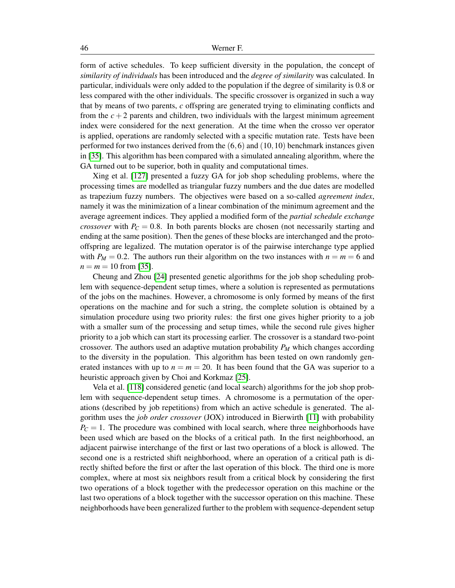form of active schedules. To keep sufficient diversity in the population, the concept of *similarity of individuals* has been introduced and the *degree of similarity* was calculated. In particular, individuals were only added to the population if the degree of similarity is 0.8 or less compared with the other individuals. The specific crossover is organized in such a way that by means of two parents, *c* offspring are generated trying to eliminating conflicts and from the  $c + 2$  parents and children, two individuals with the largest minimum agreement index were considered for the next generation. At the time when the crosso ver operator is applied, operations are randomly selected with a specific mutation rate. Tests have been performed for two instances derived from the  $(6,6)$  and  $(10,10)$  benchmark instances given in [\[35\]](#page-58-3). This algorithm has been compared with a simulated annealing algorithm, where the GA turned out to be superior, both in quality and computational times.

Xing et al. [\[127\]](#page-64-11) presented a fuzzy GA for job shop scheduling problems, where the processing times are modelled as triangular fuzzy numbers and the due dates are modelled as trapezium fuzzy numbers. The objectives were based on a so-called *agreement index*, namely it was the minimization of a linear combination of the minimum agreement and the average agreement indices. They applied a modified form of the *partial schedule exchange crossover* with  $P_C = 0.8$ . In both parents blocks are chosen (not necessarily starting and ending at the same position). Then the genes of these blocks are interchanged and the protooffspring are legalized. The mutation operator is of the pairwise interchange type applied with  $P_M = 0.2$ . The authors run their algorithm on the two instances with  $n = m = 6$  and  $n = m = 10$  from [\[35\]](#page-58-3).

Cheung and Zhou [\[24\]](#page-57-13) presented genetic algorithms for the job shop scheduling problem with sequence-dependent setup times, where a solution is represented as permutations of the jobs on the machines. However, a chromosome is only formed by means of the first operations on the machine and for such a string, the complete solution is obtained by a simulation procedure using two priority rules: the first one gives higher priority to a job with a smaller sum of the processing and setup times, while the second rule gives higher priority to a job which can start its processing earlier. The crossover is a standard two-point crossover. The authors used an adaptive mutation probability  $P_M$  which changes according to the diversity in the population. This algorithm has been tested on own randomly generated instances with up to  $n = m = 20$ . It has been found that the GA was superior to a heuristic approach given by Choi and Korkmaz [\[25\]](#page-57-14).

Vela et al. [\[118\]](#page-64-12) considered genetic (and local search) algorithms for the job shop problem with sequence-dependent setup times. A chromosome is a permutation of the operations (described by job repetitions) from which an active schedule is generated. The algorithm uses the *job order crossover* (JOX) introduced in Bierwirth [\[11\]](#page-57-12) with probability  $P_C = 1$ . The procedure was combined with local search, where three neighborhoods have been used which are based on the blocks of a critical path. In the first neighborhood, an adjacent pairwise interchange of the first or last two operations of a block is allowed. The second one is a restricted shift neighborhood, where an operation of a critical path is directly shifted before the first or after the last operation of this block. The third one is more complex, where at most six neighbors result from a critical block by considering the first two operations of a block together with the predecessor operation on this machine or the last two operations of a block together with the successor operation on this machine. These neighborhoods have been generalized further to the problem with sequence-dependent setup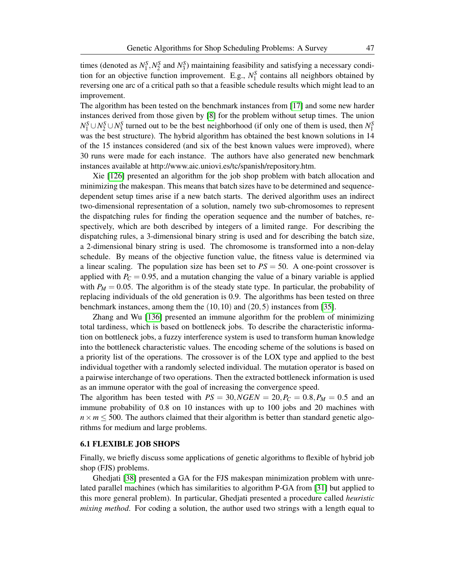times (denoted as  $N_1^S$ ,  $N_2^S$  and  $N_3^S$ ) maintaining feasibility and satisfying a necessary condition for an objective function improvement. E.g.,  $N_1^S$  contains all neighbors obtained by reversing one arc of a critical path so that a feasible schedule results which might lead to an improvement.

The algorithm has been tested on the benchmark instances from [\[17\]](#page-57-15) and some new harder instances derived from those given by [\[8\]](#page-56-2) for the problem without setup times. The union  $N_1^S \cup N_2^S \cup N_3^S$  turned out to be the best neighborhood (if only one of them is used, then  $N_1^S$ was the best structure). The hybrid algorithm has obtained the best known solutions in 14 of the 15 instances considered (and six of the best known values were improved), where 30 runs were made for each instance. The authors have also generated new benchmark instances available at http://www.aic.uniovi.es/tc/spanish/repository.htm.

Xie [\[126\]](#page-64-13) presented an algorithm for the job shop problem with batch allocation and minimizing the makespan. This means that batch sizes have to be determined and sequencedependent setup times arise if a new batch starts. The derived algorithm uses an indirect two-dimensional representation of a solution, namely two sub-chromosomes to represent the dispatching rules for finding the operation sequence and the number of batches, respectively, which are both described by integers of a limited range. For describing the dispatching rules, a 3-dimensional binary string is used and for describing the batch size, a 2-dimensional binary string is used. The chromosome is transformed into a non-delay schedule. By means of the objective function value, the fitness value is determined via a linear scaling. The population size has been set to  $PS = 50$ . A one-point crossover is applied with  $P_C = 0.95$ , and a mutation changing the value of a binary variable is applied with  $P_M = 0.05$ . The algorithm is of the steady state type. In particular, the probability of replacing individuals of the old generation is 0.9. The algorithms has been tested on three benchmark instances, among them the (10,10) and (20,5) instances from [\[35\]](#page-58-3).

Zhang and Wu [\[136\]](#page-65-2) presented an immune algorithm for the problem of minimizing total tardiness, which is based on bottleneck jobs. To describe the characteristic information on bottleneck jobs, a fuzzy interference system is used to transform human knowledge into the bottleneck characteristic values. The encoding scheme of the solutions is based on a priority list of the operations. The crossover is of the LOX type and applied to the best individual together with a randomly selected individual. The mutation operator is based on a pairwise interchange of two operations. Then the extracted bottleneck information is used as an immune operator with the goal of increasing the convergence speed.

The algorithm has been tested with  $PS = 30, NGEN = 20, P_C = 0.8, P_M = 0.5$  and an immune probability of 0.8 on 10 instances with up to 100 jobs and 20 machines with  $n \times m \leq 500$ . The authors claimed that their algorithm is better than standard genetic algorithms for medium and large problems.

## 6.1 FLEXIBLE JOB SHOPS

Finally, we briefly discuss some applications of genetic algorithms to flexible of hybrid job shop (FJS) problems.

Ghedjati [\[38\]](#page-58-12) presented a GA for the FJS makespan minimization problem with unrelated parallel machines (which has similarities to algorithm P-GA from [\[31\]](#page-58-10) but applied to this more general problem). In particular, Ghedjati presented a procedure called *heuristic mixing method*. For coding a solution, the author used two strings with a length equal to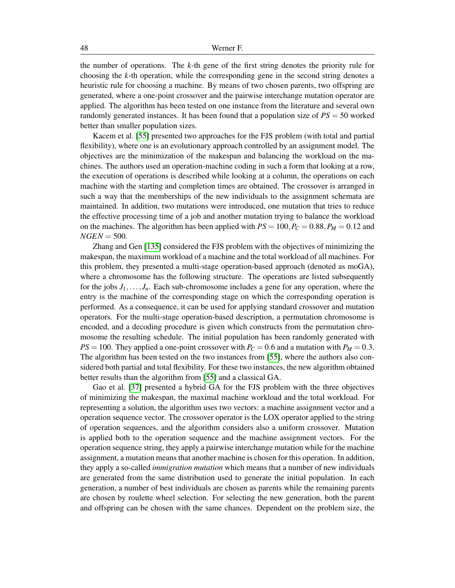the number of operations. The *k*-th gene of the first string denotes the priority rule for choosing the *k*-th operation, while the corresponding gene in the second string denotes a heuristic rule for choosing a machine. By means of two chosen parents, two offspring are generated, where a one-point crossover and the pairwise interchange mutation operator are applied. The algorithm has been tested on one instance from the literature and several own randomly generated instances. It has been found that a population size of *PS* = 50 worked better than smaller population sizes.

Kacem et al. [\[55\]](#page-59-13) presented two approaches for the FJS problem (with total and partial flexibility), where one is an evolutionary approach controlled by an assignment model. The objectives are the minimization of the makespan and balancing the workload on the machines. The authors used an operation-machine coding in such a form that looking at a row, the execution of operations is described while looking at a column, the operations on each machine with the starting and completion times are obtained. The crossover is arranged in such a way that the memberships of the new individuals to the assignment schemata are maintained. In addition, two mutations were introduced, one mutation that tries to reduce the effective processing time of a job and another mutation trying to balance the workload on the machines. The algorithm has been applied with  $PS = 100$ ,  $P_C = 0.88$ ,  $P_M = 0.12$  and  $NGEN = 500$ .

Zhang and Gen [\[135\]](#page-65-3) considered the FJS problem with the objectives of minimizing the makespan, the maximum workload of a machine and the total workload of all machines. For this problem, they presented a multi-stage operation-based approach (denoted as moGA), where a chromosome has the following structure. The operations are listed subsequently for the jobs  $J_1, \ldots, J_n$ . Each sub-chromosome includes a gene for any operation, where the entry is the machine of the corresponding stage on which the corresponding operation is performed. As a consequence, it can be used for applying standard crossover and mutation operators. For the multi-stage operation-based description, a permutation chromosome is encoded, and a decoding procedure is given which constructs from the permutation chromosome the resulting schedule. The initial population has been randomly generated with  $PS = 100$ . They applied a one-point crossover with  $P_C = 0.6$  and a mutation with  $P_M = 0.3$ . The algorithm has been tested on the two instances from [\[55\]](#page-59-13), where the authors also considered both partial and total flexibility. For these two instances, the new algorithm obtained better results than the algorithm from [\[55\]](#page-59-13) and a classical GA.

Gao et al. [\[37\]](#page-58-13) presented a hybrid GA for the FJS problem with the three objectives of minimizing the makespan, the maximal machine workload and the total workload. For representing a solution, the algorithm uses two vectors: a machine assignment vector and a operation sequence vector. The crossover operator is the LOX operator applied to the string of operation sequences, and the algorithm considers also a uniform crossover. Mutation is applied both to the operation sequence and the machine assignment vectors. For the operation sequence string, they apply a pairwise interchange mutation while for the machine assignment, a mutation means that another machine is chosen for this operation. In addition, they apply a so-called *immigration mutation* which means that a number of new individuals are generated from the same distribution used to generate the initial population. In each generation, a number of best individuals are chosen as parents while the remaining parents are chosen by roulette wheel selection. For selecting the new generation, both the parent and offspring can be chosen with the same chances. Dependent on the problem size, the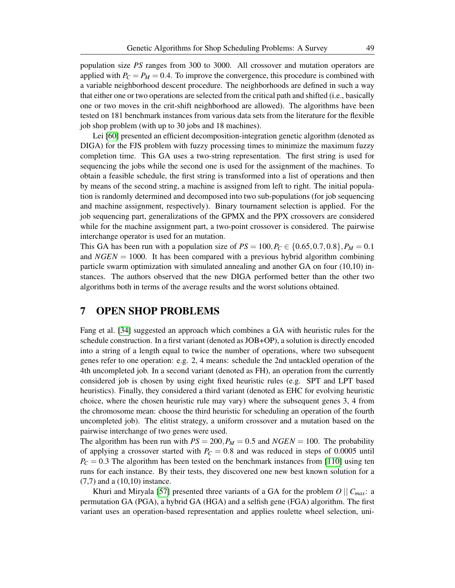population size *PS* ranges from 300 to 3000. All crossover and mutation operators are applied with  $P_C = P_M = 0.4$ . To improve the convergence, this procedure is combined with a variable neighborhood descent procedure. The neighborhoods are defined in such a way that either one or two operations are selected from the critical path and shifted (i.e., basically one or two moves in the crit-shift neighborhood are allowed). The algorithms have been tested on 181 benchmark instances from various data sets from the literature for the flexible job shop problem (with up to 30 jobs and 18 machines).

Lei [\[60\]](#page-60-10) presented an efficient decomposition-integration genetic algorithm (denoted as DIGA) for the FJS problem with fuzzy processing times to minimize the maximum fuzzy completion time. This GA uses a two-string representation. The first string is used for sequencing the jobs while the second one is used for the assignment of the machines. To obtain a feasible schedule, the first string is transformed into a list of operations and then by means of the second string, a machine is assigned from left to right. The initial population is randomly determined and decomposed into two sub-populations (for job sequencing and machine assignment, respectively). Binary tournament selection is applied. For the job sequencing part, generalizations of the GPMX and the PPX crossovers are considered while for the machine assignment part, a two-point crossover is considered. The pairwise interchange operator is used for an mutation.

This GA has been run with a population size of  $PS = 100, P_C \in \{0.65, 0.7, 0.8\}, P_M = 0.1$ and *NGEN* = 1000. It has been compared with a previous hybrid algorithm combining particle swarm optimization with simulated annealing and another GA on four (10,10) instances. The authors observed that the new DIGA performed better than the other two algorithms both in terms of the average results and the worst solutions obtained.

## 7 OPEN SHOP PROBLEMS

Fang et al. [\[34\]](#page-58-14) suggested an approach which combines a GA with heuristic rules for the schedule construction. In a first variant (denoted as JOB+OP), a solution is directly encoded into a string of a length equal to twice the number of operations, where two subsequent genes refer to one operation: e.g. 2, 4 means: schedule the 2nd untackled operation of the 4th uncompleted job. In a second variant (denoted as FH), an operation from the currently considered job is chosen by using eight fixed heuristic rules (e.g. SPT and LPT based heuristics). Finally, they considered a third variant (denoted as EHC for evolving heuristic choice, where the chosen heuristic rule may vary) where the subsequent genes 3, 4 from the chromosome mean: choose the third heuristic for scheduling an operation of the fourth uncompleted job). The elitist strategy, a uniform crossover and a mutation based on the pairwise interchange of two genes were used.

The algorithm has been run with  $PS = 200$ ,  $P_M = 0.5$  and  $NGEN = 100$ . The probability of applying a crossover started with  $P_C = 0.8$  and was reduced in steps of 0.0005 until  $P_C = 0.3$  The algorithm has been tested on the benchmark instances from [\[110\]](#page-63-2) using ten runs for each instance. By their tests, they discovered one new best known solution for a (7,7) and a (10,10) instance.

Khuri and Miryala [\[57\]](#page-60-11) presented three variants of a GA for the problem  $O \parallel C_{max}$ : a permutation GA (PGA), a hybrid GA (HGA) and a selfish gene (FGA) algorithm. The first variant uses an operation-based representation and applies roulette wheel selection, uni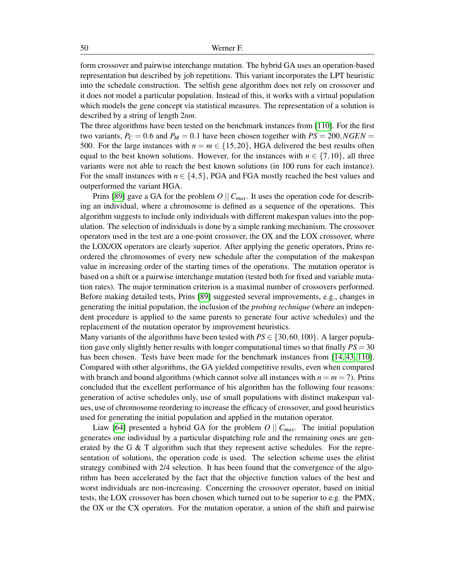form crossover and pairwise interchange mutation. The hybrid GA uses an operation-based representation but described by job repetitions. This variant incorporates the LPT heuristic into the schedule construction. The selfish gene algorithm does not rely on crossover and it does not model a particular population. Instead of this, it works with a virtual population which models the gene concept via statistical measures. The representation of a solution is described by a string of length 2*nm*.

The three algorithms have been tested on the benchmark instances from [\[110\]](#page-63-2). For the first two variants,  $P_C = 0.6$  and  $P_M = 0.1$  have been chosen together with  $PS = 200$ , *NGEN* = 500. For the large instances with  $n = m \in \{15, 20\}$ , HGA delivered the best results often equal to the best known solutions. However, for the instances with  $n \in \{7, 10\}$ , all three variants were not able to reach the best known solutions (in 100 runs for each instance). For the small instances with  $n \in \{4, 5\}$ , PGA and FGA mostly reached the best values and outperformed the variant HGA.

Prins [\[89\]](#page-62-15) gave a GA for the problem  $O \parallel C_{max}$ . It uses the operation code for describing an individual, where a chromosome is defined as a sequence of the operations. This algorithm suggests to include only individuals with different makespan values into the population. The selection of individuals is done by a simple ranking mechanism. The crossover operators used in the test are a one-point crossover, the OX and the LOX crossover, where the LOX/OX operators are clearly superior. After applying the genetic operators, Prins reordered the chromosomes of every new schedule after the computation of the makespan value in increasing order of the starting times of the operations. The mutation operator is based on a shift or a pairwise interchange mutation (tested both for fixed and variable mutation rates). The major termination criterion is a maximal number of crossovers performed. Before making detailed tests, Prins [\[89\]](#page-62-15) suggested several improvements, e.g., changes in generating the initial population, the inclusion of the *probing technique* (where an independent procedure is applied to the same parents to generate four active schedules) and the replacement of the mutation operator by improvement heuristics.

Many variants of the algorithms have been tested with  $PS \in \{30, 60, 100\}$ . A larger population gave only slightly better results with longer computational times so that finally *PS* = 30 has been chosen. Tests have been made for the benchmark instances from [\[14,](#page-57-0) [43,](#page-59-4) [110\]](#page-63-2). Compared with other algorithms, the GA yielded competitive results, even when compared with branch and bound algorithms (which cannot solve all instances with  $n = m = 7$ ). Prins concluded that the excellent performance of his algorithm has the following four reasons: generation of active schedules only, use of small populations with distinct makespan values, use of chromosome reordering to increase the efficacy of crossover, and good heuristics used for generating the initial population and applied in the mutation operator.

Liaw [\[64\]](#page-60-12) presented a hybrid GA for the problem  $O \parallel C_{max}$ . The initial population generates one individual by a particular dispatching rule and the remaining ones are generated by the G  $\&$  T algorithm such that they represent active schedules. For the representation of solutions, the operation code is used. The selection scheme uses the elitist strategy combined with 2/4 selection. It has been found that the convergence of the algorithm has been accelerated by the fact that the objective function values of the best and worst individuals are non-increasing. Concerning the crossover operator, based on initial tests, the LOX crossover has been chosen which turned out to be superior to e.g. the PMX, the OX or the CX operators. For the mutation operator, a union of the shift and pairwise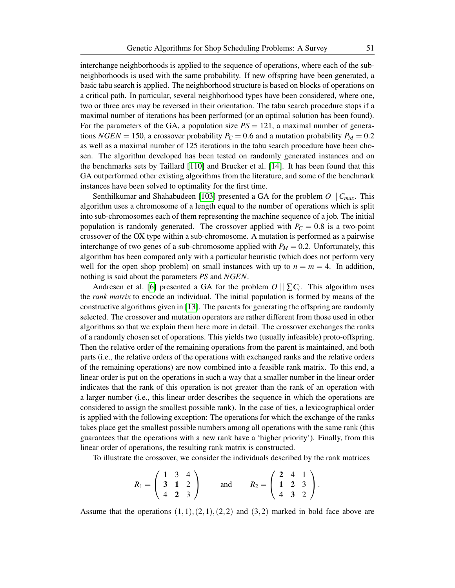interchange neighborhoods is applied to the sequence of operations, where each of the subneighborhoods is used with the same probability. If new offspring have been generated, a basic tabu search is applied. The neighborhood structure is based on blocks of operations on a critical path. In particular, several neighborhood types have been considered, where one, two or three arcs may be reversed in their orientation. The tabu search procedure stops if a maximal number of iterations has been performed (or an optimal solution has been found). For the parameters of the GA, a population size  $PS = 121$ , a maximal number of generations *NGEN* = 150, a crossover probability  $P_C = 0.6$  and a mutation probability  $P_M = 0.2$ as well as a maximal number of 125 iterations in the tabu search procedure have been chosen. The algorithm developed has been tested on randomly generated instances and on the benchmarks sets by Taillard [\[110\]](#page-63-2) and Brucker et al. [\[14\]](#page-57-0). It has been found that this GA outperformed other existing algorithms from the literature, and some of the benchmark instances have been solved to optimality for the first time.

Senthilkumar and Shahabudeen [\[103\]](#page-63-14) presented a GA for the problem *O* || *Cmax*. This algorithm uses a chromosome of a length equal to the number of operations which is split into sub-chromosomes each of them representing the machine sequence of a job. The initial population is randomly generated. The crossover applied with  $P_C = 0.8$  is a two-point crossover of the OX type within a sub-chromosome. A mutation is performed as a pairwise interchange of two genes of a sub-chromosome applied with  $P_M = 0.2$ . Unfortunately, this algorithm has been compared only with a particular heuristic (which does not perform very well for the open shop problem) on small instances with up to  $n = m = 4$ . In addition, nothing is said about the parameters *PS* and *NGEN*.

Andresen et al. [\[6\]](#page-56-3) presented a GA for the problem  $O \mid \mid \sum C_i$ . This algorithm uses the *rank matrix* to encode an individual. The initial population is formed by means of the constructive algorithms given in [\[13\]](#page-57-1). The parents for generating the offspring are randomly selected. The crossover and mutation operators are rather different from those used in other algorithms so that we explain them here more in detail. The crossover exchanges the ranks of a randomly chosen set of operations. This yields two (usually infeasible) proto-offspring. Then the relative order of the remaining operations from the parent is maintained, and both parts (i.e., the relative orders of the operations with exchanged ranks and the relative orders of the remaining operations) are now combined into a feasible rank matrix. To this end, a linear order is put on the operations in such a way that a smaller number in the linear order indicates that the rank of this operation is not greater than the rank of an operation with a larger number (i.e., this linear order describes the sequence in which the operations are considered to assign the smallest possible rank). In the case of ties, a lexicographical order is applied with the following exception: The operations for which the exchange of the ranks takes place get the smallest possible numbers among all operations with the same rank (this guarantees that the operations with a new rank have a 'higher priority'). Finally, from this linear order of operations, the resulting rank matrix is constructed.

To illustrate the crossover, we consider the individuals described by the rank matrices

$$
R_1 = \left(\begin{array}{rrr} 1 & 3 & 4 \\ 3 & 1 & 2 \\ 4 & 2 & 3 \end{array}\right) \quad \text{and} \quad R_2 = \left(\begin{array}{rrr} 2 & 4 & 1 \\ 1 & 2 & 3 \\ 4 & 3 & 2 \end{array}\right).
$$

Assume that the operations  $(1,1),(2,1),(2,2)$  and  $(3,2)$  marked in bold face above are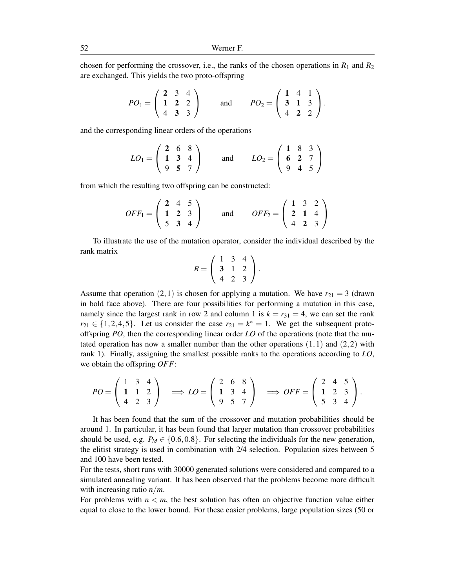chosen for performing the crossover, i.e., the ranks of the chosen operations in  $R_1$  and  $R_2$ are exchanged. This yields the two proto-offspring

$$
PO_1 = \begin{pmatrix} 2 & 3 & 4 \\ 1 & 2 & 2 \\ 4 & 3 & 3 \end{pmatrix}
$$
 and  $PO_2 = \begin{pmatrix} 1 & 4 & 1 \\ 3 & 1 & 3 \\ 4 & 2 & 2 \end{pmatrix}$ .

and the corresponding linear orders of the operations

$$
LO_1 = \begin{pmatrix} 2 & 6 & 8 \\ 1 & 3 & 4 \\ 9 & 5 & 7 \end{pmatrix}
$$
 and  $LO_2 = \begin{pmatrix} 1 & 8 & 3 \\ 6 & 2 & 7 \\ 9 & 4 & 5 \end{pmatrix}$ 

from which the resulting two offspring can be constructed:

$$
OFF_1 = \begin{pmatrix} 2 & 4 & 5 \\ 1 & 2 & 3 \\ 5 & 3 & 4 \end{pmatrix} \text{ and } OFF_2 = \begin{pmatrix} 1 & 3 & 2 \\ 2 & 1 & 4 \\ 4 & 2 & 3 \end{pmatrix}
$$

To illustrate the use of the mutation operator, consider the individual described by the rank matrix

$$
R = \left(\begin{array}{rrr} 1 & 3 & 4 \\ 3 & 1 & 2 \\ 4 & 2 & 3 \end{array}\right).
$$

Assume that operation  $(2,1)$  is chosen for applying a mutation. We have  $r_{21} = 3$  (drawn in bold face above). There are four possibilities for performing a mutation in this case, namely since the largest rank in row 2 and column 1 is  $k = r_{31} = 4$ , we can set the rank  $r_{21} \in \{1,2,4,5\}$ . Let us consider the case  $r_{21} = k^* = 1$ . We get the subsequent protooffspring *PO*, then the corresponding linear order *LO* of the operations (note that the mutated operation has now a smaller number than the other operations  $(1,1)$  and  $(2,2)$  with rank 1). Finally, assigning the smallest possible ranks to the operations according to *LO*, we obtain the offspring *OFF*:

$$
PO = \begin{pmatrix} 1 & 3 & 4 \\ 1 & 1 & 2 \\ 4 & 2 & 3 \end{pmatrix} \implies LO = \begin{pmatrix} 2 & 6 & 8 \\ 1 & 3 & 4 \\ 9 & 5 & 7 \end{pmatrix} \implies OFF = \begin{pmatrix} 2 & 4 & 5 \\ 1 & 2 & 3 \\ 5 & 3 & 4 \end{pmatrix}.
$$

It has been found that the sum of the crossover and mutation probabilities should be around 1. In particular, it has been found that larger mutation than crossover probabilities should be used, e.g.  $P_M \in \{0.6, 0.8\}$ . For selecting the individuals for the new generation, the elitist strategy is used in combination with 2/4 selection. Population sizes between 5 and 100 have been tested.

For the tests, short runs with 30000 generated solutions were considered and compared to a simulated annealing variant. It has been observed that the problems become more difficult with increasing ratio *n*/*m*.

For problems with  $n < m$ , the best solution has often an objective function value either equal to close to the lower bound. For these easier problems, large population sizes (50 or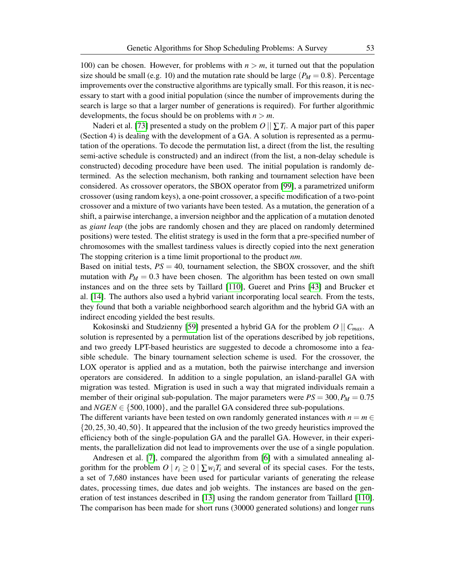100) can be chosen. However, for problems with  $n > m$ , it turned out that the population size should be small (e.g. 10) and the mutation rate should be large ( $P_M = 0.8$ ). Percentage improvements over the constructive algorithms are typically small. For this reason, it is necessary to start with a good initial population (since the number of improvements during the search is large so that a larger number of generations is required). For further algorithmic developments, the focus should be on problems with  $n > m$ .

Naderi et al. [\[73\]](#page-61-13) presented a study on the problem  $O\,||\sum T_i$ . A major part of this paper (Section 4) is dealing with the development of a GA. A solution is represented as a permutation of the operations. To decode the permutation list, a direct (from the list, the resulting semi-active schedule is constructed) and an indirect (from the list, a non-delay schedule is constructed) decoding procedure have been used. The initial population is randomly determined. As the selection mechanism, both ranking and tournament selection have been considered. As crossover operators, the SBOX operator from [\[99\]](#page-62-8), a parametrized uniform crossover (using random keys), a one-point crossover, a specific modification of a two-point crossover and a mixture of two variants have been tested. As a mutation, the generation of a shift, a pairwise interchange, a inversion neighbor and the application of a mutation denoted as *giant leap* (the jobs are randomly chosen and they are placed on randomly determined positions) were tested. The elitist strategy is used in the form that a pre-specified number of chromosomes with the smallest tardiness values is directly copied into the next generation The stopping criterion is a time limit proportional to the product *nm*.

Based on initial tests,  $PS = 40$ , tournament selection, the SBOX crossover, and the shift mutation with  $P_M = 0.3$  have been chosen. The algorithm has been tested on own small instances and on the three sets by Taillard [\[110\]](#page-63-2), Gueret and Prins [\[43\]](#page-59-4) and Brucker et al. [\[14\]](#page-57-0). The authors also used a hybrid variant incorporating local search. From the tests, they found that both a variable neighborhood search algorithm and the hybrid GA with an indirect encoding yielded the best results.

Kokosinski and Studzienny [\[59\]](#page-60-13) presented a hybrid GA for the problem *O* || *Cmax*. A solution is represented by a permutation list of the operations described by job repetitions, and two greedy LPT-based heuristics are suggested to decode a chromosome into a feasible schedule. The binary tournament selection scheme is used. For the crossover, the LOX operator is applied and as a mutation, both the pairwise interchange and inversion operators are considered. In addition to a single population, an island-parallel GA with migration was tested. Migration is used in such a way that migrated individuals remain a member of their original sub-population. The major parameters were  $PS = 300, P_M = 0.75$ and  $NGEN \in \{500, 1000\}$ , and the parallel GA considered three sub-populations.

The different variants have been tested on own randomly generated instances with  $n = m \in$ {20,25,30,40,50}. It appeared that the inclusion of the two greedy heuristics improved the efficiency both of the single-population GA and the parallel GA. However, in their experiments, the parallelization did not lead to improvements over the use of a single population.

Andresen et al. [\[7\]](#page-56-4), compared the algorithm from [\[6\]](#page-56-3) with a simulated annealing algorithm for the problem  $O | r_i \geq 0 | \sum w_i T_i$  and several of its special cases. For the tests, a set of 7,680 instances have been used for particular variants of generating the release dates, processing times, due dates and job weights. The instances are based on the generation of test instances described in [\[13\]](#page-57-1) using the random generator from Taillard [\[110\]](#page-63-2). The comparison has been made for short runs (30000 generated solutions) and longer runs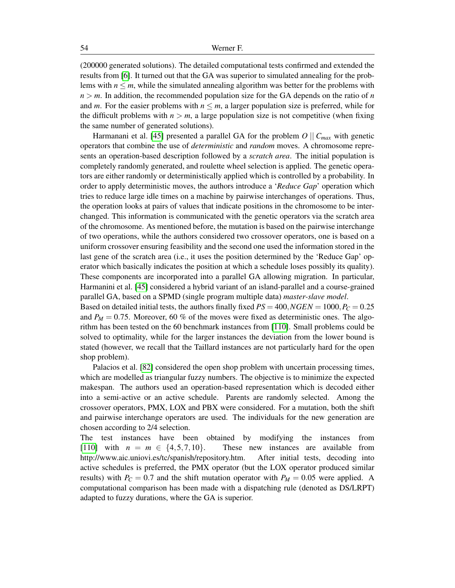(200000 generated solutions). The detailed computational tests confirmed and extended the results from [\[6\]](#page-56-3). It turned out that the GA was superior to simulated annealing for the problems with  $n \leq m$ , while the simulated annealing algorithm was better for the problems with  $n > m$ . In addition, the recommended population size for the GA depends on the ratio of *n* and *m*. For the easier problems with  $n \le m$ , a larger population size is preferred, while for the difficult problems with  $n > m$ , a large population size is not competitive (when fixing the same number of generated solutions).

Harmanani et al. [\[45\]](#page-59-14) presented a parallel GA for the problem  $O \parallel C_{max}$  with genetic operators that combine the use of *deterministic* and *random* moves. A chromosome represents an operation-based description followed by a *scratch area*. The initial population is completely randomly generated, and roulette wheel selection is applied. The genetic operators are either randomly or deterministically applied which is controlled by a probability. In order to apply deterministic moves, the authors introduce a '*Reduce Gap*' operation which tries to reduce large idle times on a machine by pairwise interchanges of operations. Thus, the operation looks at pairs of values that indicate positions in the chromosome to be interchanged. This information is communicated with the genetic operators via the scratch area of the chromosome. As mentioned before, the mutation is based on the pairwise interchange of two operations, while the authors considered two crossover operators, one is based on a uniform crossover ensuring feasibility and the second one used the information stored in the last gene of the scratch area (i.e., it uses the position determined by the 'Reduce Gap' operator which basically indicates the position at which a schedule loses possibly its quality). These components are incorporated into a parallel GA allowing migration. In particular, Harmanini et al. [\[45\]](#page-59-14) considered a hybrid variant of an island-parallel and a course-grained parallel GA, based on a SPMD (single program multiple data) *master-slave model*.

Based on detailed initial tests, the authors finally fixed  $PS = 400$ ,  $NGEN = 1000$ ,  $P_C = 0.25$ and  $P_M = 0.75$ . Moreover, 60 % of the moves were fixed as deterministic ones. The algorithm has been tested on the 60 benchmark instances from [\[110\]](#page-63-2). Small problems could be solved to optimality, while for the larger instances the deviation from the lower bound is stated (however, we recall that the Taillard instances are not particularly hard for the open shop problem).

Palacios et al. [\[82\]](#page-61-14) considered the open shop problem with uncertain processing times, which are modelled as triangular fuzzy numbers. The objective is to minimize the expected makespan. The authors used an operation-based representation which is decoded either into a semi-active or an active schedule. Parents are randomly selected. Among the crossover operators, PMX, LOX and PBX were considered. For a mutation, both the shift and pairwise interchange operators are used. The individuals for the new generation are chosen according to 2/4 selection.

The test instances have been obtained by modifying the instances from [\[110\]](#page-63-2) with  $n = m \in \{4, 5, 7, 10\}$ . These new instances are available from http://www.aic.uniovi.es/tc/spanish/repository.htm. After initial tests, decoding into active schedules is preferred, the PMX operator (but the LOX operator produced similar results) with  $P_C = 0.7$  and the shift mutation operator with  $P_M = 0.05$  were applied. A computational comparison has been made with a dispatching rule (denoted as DS/LRPT) adapted to fuzzy durations, where the GA is superior.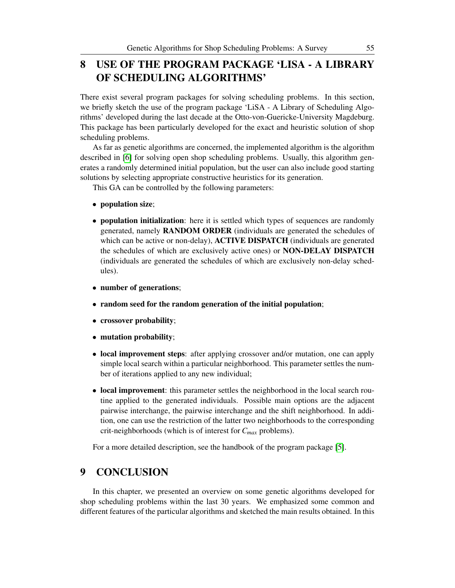## 8 USE OF THE PROGRAM PACKAGE 'LISA - A LIBRARY OF SCHEDULING ALGORITHMS'

There exist several program packages for solving scheduling problems. In this section, we briefly sketch the use of the program package 'LiSA - A Library of Scheduling Algorithms' developed during the last decade at the Otto-von-Guericke-University Magdeburg. This package has been particularly developed for the exact and heuristic solution of shop scheduling problems.

As far as genetic algorithms are concerned, the implemented algorithm is the algorithm described in [\[6\]](#page-56-3) for solving open shop scheduling problems. Usually, this algorithm generates a randomly determined initial population, but the user can also include good starting solutions by selecting appropriate constructive heuristics for its generation.

This GA can be controlled by the following parameters:

- population size;
- **population initialization**: here it is settled which types of sequences are randomly generated, namely RANDOM ORDER (individuals are generated the schedules of which can be active or non-delay), **ACTIVE DISPATCH** (individuals are generated the schedules of which are exclusively active ones) or NON-DELAY DISPATCH (individuals are generated the schedules of which are exclusively non-delay schedules).
- number of generations;
- random seed for the random generation of the initial population;
- crossover probability;
- mutation probability;
- local improvement steps: after applying crossover and/or mutation, one can apply simple local search within a particular neighborhood. This parameter settles the number of iterations applied to any new individual;
- local improvement: this parameter settles the neighborhood in the local search routine applied to the generated individuals. Possible main options are the adjacent pairwise interchange, the pairwise interchange and the shift neighborhood. In addition, one can use the restriction of the latter two neighborhoods to the corresponding crit-neighborhoods (which is of interest for *Cmax* problems).

For a more detailed description, see the handbook of the program package [\[5\]](#page-56-9).

## 9 CONCLUSION

In this chapter, we presented an overview on some genetic algorithms developed for shop scheduling problems within the last 30 years. We emphasized some common and different features of the particular algorithms and sketched the main results obtained. In this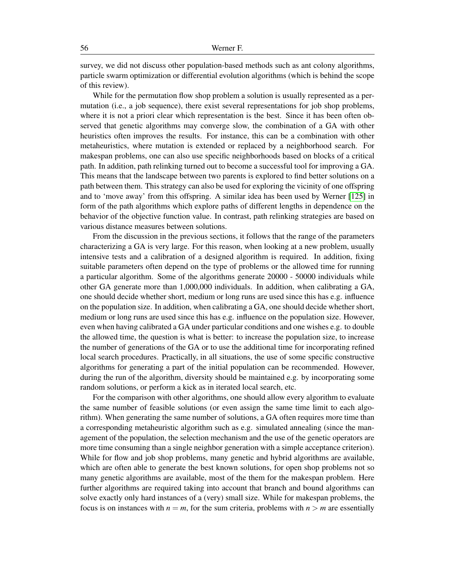#### 56 Werner F.

survey, we did not discuss other population-based methods such as ant colony algorithms, particle swarm optimization or differential evolution algorithms (which is behind the scope of this review).

While for the permutation flow shop problem a solution is usually represented as a permutation (i.e., a job sequence), there exist several representations for job shop problems, where it is not a priori clear which representation is the best. Since it has been often observed that genetic algorithms may converge slow, the combination of a GA with other heuristics often improves the results. For instance, this can be a combination with other metaheuristics, where mutation is extended or replaced by a neighborhood search. For makespan problems, one can also use specific neighborhoods based on blocks of a critical path. In addition, path relinking turned out to become a successful tool for improving a GA. This means that the landscape between two parents is explored to find better solutions on a path between them. This strategy can also be used for exploring the vicinity of one offspring and to 'move away' from this offspring. A similar idea has been used by Werner [\[125\]](#page-64-14) in form of the path algorithms which explore paths of different lengths in dependence on the behavior of the objective function value. In contrast, path relinking strategies are based on various distance measures between solutions.

From the discussion in the previous sections, it follows that the range of the parameters characterizing a GA is very large. For this reason, when looking at a new problem, usually intensive tests and a calibration of a designed algorithm is required. In addition, fixing suitable parameters often depend on the type of problems or the allowed time for running a particular algorithm. Some of the algorithms generate 20000 - 50000 individuals while other GA generate more than 1,000,000 individuals. In addition, when calibrating a GA, one should decide whether short, medium or long runs are used since this has e.g. influence on the population size. In addition, when calibrating a GA, one should decide whether short, medium or long runs are used since this has e.g. influence on the population size. However, even when having calibrated a GA under particular conditions and one wishes e.g. to double the allowed time, the question is what is better: to increase the population size, to increase the number of generations of the GA or to use the additional time for incorporating refined local search procedures. Practically, in all situations, the use of some specific constructive algorithms for generating a part of the initial population can be recommended. However, during the run of the algorithm, diversity should be maintained e.g. by incorporating some random solutions, or perform a kick as in iterated local search, etc.

For the comparison with other algorithms, one should allow every algorithm to evaluate the same number of feasible solutions (or even assign the same time limit to each algorithm). When generating the same number of solutions, a GA often requires more time than a corresponding metaheuristic algorithm such as e.g. simulated annealing (since the management of the population, the selection mechanism and the use of the genetic operators are more time consuming than a single neighbor generation with a simple acceptance criterion). While for flow and job shop problems, many genetic and hybrid algorithms are available, which are often able to generate the best known solutions, for open shop problems not so many genetic algorithms are available, most of the them for the makespan problem. Here further algorithms are required taking into account that branch and bound algorithms can solve exactly only hard instances of a (very) small size. While for makespan problems, the focus is on instances with  $n = m$ , for the sum criteria, problems with  $n > m$  are essentially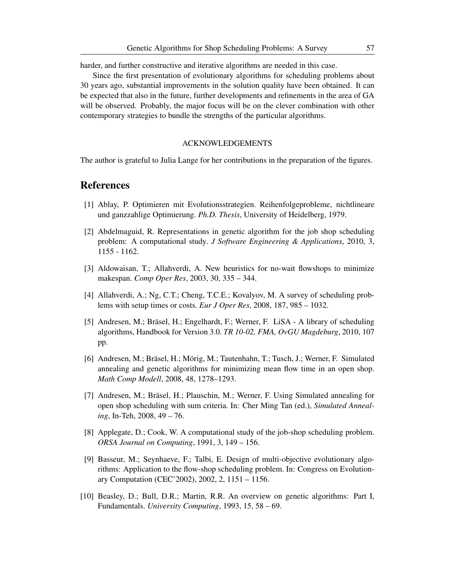harder, and further constructive and iterative algorithms are needed in this case.

Since the first presentation of evolutionary algorithms for scheduling problems about 30 years ago, substantial improvements in the solution quality have been obtained. It can be expected that also in the future, further developments and refinements in the area of GA will be observed. Probably, the major focus will be on the clever combination with other contemporary strategies to bundle the strengths of the particular algorithms.

### ACKNOWLEDGEMENTS

The author is grateful to Julia Lange for her contributions in the preparation of the figures.

## References

- <span id="page-56-6"></span>[1] Ablay, P. Optimieren mit Evolutionsstrategien. Reihenfolgeprobleme, nichtlineare und ganzzahlige Optimierung. *Ph.D. Thesis*, University of Heidelberg, 1979.
- <span id="page-56-5"></span>[2] Abdelmaguid, R. Representations in genetic algorithm for the job shop scheduling problem: A computational study. *J Software Engineering & Applications*, 2010, 3, 1155 - 1162.
- <span id="page-56-7"></span>[3] Aldowaisan, T.; Allahverdi, A. New heuristics for no-wait flowshops to minimize makespan. *Comp Oper Res*, 2003, 30, 335 – 344.
- <span id="page-56-1"></span>[4] Allahverdi, A.; Ng, C.T.; Cheng, T.C.E.; Kovalyov, M. A survey of scheduling problems with setup times or costs. *Eur J Oper Res*, 2008, 187, 985 – 1032.
- <span id="page-56-9"></span>[5] Andresen, M.; Bräsel, H.; Engelhardt, F.; Werner, F. LiSA - A library of scheduling algorithms, Handbook for Version 3.0. *TR 10-02, FMA, OvGU Magdeburg*, 2010, 107 pp.
- <span id="page-56-3"></span>[6] Andresen, M.; Bräsel, H.; Mörig, M.; Tautenhahn, T.; Tusch, J.; Werner, F. Simulated annealing and genetic algorithms for minimizing mean flow time in an open shop. *Math Comp Modell*, 2008, 48, 1278–1293.
- <span id="page-56-4"></span>[7] Andresen, M.; Bräsel, H.; Plauschin, M.; Werner, F. Using Simulated annealing for open shop scheduling with sum criteria. In: Cher Ming Tan (ed.), *Simulated Annealing*, In-Teh, 2008, 49 – 76.
- <span id="page-56-2"></span>[8] Applegate, D.; Cook, W. A computational study of the job-shop scheduling problem. *ORSA Journal on Computing*, 1991, 3, 149 – 156.
- <span id="page-56-8"></span>[9] Basseur, M.; Seynhaeve, F.; Talbi, E. Design of multi-objective evolutionary algorithms: Application to the flow-shop scheduling problem. In: Congress on Evolutionary Computation (CEC'2002), 2002, 2, 1151 – 1156.
- <span id="page-56-0"></span>[10] Beasley, D.; Bull, D.R.; Martin, R.R. An overview on genetic algorithms: Part I, Fundamentals. *University Computing*, 1993, 15, 58 – 69.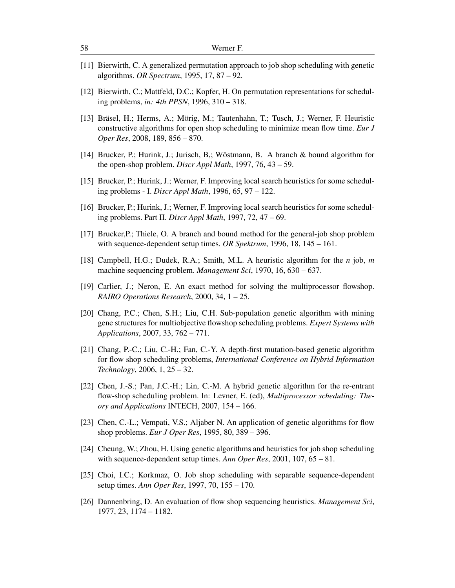- <span id="page-57-12"></span>[11] Bierwirth, C. A generalized permutation approach to job shop scheduling with genetic algorithms. *OR Spectrum*, 1995, 17, 87 – 92.
- <span id="page-57-5"></span>[12] Bierwirth, C.; Mattfeld, D.C.; Kopfer, H. On permutation representations for scheduling problems, *in: 4th PPSN*, 1996, 310 – 318.
- <span id="page-57-1"></span>[13] Bräsel, H.; Herms, A.; Mörig, M.; Tautenhahn, T.; Tusch, J.; Werner, F. Heuristic constructive algorithms for open shop scheduling to minimize mean flow time. *Eur J Oper Res*, 2008, 189, 856 – 870.
- <span id="page-57-0"></span>[14] Brucker, P.; Hurink, J.; Jurisch, B,; Wöstmann, B. A branch & bound algorithm for the open-shop problem. *Discr Appl Math*, 1997, 76, 43 – 59.
- <span id="page-57-7"></span>[15] Brucker, P.; Hurink, J.; Werner, F. Improving local search heuristics for some scheduling problems - I. *Discr Appl Math*, 1996, 65, 97 – 122.
- <span id="page-57-8"></span>[16] Brucker, P.; Hurink, J.; Werner, F. Improving local search heuristics for some scheduling problems. Part II. *Discr Appl Math*, 1997, 72, 47 – 69.
- <span id="page-57-15"></span>[17] Brucker,P.; Thiele, O. A branch and bound method for the general-job shop problem with sequence-dependent setup times. *OR Spektrum*, 1996, 18, 145 – 161.
- <span id="page-57-3"></span>[18] Campbell, H.G.; Dudek, R.A.; Smith, M.L. A heuristic algorithm for the *n* job, *m* machine sequencing problem. *Management Sci*, 1970, 16, 630 – 637.
- <span id="page-57-11"></span>[19] Carlier, J.; Neron, E. An exact method for solving the multiprocessor flowshop. *RAIRO Operations Research*, 2000, 34, 1 – 25.
- <span id="page-57-10"></span>[20] Chang, P.C.; Chen, S.H.; Liu, C.H. Sub-population genetic algorithm with mining gene structures for multiobjective flowshop scheduling problems. *Expert Systems with Applications*, 2007, 33, 762 – 771.
- <span id="page-57-6"></span>[21] Chang, P.-C.; Liu, C.-H.; Fan, C.-Y. A depth-first mutation-based genetic algorithm for flow shop scheduling problems, *International Conference on Hybrid Information Technology*, 2006, 1, 25 – 32.
- <span id="page-57-9"></span>[22] Chen, J.-S.; Pan, J.C.-H.; Lin, C.-M. A hybrid genetic algorithm for the re-entrant flow-shop scheduling problem. In: Levner, E. (ed), *Multiprocessor scheduling: Theory and Applications* INTECH, 2007, 154 – 166.
- <span id="page-57-2"></span>[23] Chen, C.-L.; Vempati, V.S.; Aljaber N. An application of genetic algorithms for flow shop problems. *Eur J Oper Res*, 1995, 80, 389 – 396.
- <span id="page-57-13"></span>[24] Cheung, W.; Zhou, H. Using genetic algorithms and heuristics for job shop scheduling with sequence-dependent setup times. *Ann Oper Res*, 2001, 107, 65 – 81.
- <span id="page-57-14"></span>[25] Choi, I.C.; Korkmaz, O. Job shop scheduling with separable sequence-dependent setup times. *Ann Oper Res*, 1997, 70, 155 – 170.
- <span id="page-57-4"></span>[26] Dannenbring, D. An evaluation of flow shop sequencing heuristics. *Management Sci*, 1977, 23, 1174 – 1182.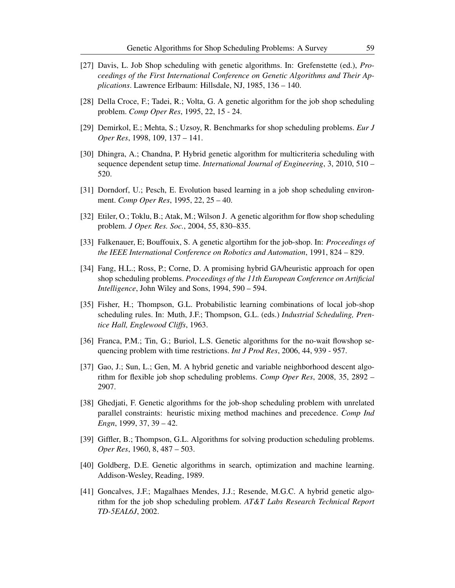- <span id="page-58-0"></span>[27] Davis, L. Job Shop scheduling with genetic algorithms. In: Grefenstette (ed.), *Proceedings of the First International Conference on Genetic Algorithms and Their Applications*. Lawrence Erlbaum: Hillsdale, NJ, 1985, 136 – 140.
- <span id="page-58-9"></span>[28] Della Croce, F.; Tadei, R.; Volta, G. A genetic algorithm for the job shop scheduling problem. *Comp Oper Res*, 1995, 22, 15 - 24.
- <span id="page-58-2"></span>[29] Demirkol, E.; Mehta, S.; Uzsoy, R. Benchmarks for shop scheduling problems. *Eur J Oper Res*, 1998, 109, 137 – 141.
- <span id="page-58-8"></span>[30] Dhingra, A.; Chandna, P. Hybrid genetic algorithm for multicriteria scheduling with sequence dependent setup time. *International Journal of Engineering*, 3, 2010, 510 – 520.
- <span id="page-58-10"></span>[31] Dorndorf, U.; Pesch, E. Evolution based learning in a job shop scheduling environment. *Comp Oper Res*, 1995, 22, 25 – 40.
- <span id="page-58-6"></span>[32] Etiler, O.; Toklu, B.; Atak, M.; Wilson J. A genetic algorithm for flow shop scheduling problem. *J Oper. Res. Soc.*, 2004, 55, 830–835.
- <span id="page-58-5"></span>[33] Falkenauer, E; Bouffouix, S. A genetic algortihm for the job-shop. In: *Proceedings of the IEEE International Conference on Robotics and Automation*, 1991, 824 – 829.
- <span id="page-58-14"></span>[34] Fang, H.L.; Ross, P.; Corne, D. A promising hybrid GA/heuristic approach for open shop scheduling problems. *Proceedings of the 11th European Conference on Artificial Intelligence*, John Wiley and Sons, 1994, 590 – 594.
- <span id="page-58-3"></span>[35] Fisher, H.; Thompson, G.L. Probabilistic learning combinations of local job-shop scheduling rules. In: Muth, J.F.; Thompson, G.L. (eds.) *Industrial Scheduling, Prentice Hall, Englewood Cliffs*, 1963.
- <span id="page-58-7"></span>[36] Franca, P.M.; Tin, G.; Buriol, L.S. Genetic algorithms for the no-wait flowshop sequencing problem with time restrictions. *Int J Prod Res*, 2006, 44, 939 - 957.
- <span id="page-58-13"></span>[37] Gao, J.; Sun, L.; Gen, M. A hybrid genetic and variable neighborhood descent algorithm for flexible job shop scheduling problems. *Comp Oper Res*, 2008, 35, 2892 – 2907.
- <span id="page-58-12"></span>[38] Ghedjati, F. Genetic algorithms for the job-shop scheduling problem with unrelated parallel constraints: heuristic mixing method machines and precedence. *Comp Ind Engn*, 1999, 37, 39 – 42.
- <span id="page-58-4"></span>[39] Giffler, B.; Thompson, G.L. Algorithms for solving production scheduling problems. *Oper Res*, 1960, 8, 487 – 503.
- <span id="page-58-1"></span>[40] Goldberg, D.E. Genetic algorithms in search, optimization and machine learning. Addison-Wesley, Reading, 1989.
- <span id="page-58-11"></span>[41] Goncalves, J.F.; Magalhaes Mendes, J.J.; Resende, M.G.C. A hybrid genetic algorithm for the job shop scheduling problem. *AT&T Labs Research Technical Report TD-5EAL6J*, 2002.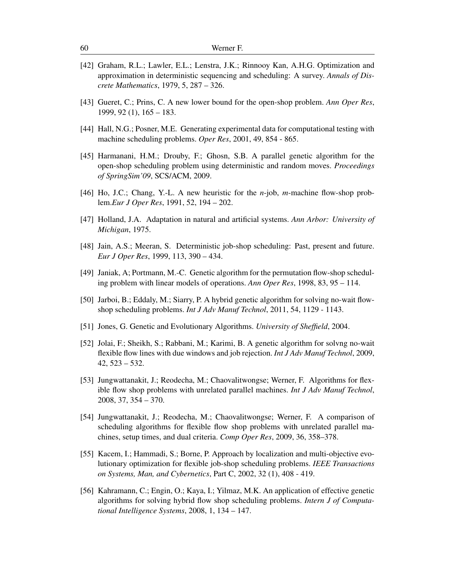- <span id="page-59-1"></span>[42] Graham, R.L.; Lawler, E.L.; Lenstra, J.K.; Rinnooy Kan, A.H.G. Optimization and approximation in deterministic sequencing and scheduling: A survey. *Annals of Discrete Mathematics*, 1979, 5, 287 – 326.
- <span id="page-59-4"></span>[43] Gueret, C.; Prins, C. A new lower bound for the open-shop problem. *Ann Oper Res*, 1999, 92 (1), 165 – 183.
- <span id="page-59-3"></span>[44] Hall, N.G.; Posner, M.E. Generating experimental data for computational testing with machine scheduling problems. *Oper Res*, 2001, 49, 854 - 865.
- <span id="page-59-14"></span>[45] Harmanani, H.M.; Drouby, F.; Ghosn, S.B. A parallel genetic algorithm for the open-shop scheduling problem using deterministic and random moves. *Proceedings of SpringSim'09*, SCS/ACM, 2009.
- <span id="page-59-7"></span>[46] Ho, J.C.; Chang, Y.-L. A new heuristic for the *n*-job, *m*-machine flow-shop problem.*Eur J Oper Res*, 1991, 52, 194 – 202.
- <span id="page-59-5"></span>[47] Holland, J.A. Adaptation in natural and artificial systems. *Ann Arbor: University of Michigan*, 1975.
- <span id="page-59-2"></span>[48] Jain, A.S.; Meeran, S. Deterministic job-shop scheduling: Past, present and future. *Eur J Oper Res*, 1999, 113, 390 – 434.
- <span id="page-59-6"></span>[49] Janiak, A; Portmann, M.-C. Genetic algorithm for the permutation flow-shop scheduling problem with linear models of operations. *Ann Oper Res*, 1998, 83, 95 – 114.
- <span id="page-59-8"></span>[50] Jarboi, B.; Eddaly, M.; Siarry, P. A hybrid genetic algorithm for solving no-wait flowshop scheduling problems. *Int J Adv Manuf Technol*, 2011, 54, 1129 - 1143.
- <span id="page-59-0"></span>[51] Jones, G. Genetic and Evolutionary Algorithms. *University of Sheffield*, 2004.
- <span id="page-59-10"></span>[52] Jolai, F.; Sheikh, S.; Rabbani, M.; Karimi, B. A genetic algorithm for solvng no-wait flexible flow lines with due windows and job rejection. *Int J Adv Manuf Technol*, 2009, 42, 523 – 532.
- <span id="page-59-11"></span>[53] Jungwattanakit, J.; Reodecha, M.; Chaovalitwongse; Werner, F. Algorithms for flexible flow shop problems with unrelated parallel machines. *Int J Adv Manuf Technol*, 2008, 37, 354 – 370.
- <span id="page-59-12"></span>[54] Jungwattanakit, J.; Reodecha, M.; Chaovalitwongse; Werner, F. A comparison of scheduling algorithms for flexible flow shop problems with unrelated parallel machines, setup times, and dual criteria. *Comp Oper Res*, 2009, 36, 358–378.
- <span id="page-59-13"></span>[55] Kacem, I.; Hammadi, S.; Borne, P. Approach by localization and multi-objective evolutionary optimization for flexible job-shop scheduling problems. *IEEE Transactions on Systems, Man, and Cybernetics*, Part C, 2002, 32 (1), 408 - 419.
- <span id="page-59-9"></span>[56] Kahramann, C.; Engin, O.; Kaya, I.; Yilmaz, M.K. An application of effective genetic algorithms for solving hybrid flow shop scheduling problems. *Intern J of Computational Intelligence Systems*, 2008, 1, 134 – 147.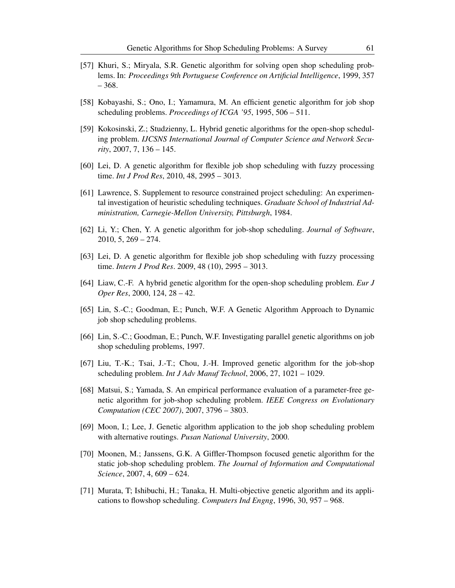- <span id="page-60-11"></span>[57] Khuri, S.; Miryala, S.R. Genetic algorithm for solving open shop scheduling problems. In: *Proceedings 9th Portuguese Conference on Artificial Intelligence*, 1999, 357 – 368.
- <span id="page-60-2"></span>[58] Kobayashi, S.; Ono, I.; Yamamura, M. An efficient genetic algorithm for job shop scheduling problems. *Proceedings of ICGA '95*, 1995, 506 – 511.
- <span id="page-60-13"></span>[59] Kokosinski, Z.; Studzienny, L. Hybrid genetic algorithms for the open-shop scheduling problem. *IJCSNS International Journal of Computer Science and Network Security*, 2007, 7, 136 – 145.
- <span id="page-60-10"></span>[60] Lei, D. A genetic algorithm for flexible job shop scheduling with fuzzy processing time. *Int J Prod Res*, 2010, 48, 2995 – 3013.
- <span id="page-60-0"></span>[61] Lawrence, S. Supplement to resource constrained project scheduling: An experimental investigation of heuristic scheduling techniques. *Graduate School of Industrial Administration, Carnegie-Mellon University, Pittsburgh*, 1984.
- <span id="page-60-7"></span>[62] Li, Y.; Chen, Y. A genetic algorithm for job-shop scheduling. *Journal of Software*, 2010, 5, 269 – 274.
- [63] Lei, D. A genetic algorithm for flexible job shop scheduling with fuzzy processing time. *Intern J Prod Res*. 2009, 48 (10), 2995 – 3013.
- <span id="page-60-12"></span>[64] Liaw, C.-F. A hybrid genetic algorithm for the open-shop scheduling problem. *Eur J Oper Res*, 2000, 124, 28 – 42.
- <span id="page-60-8"></span>[65] Lin, S.-C.; Goodman, E.; Punch, W.F. A Genetic Algorithm Approach to Dynamic job shop scheduling problems.
- <span id="page-60-3"></span>[66] Lin, S.-C.; Goodman, E.; Punch, W.F. Investigating parallel genetic algorithms on job shop scheduling problems, 1997.
- <span id="page-60-4"></span>[67] Liu, T.-K.; Tsai, J.-T.; Chou, J.-H. Improved genetic algorithm for the job-shop scheduling problem. *Int J Adv Manuf Technol*, 2006, 27, 1021 – 1029.
- <span id="page-60-6"></span>[68] Matsui, S.; Yamada, S. An empirical performance evaluation of a parameter-free genetic algorithm for job-shop scheduling problem. *IEEE Congress on Evolutionary Computation (CEC 2007)*, 2007, 3796 – 3803.
- <span id="page-60-9"></span>[69] Moon, I.; Lee, J. Genetic algorithm application to the job shop scheduling problem with alternative routings. *Pusan National University*, 2000.
- <span id="page-60-5"></span>[70] Moonen, M.; Janssens, G.K. A Giffler-Thompson focused genetic algorithm for the static job-shop scheduling problem. *The Journal of Information and Computational Science*, 2007, 4, 609 – 624.
- <span id="page-60-1"></span>[71] Murata, T; Ishibuchi, H.; Tanaka, H. Multi-objective genetic algorithm and its applications to flowshop scheduling. *Computers Ind Engng*, 1996, 30, 957 – 968.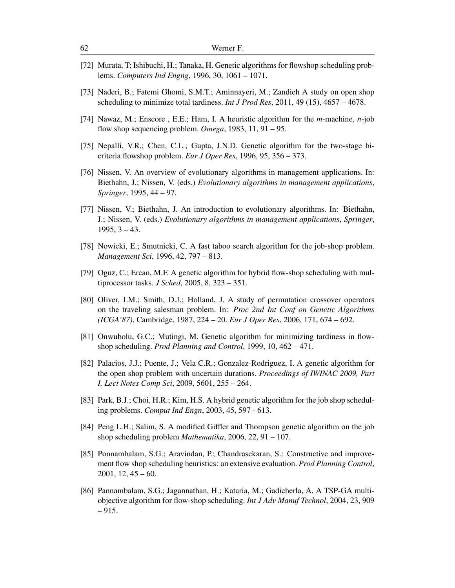- <span id="page-61-5"></span>[72] Murata, T; Ishibuchi, H.; Tanaka, H. Genetic algorithms for flowshop scheduling problems. *Computers Ind Engng*, 1996, 30, 1061 – 1071.
- <span id="page-61-13"></span>[73] Naderi, B.; Fatemi Ghomi, S.M.T.; Aminnayeri, M.; Zandieh A study on open shop scheduling to minimize total tardiness. *Int J Prod Res*, 2011, 49 (15), 4657 – 4678.
- <span id="page-61-4"></span>[74] Nawaz, M.; Enscore , E.E.; Ham, I. A heuristic algorithm for the *m*-machine, *n*-job flow shop sequencing problem. *Omega*, 1983, 11, 91 – 95.
- <span id="page-61-8"></span>[75] Nepalli, V.R.; Chen, C.L.; Gupta, J.N.D. Genetic algorithm for the two-stage bicriteria flowshop problem. *Eur J Oper Res*, 1996, 95, 356 – 373.
- <span id="page-61-0"></span>[76] Nissen, V. An overview of evolutionary algorithms in management applications. In: Biethahn, J.; Nissen, V. (eds.) *Evolutionary algorithms in management applications*, *Springer*, 1995, 44 – 97.
- <span id="page-61-2"></span>[77] Nissen, V.; Biethahn, J. An introduction to evolutionary algorithms. In: Biethahn, J.; Nissen, V. (eds.) *Evolutionary algorithms in management applications*, *Springer*,  $1995, 3 - 43.$
- <span id="page-61-10"></span>[78] Nowicki, E.; Smutnicki, C. A fast taboo search algorithm for the job-shop problem. *Management Sci*, 1996, 42, 797 – 813.
- <span id="page-61-9"></span>[79] Oguz, C.; Ercan, M.F. A genetic algorithm for hybrid flow-shop scheduling with multiprocessor tasks. *J Sched*, 2005, 8, 323 – 351.
- <span id="page-61-3"></span>[80] Oliver, I.M.; Smith, D.J.; Holland, J. A study of permutation crossover operators on the traveling salesman problem. In: *Proc 2nd Int Conf on Genetic Algorithms (ICGA'87)*, Cambridge, 1987, 224 – 20. *Eur J Oper Res*, 2006, 171, 674 – 692.
- <span id="page-61-1"></span>[81] Onwubolu, G.C.; Mutingi, M. Genetic algorithm for minimizing tardiness in flowshop scheduling. *Prod Planning and Control*, 1999, 10, 462 – 471.
- <span id="page-61-14"></span>[82] Palacios, J.J.; Puente, J.; Vela C.R.; Gonzalez-Rodriguez, I. A genetic algorithm for the open shop problem with uncertain durations. *Proceedings of IWINAC 2009, Part I, Lect Notes Comp Sci*, 2009, 5601, 255 – 264.
- <span id="page-61-11"></span>[83] Park, B.J.; Choi, H.R.; Kim, H.S. A hybrid genetic algorithm for the job shop scheduling problems. *Comput Ind Engn*, 2003, 45, 597 - 613.
- <span id="page-61-12"></span>[84] Peng L.H.; Salim, S. A modified Giffler and Thompson genetic algorithm on the job shop scheduling problem *Mathematika*, 2006, 22, 91 – 107.
- <span id="page-61-6"></span>[85] Ponnambalam, S.G.; Aravindan, P.; Chandrasekaran, S.: Constructive and improvement flow shop scheduling heuristics: an extensive evaluation. *Prod Planning Control*,  $2001, 12, 45 - 60.$
- <span id="page-61-7"></span>[86] Pannambalam, S.G.; Jagannathan, H.; Kataria, M.; Gadicherla, A. A TSP-GA multiobjective algorithm for flow-shop scheduling. *Int J Adv Manuf Technol*, 2004, 23, 909 – 915.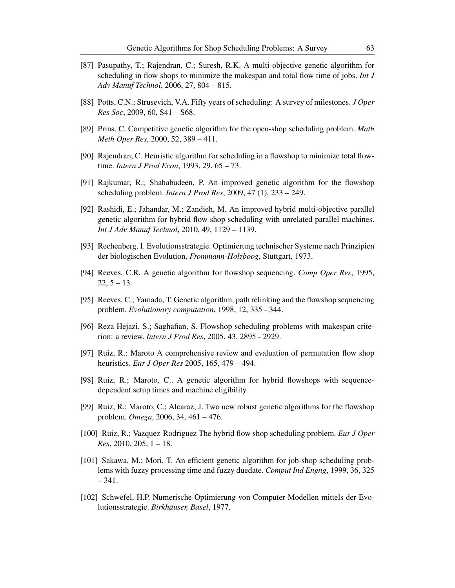- <span id="page-62-11"></span>[87] Pasupathy, T.; Rajendran, C.; Suresh, R.K. A multi-objective genetic algorithm for scheduling in flow shops to minimize the makespan and total flow time of jobs. *Int J Adv Manuf Technol*, 2006, 27, 804 – 815.
- <span id="page-62-4"></span>[88] Potts, C.N.; Strusevich, V.A. Fifty years of scheduling: A survey of milestones. *J Oper Res Soc*, 2009, 60, S41 – S68.
- <span id="page-62-15"></span>[89] Prins, C. Competitive genetic algorithm for the open-shop scheduling problem. *Math Meth Oper Res*, 2000, 52, 389 – 411.
- <span id="page-62-10"></span>[90] Rajendran, C. Heuristic algorithm for scheduling in a flowshop to minimize total flowtime. *Intern J Prod Econ*, 1993, 29, 65 – 73.
- <span id="page-62-9"></span>[91] Rajkumar, R.; Shahabudeen, P. An improved genetic algorithm for the flowshop scheduling problem. *Intern J Prod Res*, 2009, 47 (1), 233 – 249.
- <span id="page-62-13"></span>[92] Rashidi, E.; Jahandar, M.; Zandieh, M. An improved hybrid multi-objective parallel genetic algorithm for hybrid flow shop scheduling with unrelated parallel machines. *Int J Adv Manuf Technol*, 2010, 49, 1129 – 1139.
- <span id="page-62-0"></span>[93] Rechenberg, I. Evolutionsstrategie. Optimierung technischer Systeme nach Prinzipien der biologischen Evolution, *Frommann-Holzboog*, Stuttgart, 1973.
- <span id="page-62-6"></span>[94] Reeves, C.R. A genetic algorithm for flowshop sequencing. *Comp Oper Res*, 1995,  $22, 5 - 13.$
- <span id="page-62-7"></span>[95] Reeves, C.; Yamada, T. Genetic algorithm, path relinking and the flowshop sequencing problem. *Evolutionary computation*, 1998, 12, 335 - 344.
- <span id="page-62-2"></span>[96] Reza Hejazi, S.; Saghafian, S. Flowshop scheduling problems with makespan criterion: a review. *Intern J Prod Res*, 2005, 43, 2895 - 2929.
- <span id="page-62-3"></span>[97] Ruiz, R.; Maroto A comprehensive review and evaluation of permutation flow shop heuristics. *Eur J Oper Res* 2005, 165, 479 – 494.
- <span id="page-62-12"></span>[98] Ruiz, R.; Maroto, C.. A genetic algorithm for hybrid flowshops with sequencedependent setup times and machine eligibility
- <span id="page-62-8"></span>[99] Ruiz, R.; Maroto, C.; Alcaraz; J. Two new robust genetic algorithms for the flowshop problem. *Omega*, 2006, 34, 461 – 476.
- <span id="page-62-5"></span>[100] Ruiz, R.; Vazquez-Rodriguez The hybrid flow shop scheduling problem. *Eur J Oper Res*, 2010, 205, 1 – 18.
- <span id="page-62-14"></span>[101] Sakawa, M.; Mori, T. An efficient genetic algorithm for job-shop scheduling problems with fuzzy processing time and fuzzy duedate. *Comput Ind Engng*, 1999, 36, 325 – 341.
- <span id="page-62-1"></span>[102] Schwefel, H.P. Numerische Optimierung von Computer-Modellen mittels der Evolutionsstrategie. *Birkhäuser, Basel*, 1977.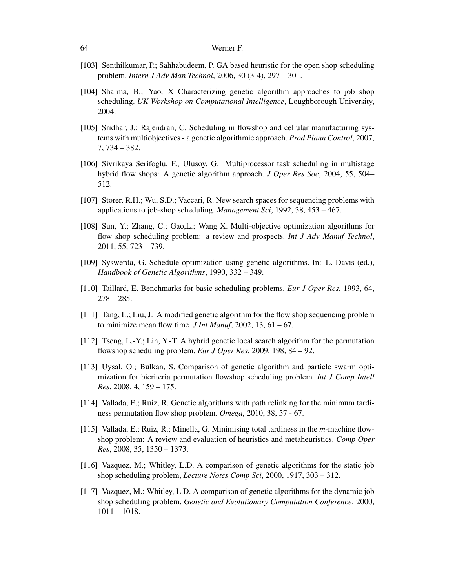- <span id="page-63-14"></span>[103] Senthilkumar, P.; Sahhabudeem, P. GA based heuristic for the open shop scheduling problem. *Intern J Adv Man Technol*, 2006, 30 (3-4), 297 – 301.
- <span id="page-63-12"></span>[104] Sharma, B.; Yao, X Characterizing genetic algorithm approaches to job shop scheduling. *UK Workshop on Computational Intelligence*, Loughborough University, 2004.
- <span id="page-63-8"></span>[105] Sridhar, J.; Rajendran, C. Scheduling in flowshop and cellular manufacturing systems with multiobjectives - a genetic algorithmic approach. *Prod Plann Control*, 2007, 7, 734 – 382.
- <span id="page-63-10"></span>[106] Sivrikaya Serifoglu, F.; Ulusoy, G. Multiprocessor task scheduling in multistage hybrid flow shops: A genetic algorithm approach. *J Oper Res Soc*, 2004, 55, 504– 512.
- <span id="page-63-3"></span>[107] Storer, R.H.; Wu, S.D.; Vaccari, R. New search spaces for sequencing problems with applications to job-shop scheduling. *Management Sci*, 1992, 38, 453 – 467.
- <span id="page-63-1"></span>[108] Sun, Y.; Zhang, C.; Gao,L.; Wang X. Multi-objective optimization algorithms for flow shop scheduling problem: a review and prospects. *Int J Adv Manuf Technol*, 2011, 55, 723 – 739.
- <span id="page-63-4"></span>[109] Syswerda, G. Schedule optimization using genetic algorithms. In: L. Davis (ed.), *Handbook of Genetic Algorithms*, 1990, 332 – 349.
- <span id="page-63-2"></span>[110] Taillard, E. Benchmarks for basic scheduling problems. *Eur J Oper Res*, 1993, 64,  $278 - 285.$
- <span id="page-63-5"></span>[111] Tang, L.; Liu, J. A modified genetic algorithm for the flow shop sequencing problem to minimize mean flow time. *J Int Manuf*, 2002, 13, 61 – 67.
- <span id="page-63-6"></span>[112] Tseng, L.-Y.; Lin, Y.-T. A hybrid genetic local search algorithm for the permutation flowshop scheduling problem. *Eur J Oper Res*, 2009, 198, 84 – 92.
- <span id="page-63-9"></span>[113] Uysal, O.; Bulkan, S. Comparison of genetic algorithm and particle swarm optimization for bicriteria permutation flowshop scheduling problem. *Int J Comp Intell Res*, 2008, 4, 159 – 175.
- <span id="page-63-7"></span>[114] Vallada, E.; Ruiz, R. Genetic algorithms with path relinking for the minimum tardiness permutation flow shop problem. *Omega*, 2010, 38, 57 - 67.
- <span id="page-63-0"></span>[115] Vallada, E.; Ruiz, R.; Minella, G. Minimising total tardiness in the *m*-machine flowshop problem: A review and evaluation of heuristics and metaheuristics. *Comp Oper Res*, 2008, 35, 1350 – 1373.
- <span id="page-63-11"></span>[116] Vazquez, M.; Whitley, L.D. A comparison of genetic algorithms for the static job shop scheduling problem, *Lecture Notes Comp Sci*, 2000, 1917, 303 – 312.
- <span id="page-63-13"></span>[117] Vazquez, M.; Whitley, L.D. A comparison of genetic algorithms for the dynamic job shop scheduling problem. *Genetic and Evolutionary Computation Conference*, 2000, 1011 – 1018.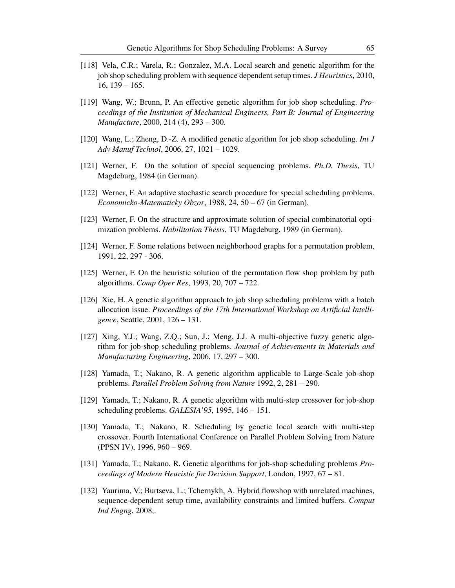- <span id="page-64-12"></span>[118] Vela, C.R.; Varela, R.; Gonzalez, M.A. Local search and genetic algorithm for the job shop scheduling problem with sequence dependent setup times. *J Heuristics*, 2010, 16, 139 – 165.
- <span id="page-64-9"></span>[119] Wang, W.; Brunn, P. An effective genetic algorithm for job shop scheduling. *Proceedings of the Institution of Mechanical Engineers, Part B: Journal of Engineering Manufacture*, 2000, 214 (4), 293 – 300.
- <span id="page-64-10"></span>[120] Wang, L.; Zheng, D.-Z. A modified genetic algorithm for job shop scheduling. *Int J Adv Manuf Technol*, 2006, 27, 1021 – 1029.
- <span id="page-64-0"></span>[121] Werner, F. On the solution of special sequencing problems. *Ph.D. Thesis*, TU Magdeburg, 1984 (in German).
- <span id="page-64-1"></span>[122] Werner, F. An adaptive stochastic search procedure for special scheduling problems. *Economicko-Matematicky Obzor*, 1988, 24, 50 – 67 (in German).
- <span id="page-64-3"></span>[123] Werner, F. On the structure and approximate solution of special combinatorial optimization problems. *Habilitation Thesis*, TU Magdeburg, 1989 (in German).
- <span id="page-64-4"></span>[124] Werner, F. Some relations between neighborhood graphs for a permutation problem, 1991, 22, 297 - 306.
- <span id="page-64-14"></span>[125] Werner, F. On the heuristic solution of the permutation flow shop problem by path algorithms. *Comp Oper Res*, 1993, 20, 707 – 722.
- <span id="page-64-13"></span>[126] Xie, H. A genetic algorithm approach to job shop scheduling problems with a batch allocation issue. *Proceedings of the 17th International Workshop on Artificial Intelligence*, Seattle, 2001, 126 – 131.
- <span id="page-64-11"></span>[127] Xing, Y.J.; Wang, Z.Q.; Sun, J.; Meng, J.J. A multi-objective fuzzy genetic algorithm for job-shop scheduling problems. *Journal of Achievements in Materials and Manufacturing Engineering*, 2006, 17, 297 – 300.
- <span id="page-64-2"></span>[128] Yamada, T.; Nakano, R. A genetic algorithm applicable to Large-Scale job-shop problems. *Parallel Problem Solving from Nature* 1992, 2, 281 – 290.
- <span id="page-64-7"></span>[129] Yamada, T.; Nakano, R. A genetic algorithm with multi-step crossover for job-shop scheduling problems. *GALESIA'95*, 1995, 146 – 151.
- <span id="page-64-5"></span>[130] Yamada, T.; Nakano, R. Scheduling by genetic local search with multi-step crossover. Fourth International Conference on Parallel Problem Solving from Nature (PPSN IV), 1996, 960 – 969.
- <span id="page-64-8"></span>[131] Yamada, T.; Nakano, R. Genetic algorithms for job-shop scheduling problems *Proceedings of Modern Heuristic for Decision Support*, London, 1997, 67 – 81.
- <span id="page-64-6"></span>[132] Yaurima, V.; Burtseva, L.; Tchernykh, A. Hybrid flowshop with unrelated machines, sequence-dependent setup time, availability constraints and limited buffers. *Comput Ind Engng*, 2008,.